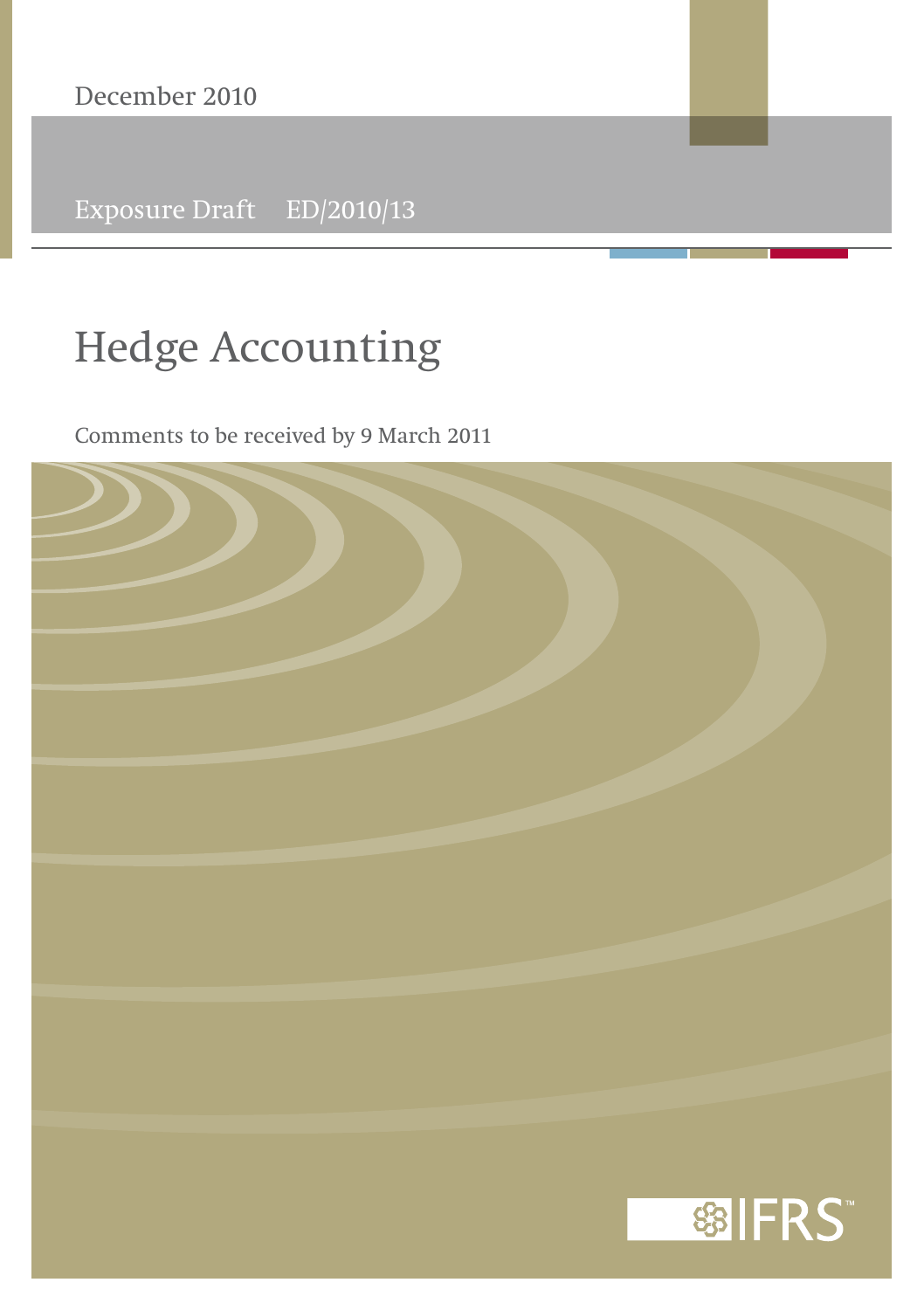Exposure Draft ED/2010/13

# **Hedge Accounting**

Comments to be received by 9 March 2011

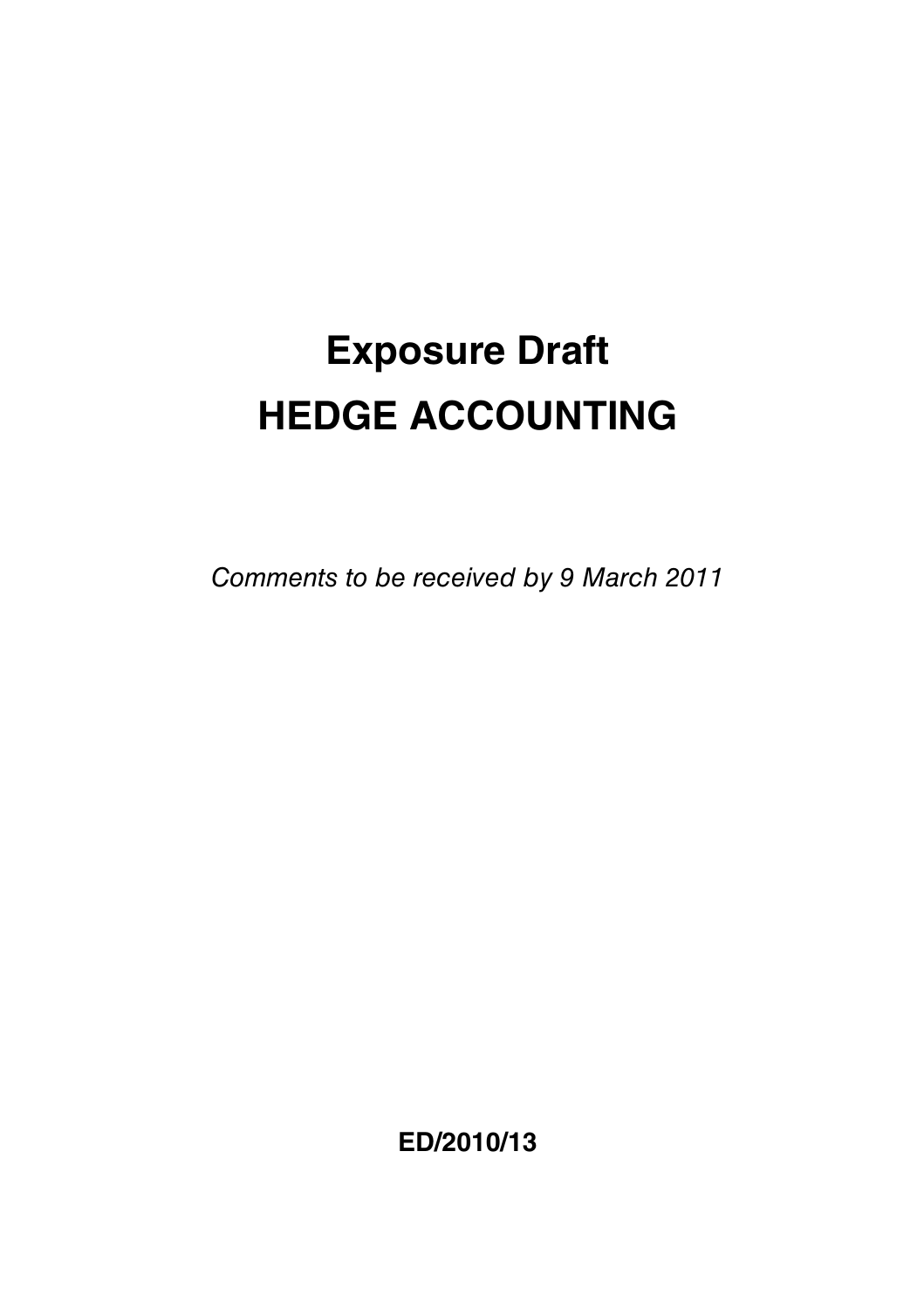# **Exposure Draft HEDGE ACCOUNTING**

Comments to be received by 9 March 2011

**ED/2010/13**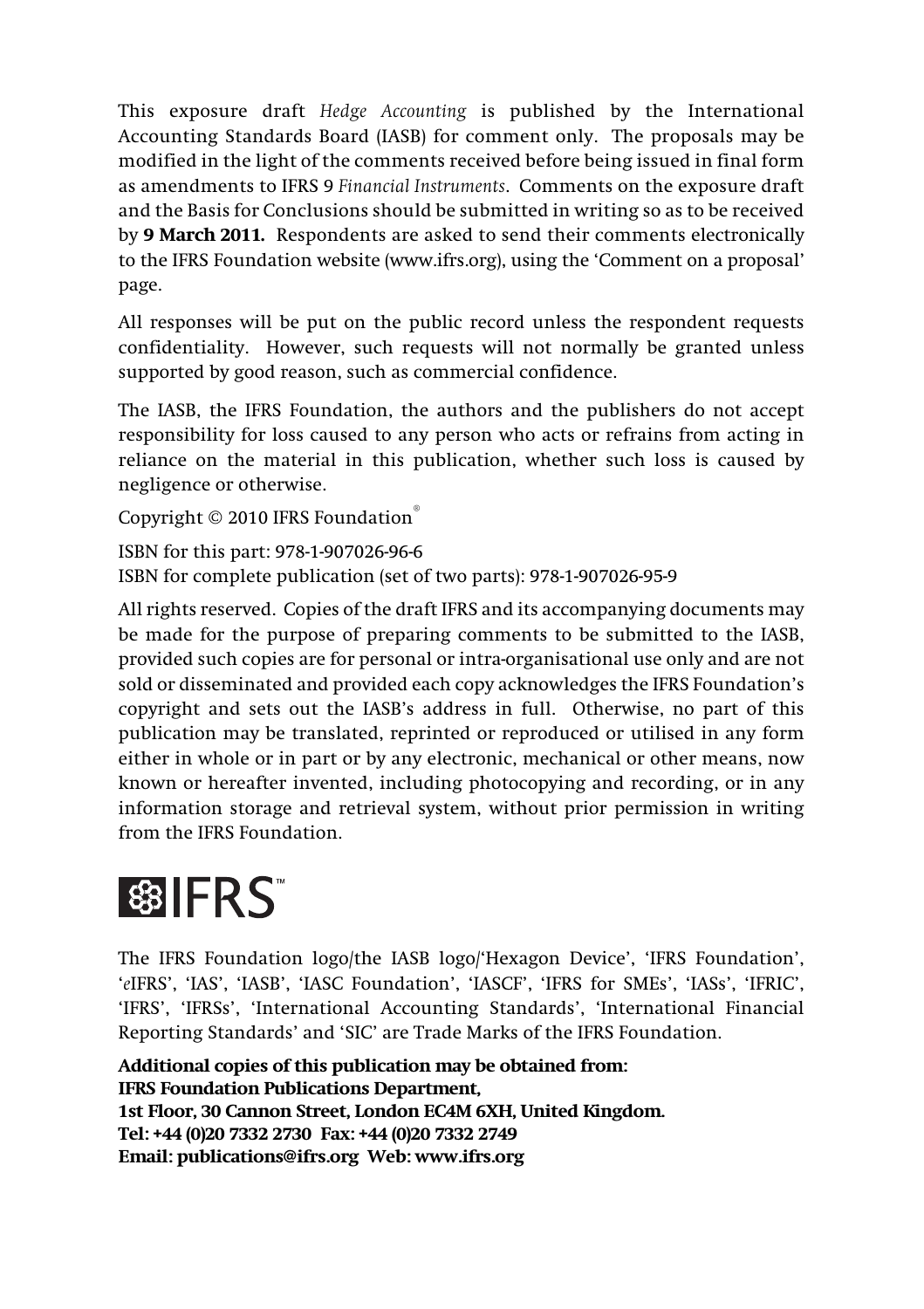This exposure draft *Hedge Accounting* is published by the International Accounting Standards Board (IASB) for comment only. The proposals may be modified in the light of the comments received before being issued in final form as amendments to IFRS 9 *Financial Instruments*. Comments on the exposure draft and the Basis for Conclusions should be submitted in writing so as to be received by **9 March 2011***.* Respondents are asked to send their comments electronically to the IFRS Foundation website (www.ifrs.org), using the 'Comment on a proposal' page.

All responses will be put on the public record unless the respondent requests confidentiality. However, such requests will not normally be granted unless supported by good reason, such as commercial confidence.

The IASB, the IFRS Foundation, the authors and the publishers do not accept responsibility for loss caused to any person who acts or refrains from acting in reliance on the material in this publication, whether such loss is caused by negligence or otherwise.

Copyright © 2010 IFRS Foundation®

ISBN for this part: 978-1-907026-96-6 ISBN for complete publication (set of two parts): 978-1-907026-95-9

All rights reserved. Copies of the draft IFRS and its accompanying documents may be made for the purpose of preparing comments to be submitted to the IASB, provided such copies are for personal or intra-organisational use only and are not sold or disseminated and provided each copy acknowledges the IFRS Foundation's copyright and sets out the IASB's address in full. Otherwise, no part of this publication may be translated, reprinted or reproduced or utilised in any form either in whole or in part or by any electronic, mechanical or other means, now known or hereafter invented, including photocopying and recording, or in any information storage and retrieval system, without prior permission in writing from the IFRS Foundation.

# 图 IFRS

The IFRS Foundation logo/the IASB logo/'Hexagon Device', 'IFRS Foundation', '*e*IFRS', 'IAS', 'IASB', 'IASC Foundation', 'IASCF', 'IFRS for SMEs', 'IASs', 'IFRIC', 'IFRS', 'IFRSs', 'International Accounting Standards', 'International Financial Reporting Standards' and 'SIC' are Trade Marks of the IFRS Foundation.

**Additional copies of this publication may be obtained from: IFRS Foundation Publications Department, 1st Floor, 30 Cannon Street, London EC4M 6XH, United Kingdom. Tel: +44 (0)20 7332 2730 Fax: +44 (0)20 7332 2749 Email: publications@ifrs.org Web: www.ifrs.org**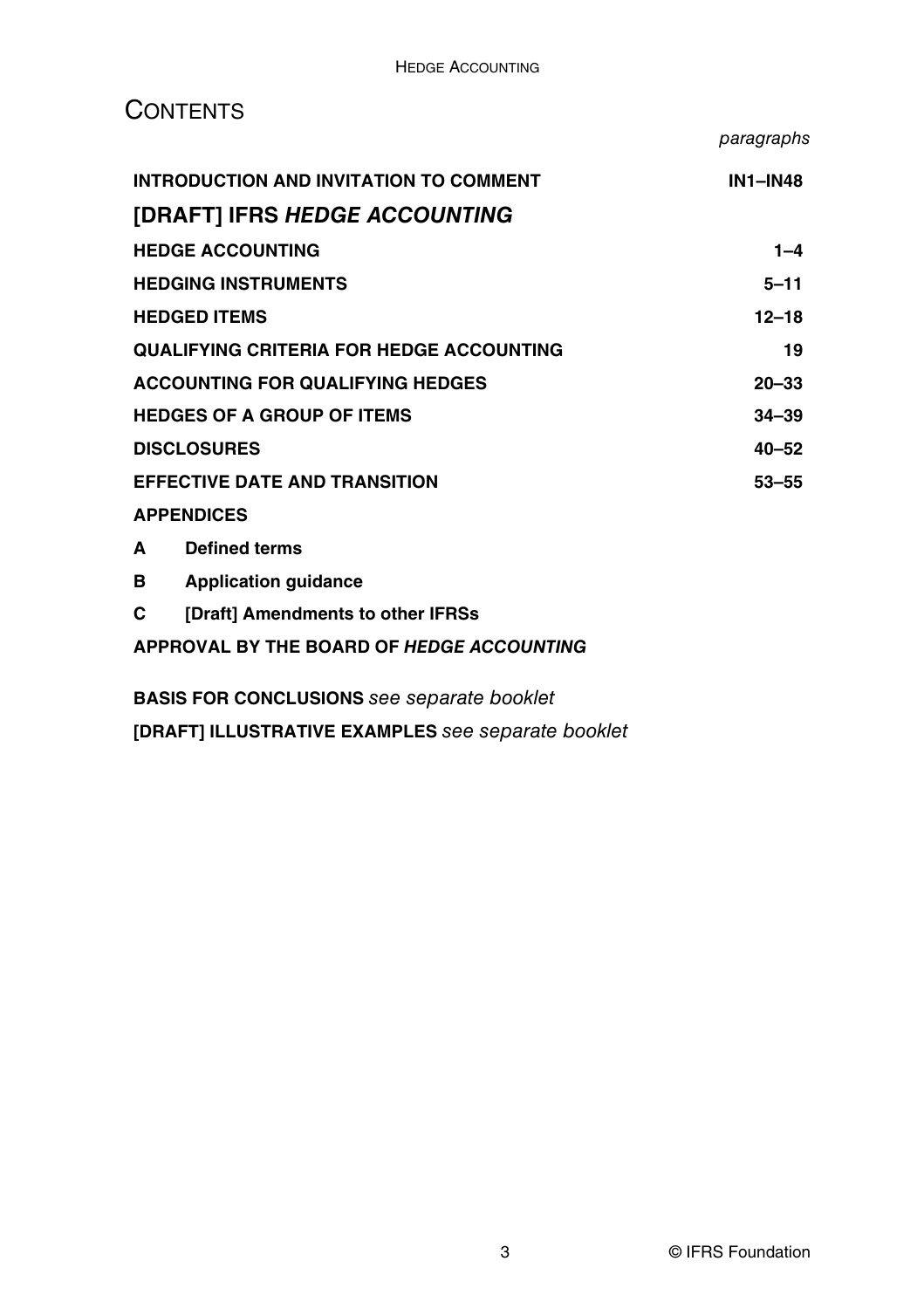# **CONTENTS**

|                                         |                                                   | paragraphs      |
|-----------------------------------------|---------------------------------------------------|-----------------|
|                                         | INTRODUCTION AND INVITATION TO COMMENT            | <b>IN1-IN48</b> |
|                                         | [DRAFT] IFRS HEDGE ACCOUNTING                     |                 |
|                                         | <b>HEDGE ACCOUNTING</b>                           | $1 - 4$         |
| <b>HEDGING INSTRUMENTS</b>              |                                                   | $5 - 11$        |
| <b>HEDGED ITEMS</b>                     |                                                   | $12 - 18$       |
|                                         | <b>QUALIFYING CRITERIA FOR HEDGE ACCOUNTING</b>   | 19              |
| <b>ACCOUNTING FOR QUALIFYING HEDGES</b> |                                                   | $20 - 33$       |
| <b>HEDGES OF A GROUP OF ITEMS</b>       |                                                   | $34 - 39$       |
| <b>DISCLOSURES</b>                      |                                                   | $40 - 52$       |
| <b>EFFECTIVE DATE AND TRANSITION</b>    |                                                   | $53 - 55$       |
|                                         | <b>APPENDICES</b>                                 |                 |
| A                                       | <b>Defined terms</b>                              |                 |
| в                                       | <b>Application guidance</b>                       |                 |
| C                                       | [Draft] Amendments to other IFRSs                 |                 |
|                                         | APPROVAL BY THE BOARD OF HEDGE ACCOUNTING         |                 |
|                                         | <b>BASIS FOR CONCLUSIONS</b> see separate booklet |                 |

**[DRAFT] ILLUSTRATIVE EXAMPLES** see separate booklet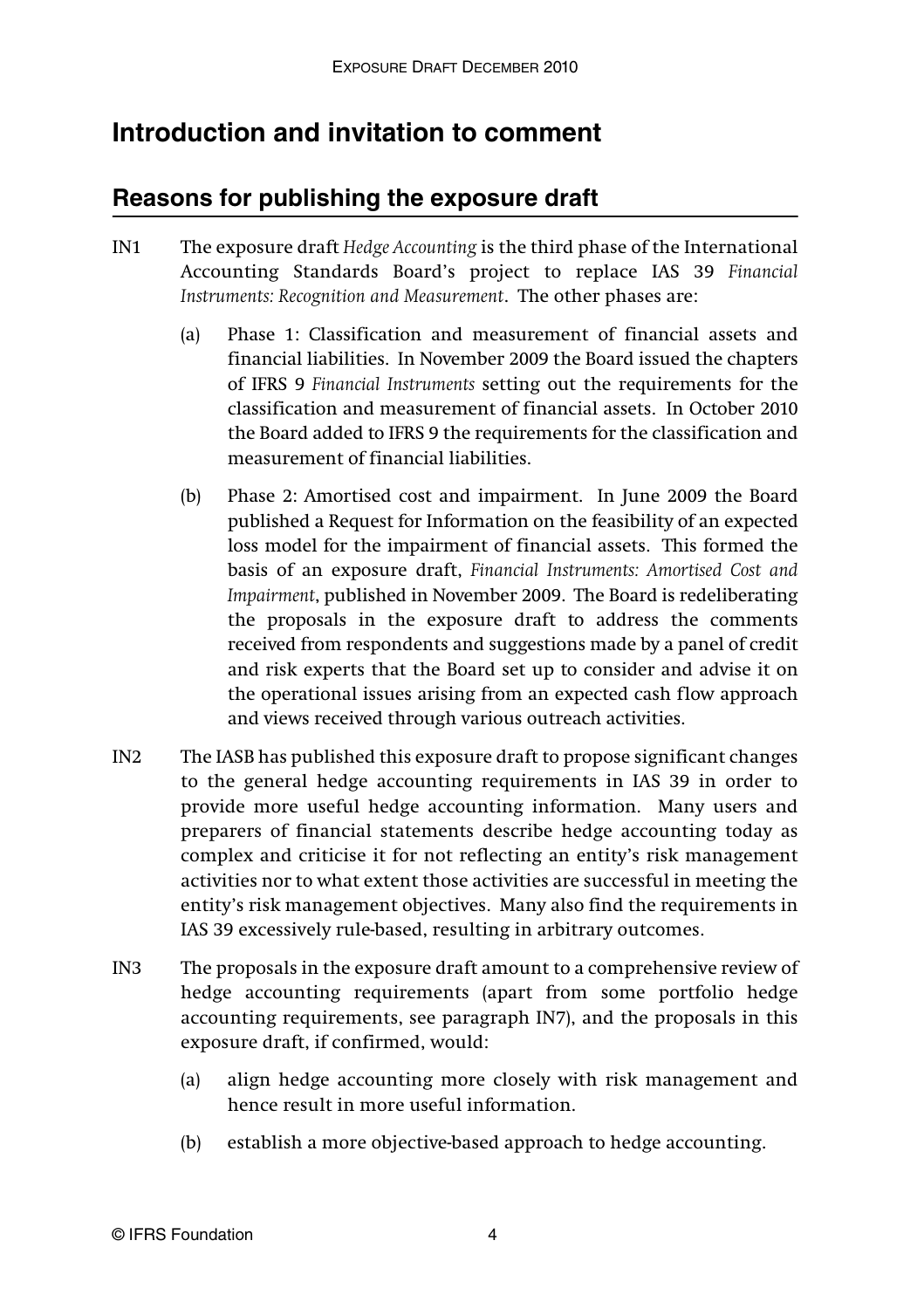# **Introduction and invitation to comment**

# **Reasons for publishing the exposure draft**

- IN1 The exposure draft *Hedge Accounting* is the third phase of the International Accounting Standards Board's project to replace IAS 39 *Financial Instruments: Recognition and Measurement*. The other phases are:
	- (a) Phase 1: Classification and measurement of financial assets and financial liabilities. In November 2009 the Board issued the chapters of IFRS 9 *Financial Instruments* setting out the requirements for the classification and measurement of financial assets. In October 2010 the Board added to IFRS 9 the requirements for the classification and measurement of financial liabilities.
	- (b) Phase 2: Amortised cost and impairment. In June 2009 the Board published a Request for Information on the feasibility of an expected loss model for the impairment of financial assets. This formed the basis of an exposure draft, *Financial Instruments: Amortised Cost and Impairment*, published in November 2009. The Board is redeliberating the proposals in the exposure draft to address the comments received from respondents and suggestions made by a panel of credit and risk experts that the Board set up to consider and advise it on the operational issues arising from an expected cash flow approach and views received through various outreach activities.
- IN2 The IASB has published this exposure draft to propose significant changes to the general hedge accounting requirements in IAS 39 in order to provide more useful hedge accounting information. Many users and preparers of financial statements describe hedge accounting today as complex and criticise it for not reflecting an entity's risk management activities nor to what extent those activities are successful in meeting the entity's risk management objectives. Many also find the requirements in IAS 39 excessively rule-based, resulting in arbitrary outcomes.
- IN3 The proposals in the exposure draft amount to a comprehensive review of hedge accounting requirements (apart from some portfolio hedge accounting requirements, see paragraph IN7), and the proposals in this exposure draft, if confirmed, would:
	- (a) align hedge accounting more closely with risk management and hence result in more useful information.
	- (b) establish a more objective-based approach to hedge accounting.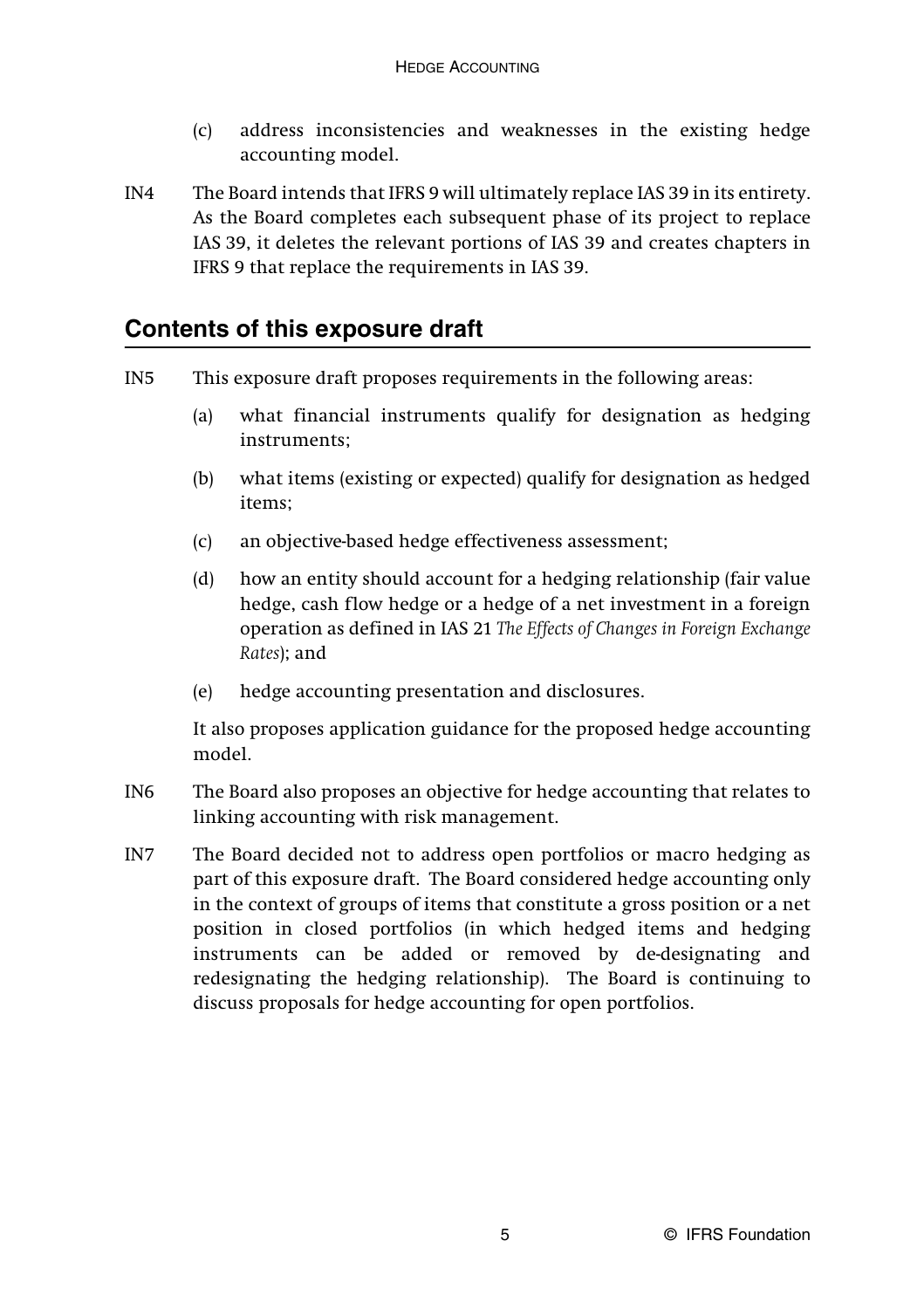- (c) address inconsistencies and weaknesses in the existing hedge accounting model.
- IN4 The Board intends that IFRS 9 will ultimately replace IAS 39 in its entirety. As the Board completes each subsequent phase of its project to replace IAS 39, it deletes the relevant portions of IAS 39 and creates chapters in IFRS 9 that replace the requirements in IAS 39.

# **Contents of this exposure draft**

- IN5 This exposure draft proposes requirements in the following areas:
	- (a) what financial instruments qualify for designation as hedging instruments;
	- (b) what items (existing or expected) qualify for designation as hedged items;
	- (c) an objective-based hedge effectiveness assessment;
	- (d) how an entity should account for a hedging relationship (fair value hedge, cash flow hedge or a hedge of a net investment in a foreign operation as defined in IAS 21 *The Effects of Changes in Foreign Exchange Rates*); and
	- (e) hedge accounting presentation and disclosures.

It also proposes application guidance for the proposed hedge accounting model.

- IN6 The Board also proposes an objective for hedge accounting that relates to linking accounting with risk management.
- IN7 The Board decided not to address open portfolios or macro hedging as part of this exposure draft. The Board considered hedge accounting only in the context of groups of items that constitute a gross position or a net position in closed portfolios (in which hedged items and hedging instruments can be added or removed by de-designating and redesignating the hedging relationship). The Board is continuing to discuss proposals for hedge accounting for open portfolios.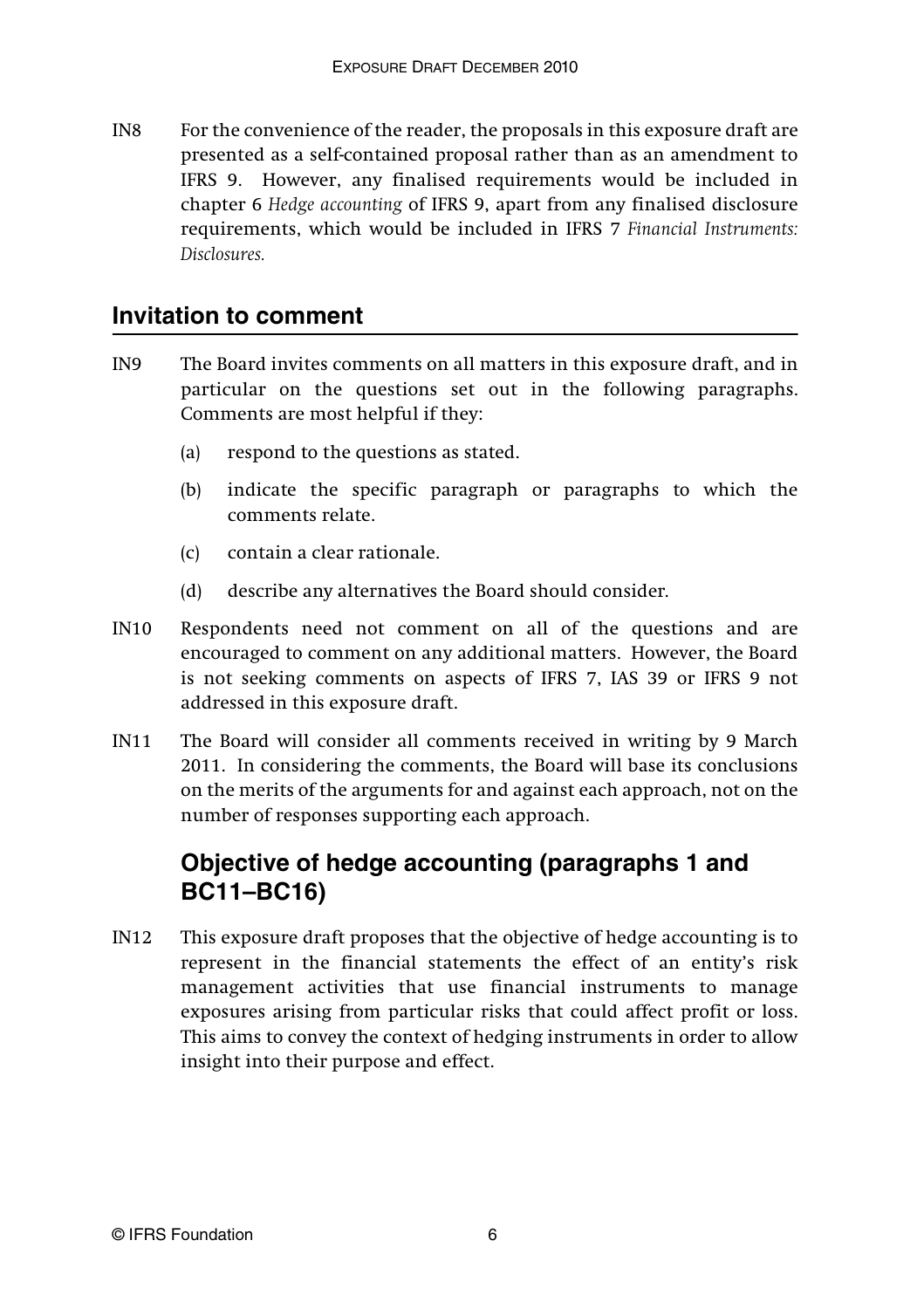IN8 For the convenience of the reader, the proposals in this exposure draft are presented as a self-contained proposal rather than as an amendment to IFRS 9. However, any finalised requirements would be included in chapter 6 *Hedge accounting* of IFRS 9, apart from any finalised disclosure requirements, which would be included in IFRS 7 *Financial Instruments: Disclosures.*

#### **Invitation to comment**

- IN9 The Board invites comments on all matters in this exposure draft, and in particular on the questions set out in the following paragraphs. Comments are most helpful if they:
	- (a) respond to the questions as stated.
	- (b) indicate the specific paragraph or paragraphs to which the comments relate.
	- (c) contain a clear rationale.
	- (d) describe any alternatives the Board should consider.
- IN10 Respondents need not comment on all of the questions and are encouraged to comment on any additional matters. However, the Board is not seeking comments on aspects of IFRS 7, IAS 39 or IFRS 9 not addressed in this exposure draft.
- IN11 The Board will consider all comments received in writing by 9 March 2011. In considering the comments, the Board will base its conclusions on the merits of the arguments for and against each approach, not on the number of responses supporting each approach.

# **Objective of hedge accounting (paragraphs 1 and BC11–BC16)**

IN12 This exposure draft proposes that the objective of hedge accounting is to represent in the financial statements the effect of an entity's risk management activities that use financial instruments to manage exposures arising from particular risks that could affect profit or loss. This aims to convey the context of hedging instruments in order to allow insight into their purpose and effect.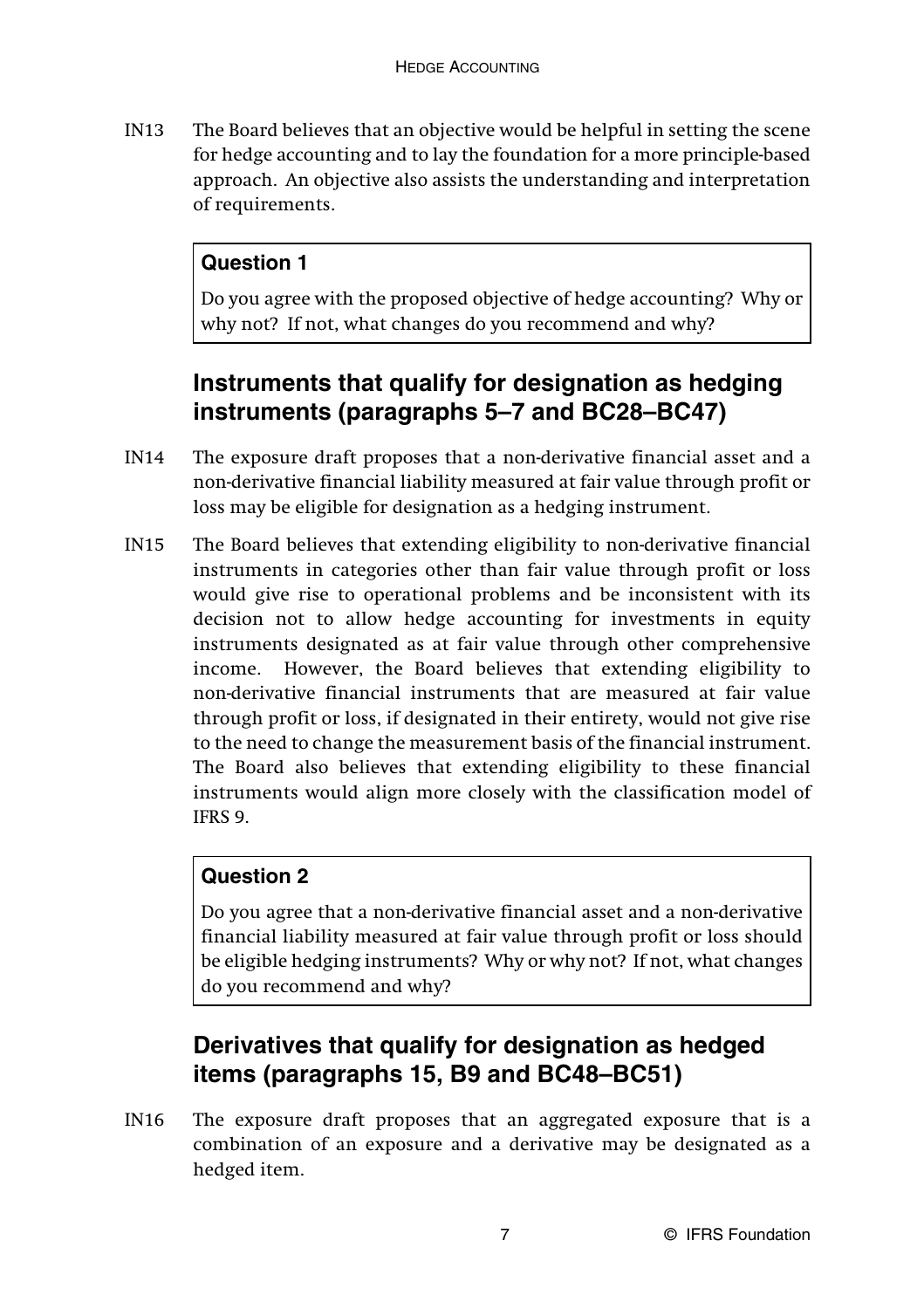IN13 The Board believes that an objective would be helpful in setting the scene for hedge accounting and to lay the foundation for a more principle-based approach. An objective also assists the understanding and interpretation of requirements.

### **Question 1**

Do you agree with the proposed objective of hedge accounting? Why or why not? If not, what changes do you recommend and why?

# **Instruments that qualify for designation as hedging instruments (paragraphs 5–7 and BC28–BC47)**

- IN14 The exposure draft proposes that a non-derivative financial asset and a non-derivative financial liability measured at fair value through profit or loss may be eligible for designation as a hedging instrument.
- IN15 The Board believes that extending eligibility to non-derivative financial instruments in categories other than fair value through profit or loss would give rise to operational problems and be inconsistent with its decision not to allow hedge accounting for investments in equity instruments designated as at fair value through other comprehensive income. However, the Board believes that extending eligibility to non-derivative financial instruments that are measured at fair value through profit or loss, if designated in their entirety, would not give rise to the need to change the measurement basis of the financial instrument. The Board also believes that extending eligibility to these financial instruments would align more closely with the classification model of IFRS 9.

# **Question 2**

Do you agree that a non-derivative financial asset and a non-derivative financial liability measured at fair value through profit or loss should be eligible hedging instruments? Why or why not? If not, what changes do you recommend and why?

# **Derivatives that qualify for designation as hedged items (paragraphs 15, B9 and BC48–BC51)**

IN16 The exposure draft proposes that an aggregated exposure that is a combination of an exposure and a derivative may be designated as a hedged item.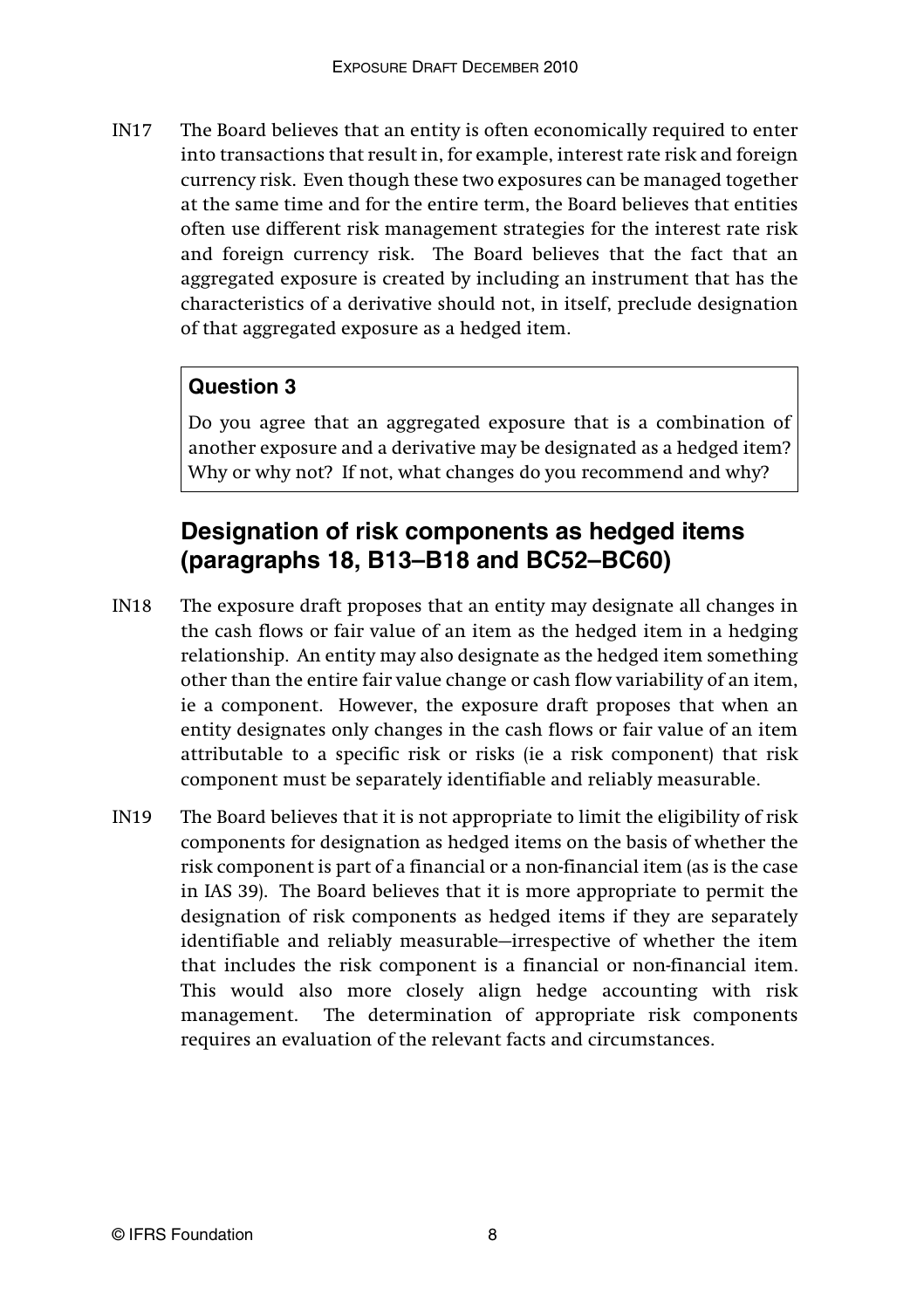IN17 The Board believes that an entity is often economically required to enter into transactions that result in, for example, interest rate risk and foreign currency risk. Even though these two exposures can be managed together at the same time and for the entire term, the Board believes that entities often use different risk management strategies for the interest rate risk and foreign currency risk. The Board believes that the fact that an aggregated exposure is created by including an instrument that has the characteristics of a derivative should not, in itself, preclude designation of that aggregated exposure as a hedged item.

#### **Question 3**

Do you agree that an aggregated exposure that is a combination of another exposure and a derivative may be designated as a hedged item? Why or why not? If not, what changes do you recommend and why?

# **Designation of risk components as hedged items (paragraphs 18, B13–B18 and BC52–BC60)**

- IN18 The exposure draft proposes that an entity may designate all changes in the cash flows or fair value of an item as the hedged item in a hedging relationship. An entity may also designate as the hedged item something other than the entire fair value change or cash flow variability of an item, ie a component. However, the exposure draft proposes that when an entity designates only changes in the cash flows or fair value of an item attributable to a specific risk or risks (ie a risk component) that risk component must be separately identifiable and reliably measurable.
- IN19 The Board believes that it is not appropriate to limit the eligibility of risk components for designation as hedged items on the basis of whether the risk component is part of a financial or a non-financial item (as is the case in IAS 39). The Board believes that it is more appropriate to permit the designation of risk components as hedged items if they are separately identifiable and reliably measurable—irrespective of whether the item that includes the risk component is a financial or non-financial item. This would also more closely align hedge accounting with risk management. The determination of appropriate risk components requires an evaluation of the relevant facts and circumstances.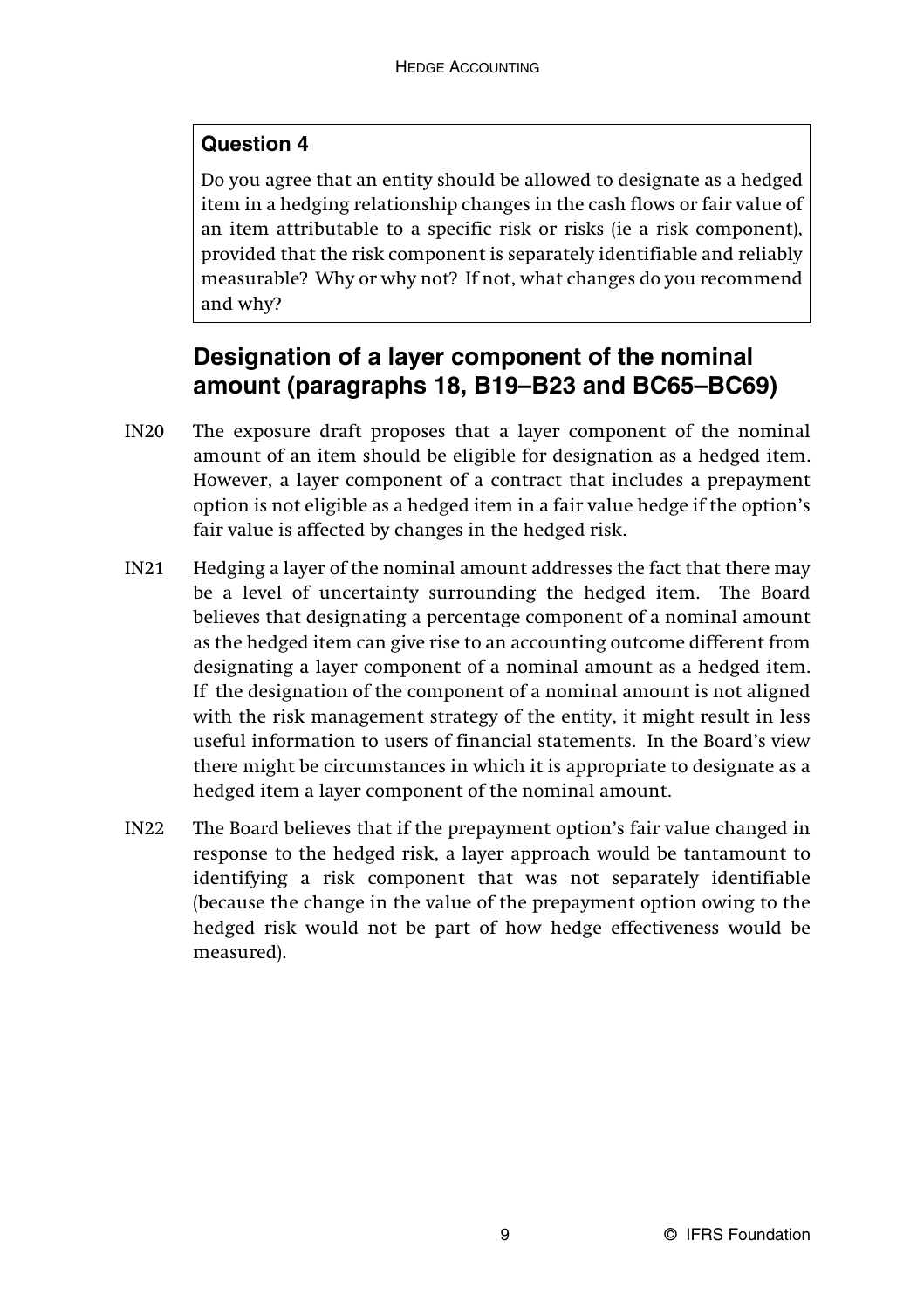Do you agree that an entity should be allowed to designate as a hedged item in a hedging relationship changes in the cash flows or fair value of an item attributable to a specific risk or risks (ie a risk component), provided that the risk component is separately identifiable and reliably measurable? Why or why not? If not, what changes do you recommend and why?

# **Designation of a layer component of the nominal amount (paragraphs 18, B19–B23 and BC65–BC69)**

- IN20 The exposure draft proposes that a layer component of the nominal amount of an item should be eligible for designation as a hedged item. However, a layer component of a contract that includes a prepayment option is not eligible as a hedged item in a fair value hedge if the option's fair value is affected by changes in the hedged risk.
- IN21 Hedging a layer of the nominal amount addresses the fact that there may be a level of uncertainty surrounding the hedged item. The Board believes that designating a percentage component of a nominal amount as the hedged item can give rise to an accounting outcome different from designating a layer component of a nominal amount as a hedged item. If the designation of the component of a nominal amount is not aligned with the risk management strategy of the entity, it might result in less useful information to users of financial statements. In the Board's view there might be circumstances in which it is appropriate to designate as a hedged item a layer component of the nominal amount.
- IN22 The Board believes that if the prepayment option's fair value changed in response to the hedged risk, a layer approach would be tantamount to identifying a risk component that was not separately identifiable (because the change in the value of the prepayment option owing to the hedged risk would not be part of how hedge effectiveness would be measured).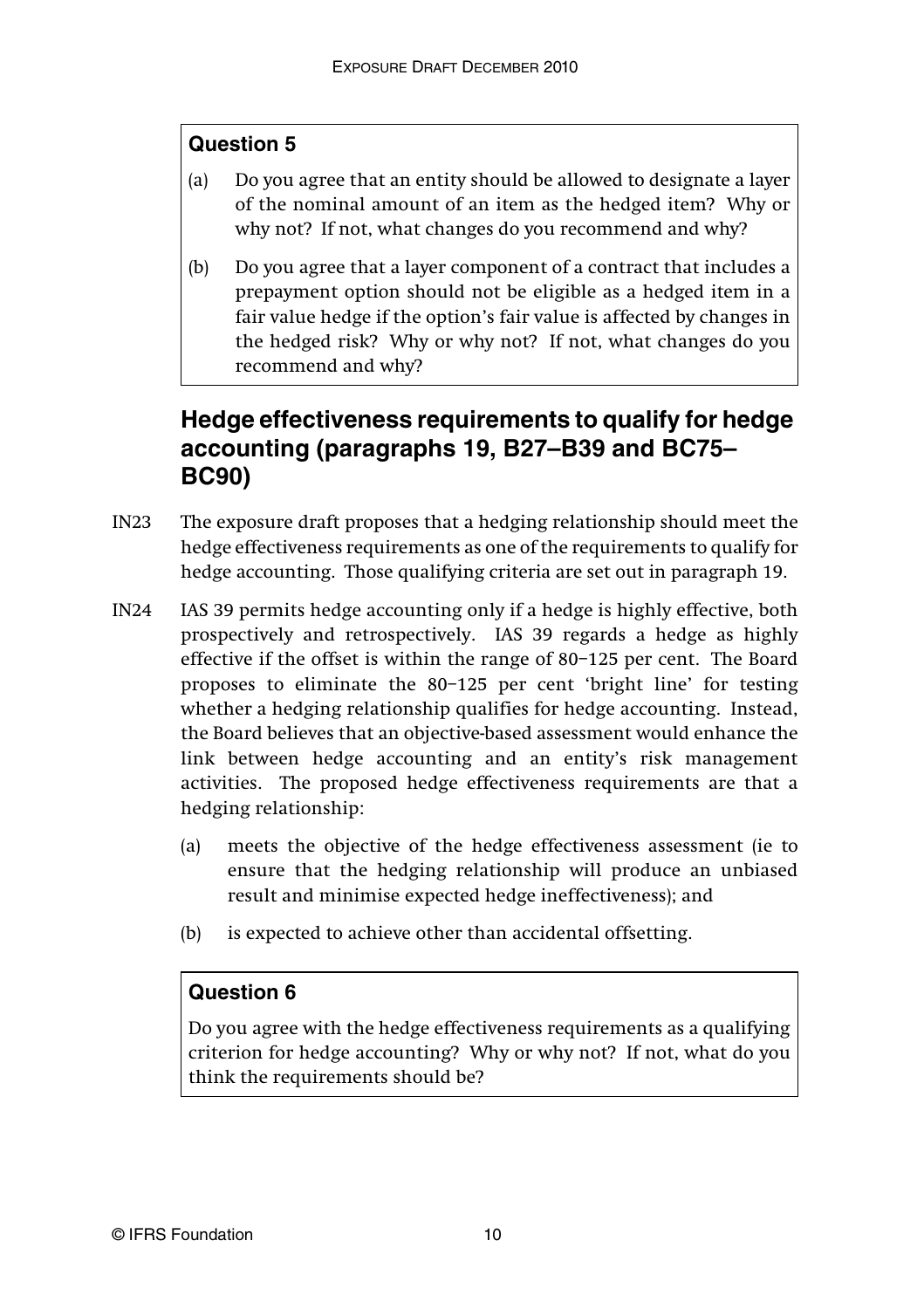- (a) Do you agree that an entity should be allowed to designate a layer of the nominal amount of an item as the hedged item? Why or why not? If not, what changes do you recommend and why?
- (b) Do you agree that a layer component of a contract that includes a prepayment option should not be eligible as a hedged item in a fair value hedge if the option's fair value is affected by changes in the hedged risk? Why or why not? If not, what changes do you recommend and why?

# **Hedge effectiveness requirements to qualify for hedge accounting (paragraphs 19, B27–B39 and BC75– BC90)**

- IN23 The exposure draft proposes that a hedging relationship should meet the hedge effectiveness requirements as one of the requirements to qualify for hedge accounting. Those qualifying criteria are set out in paragraph 19.
- IN24 IAS 39 permits hedge accounting only if a hedge is highly effective, both prospectively and retrospectively. IAS 39 regards a hedge as highly effective if the offset is within the range of 80–125 per cent. The Board proposes to eliminate the 80–125 per cent 'bright line' for testing whether a hedging relationship qualifies for hedge accounting. Instead, the Board believes that an objective-based assessment would enhance the link between hedge accounting and an entity's risk management activities. The proposed hedge effectiveness requirements are that a hedging relationship:
	- (a) meets the objective of the hedge effectiveness assessment (ie to ensure that the hedging relationship will produce an unbiased result and minimise expected hedge ineffectiveness); and
	- (b) is expected to achieve other than accidental offsetting.

#### **Question 6**

Do you agree with the hedge effectiveness requirements as a qualifying criterion for hedge accounting? Why or why not? If not, what do you think the requirements should be?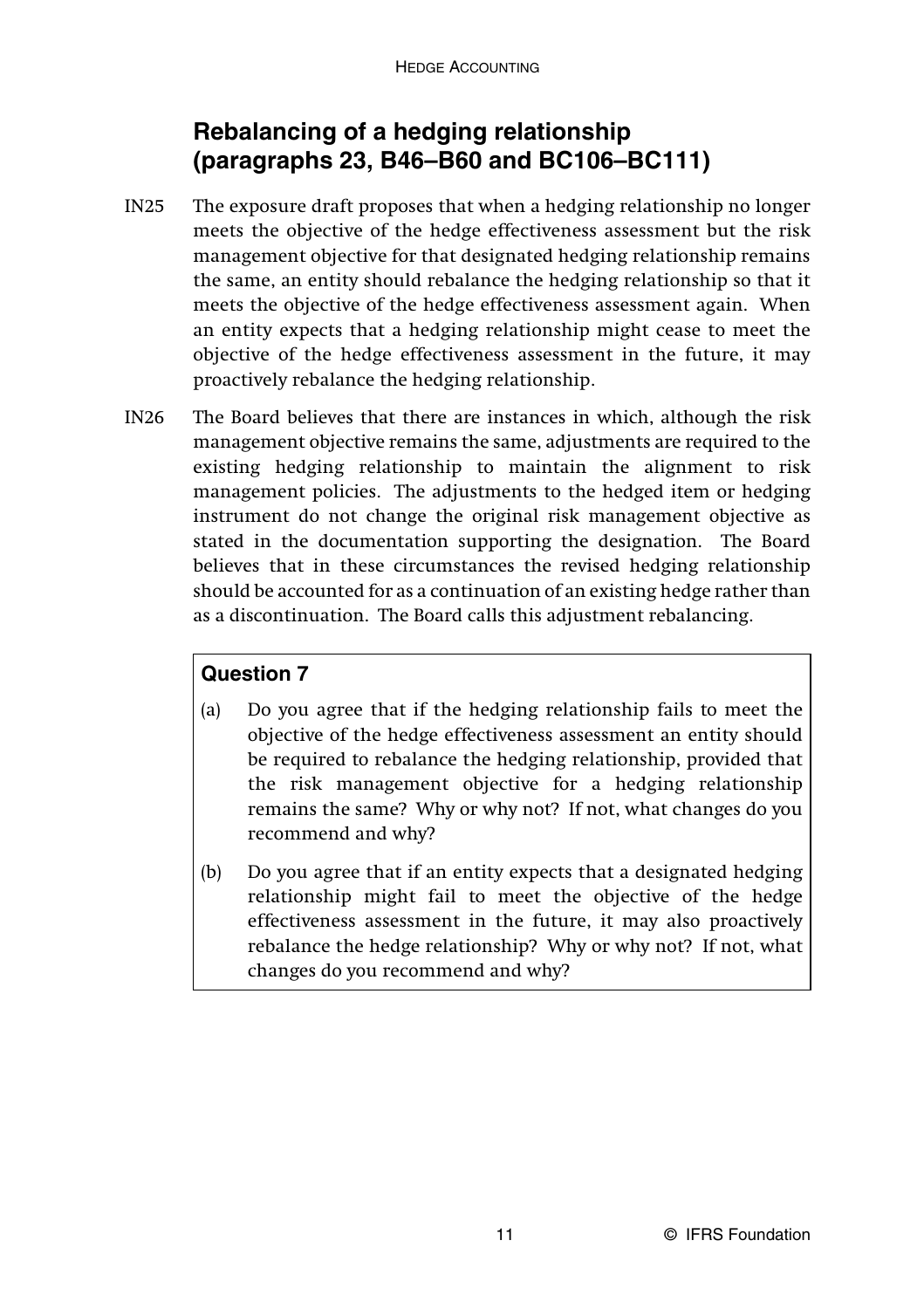# **Rebalancing of a hedging relationship (paragraphs 23, B46–B60 and BC106–BC111)**

- IN25 The exposure draft proposes that when a hedging relationship no longer meets the objective of the hedge effectiveness assessment but the risk management objective for that designated hedging relationship remains the same, an entity should rebalance the hedging relationship so that it meets the objective of the hedge effectiveness assessment again. When an entity expects that a hedging relationship might cease to meet the objective of the hedge effectiveness assessment in the future, it may proactively rebalance the hedging relationship.
- IN26 The Board believes that there are instances in which, although the risk management objective remains the same, adjustments are required to the existing hedging relationship to maintain the alignment to risk management policies. The adjustments to the hedged item or hedging instrument do not change the original risk management objective as stated in the documentation supporting the designation. The Board believes that in these circumstances the revised hedging relationship should be accounted for as a continuation of an existing hedge rather than as a discontinuation. The Board calls this adjustment rebalancing.

#### **Question 7**

- (a) Do you agree that if the hedging relationship fails to meet the objective of the hedge effectiveness assessment an entity should be required to rebalance the hedging relationship, provided that the risk management objective for a hedging relationship remains the same? Why or why not? If not, what changes do you recommend and why?
- (b) Do you agree that if an entity expects that a designated hedging relationship might fail to meet the objective of the hedge effectiveness assessment in the future, it may also proactively rebalance the hedge relationship? Why or why not? If not, what changes do you recommend and why?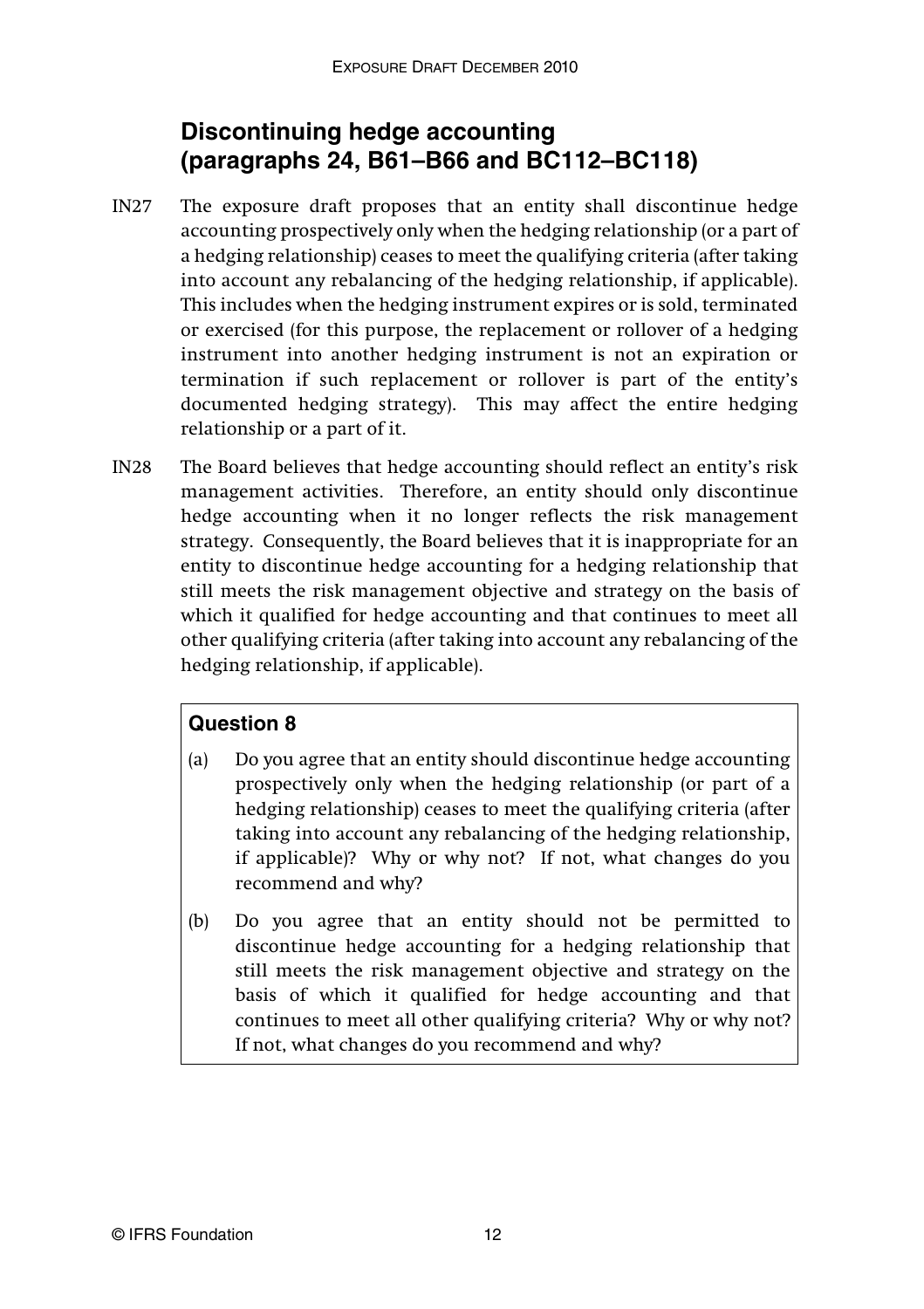# **Discontinuing hedge accounting (paragraphs 24, B61–B66 and BC112–BC118)**

- IN27 The exposure draft proposes that an entity shall discontinue hedge accounting prospectively only when the hedging relationship (or a part of a hedging relationship) ceases to meet the qualifying criteria (after taking into account any rebalancing of the hedging relationship, if applicable). This includes when the hedging instrument expires or is sold, terminated or exercised (for this purpose, the replacement or rollover of a hedging instrument into another hedging instrument is not an expiration or termination if such replacement or rollover is part of the entity's documented hedging strategy). This may affect the entire hedging relationship or a part of it.
- IN28 The Board believes that hedge accounting should reflect an entity's risk management activities. Therefore, an entity should only discontinue hedge accounting when it no longer reflects the risk management strategy. Consequently, the Board believes that it is inappropriate for an entity to discontinue hedge accounting for a hedging relationship that still meets the risk management objective and strategy on the basis of which it qualified for hedge accounting and that continues to meet all other qualifying criteria (after taking into account any rebalancing of the hedging relationship, if applicable).

#### **Question 8**

- (a) Do you agree that an entity should discontinue hedge accounting prospectively only when the hedging relationship (or part of a hedging relationship) ceases to meet the qualifying criteria (after taking into account any rebalancing of the hedging relationship, if applicable)? Why or why not? If not, what changes do you recommend and why?
- (b) Do you agree that an entity should not be permitted to discontinue hedge accounting for a hedging relationship that still meets the risk management objective and strategy on the basis of which it qualified for hedge accounting and that continues to meet all other qualifying criteria? Why or why not? If not, what changes do you recommend and why?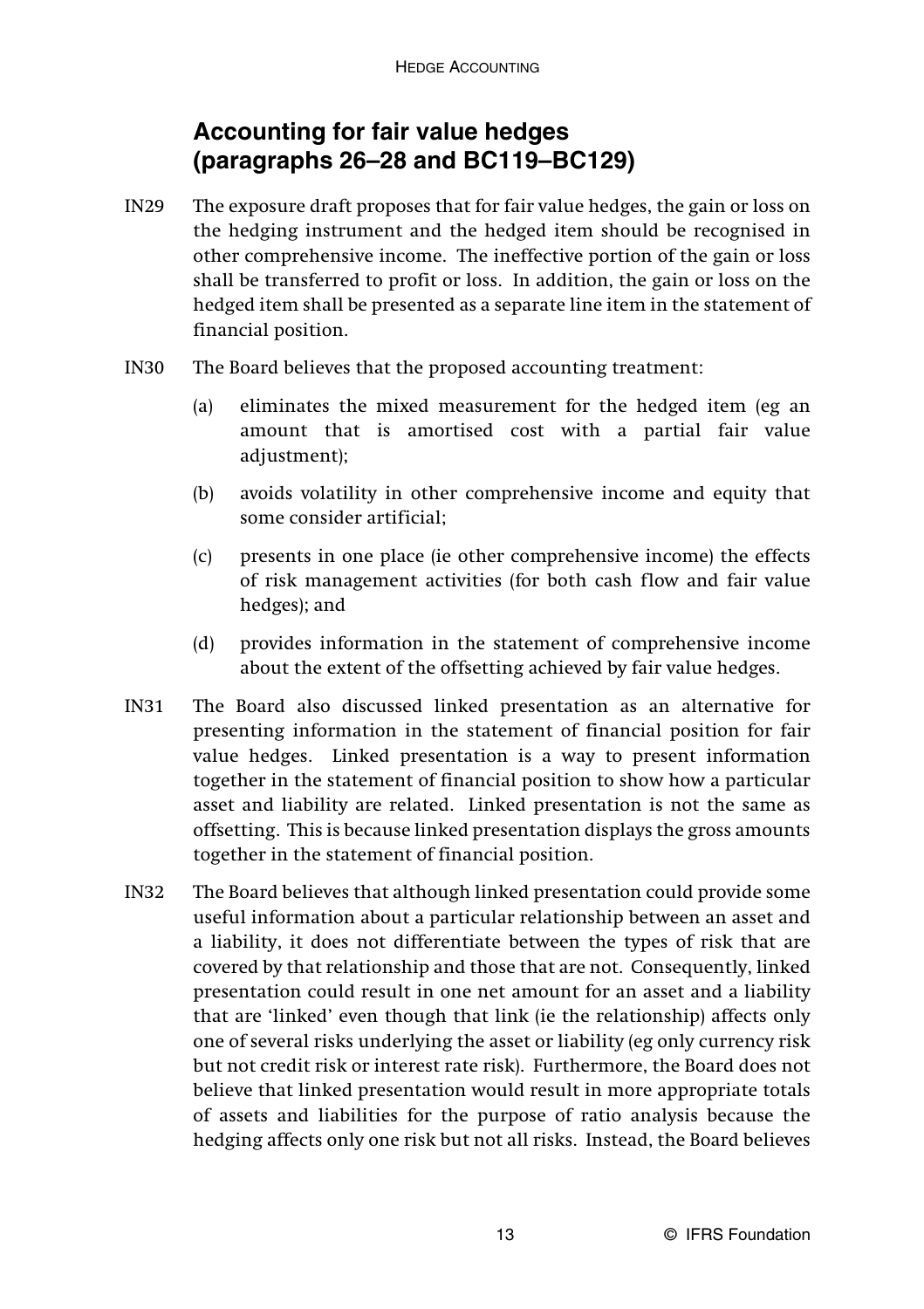# **Accounting for fair value hedges (paragraphs 26–28 and BC119–BC129)**

- IN29 The exposure draft proposes that for fair value hedges, the gain or loss on the hedging instrument and the hedged item should be recognised in other comprehensive income. The ineffective portion of the gain or loss shall be transferred to profit or loss. In addition, the gain or loss on the hedged item shall be presented as a separate line item in the statement of financial position.
- IN30 The Board believes that the proposed accounting treatment:
	- (a) eliminates the mixed measurement for the hedged item (eg an amount that is amortised cost with a partial fair value adjustment);
	- (b) avoids volatility in other comprehensive income and equity that some consider artificial;
	- (c) presents in one place (ie other comprehensive income) the effects of risk management activities (for both cash flow and fair value hedges); and
	- (d) provides information in the statement of comprehensive income about the extent of the offsetting achieved by fair value hedges.
- IN31 The Board also discussed linked presentation as an alternative for presenting information in the statement of financial position for fair value hedges. Linked presentation is a way to present information together in the statement of financial position to show how a particular asset and liability are related. Linked presentation is not the same as offsetting. This is because linked presentation displays the gross amounts together in the statement of financial position.
- IN32 The Board believes that although linked presentation could provide some useful information about a particular relationship between an asset and a liability, it does not differentiate between the types of risk that are covered by that relationship and those that are not. Consequently, linked presentation could result in one net amount for an asset and a liability that are 'linked' even though that link (ie the relationship) affects only one of several risks underlying the asset or liability (eg only currency risk but not credit risk or interest rate risk). Furthermore, the Board does not believe that linked presentation would result in more appropriate totals of assets and liabilities for the purpose of ratio analysis because the hedging affects only one risk but not all risks. Instead, the Board believes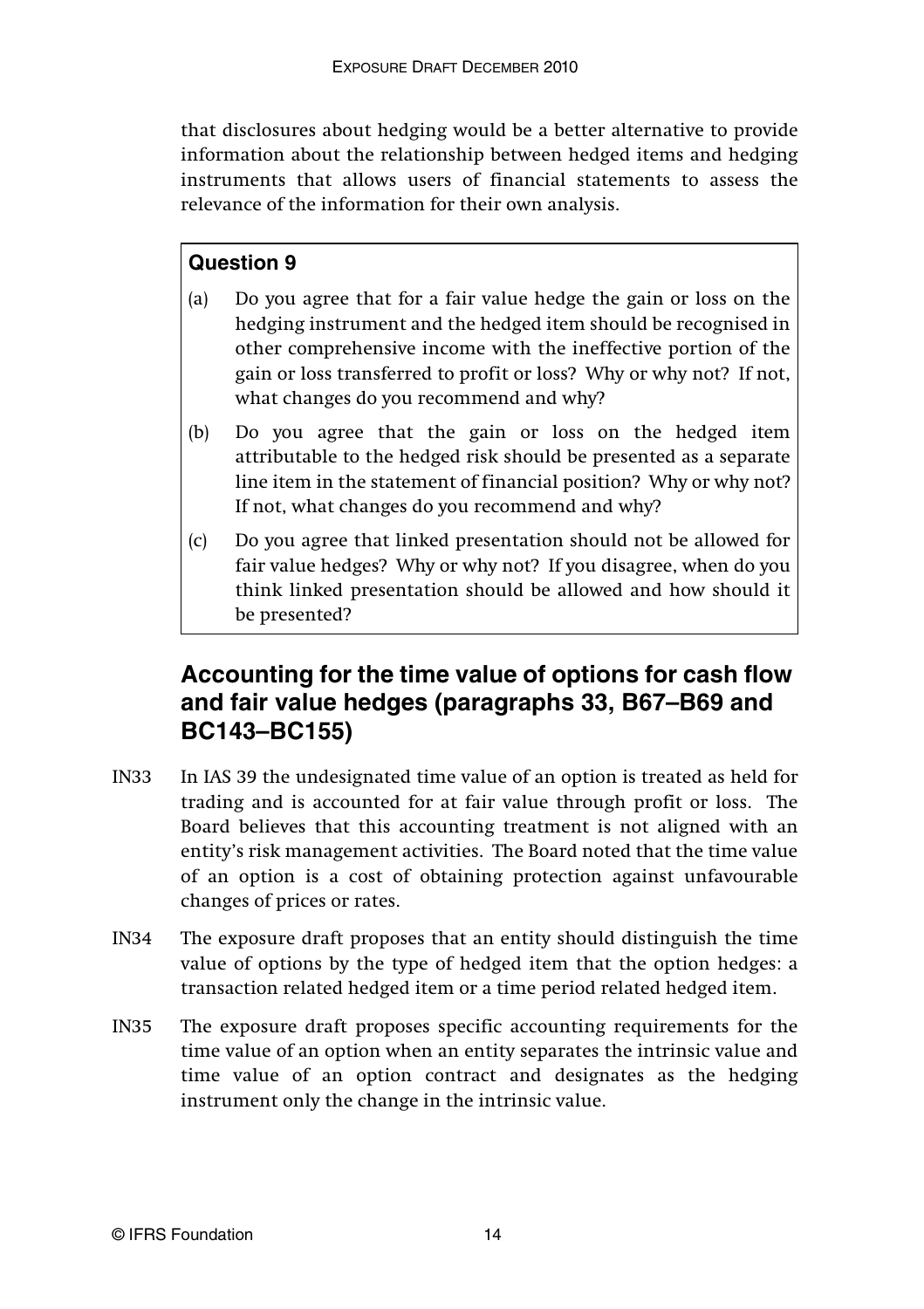that disclosures about hedging would be a better alternative to provide information about the relationship between hedged items and hedging instruments that allows users of financial statements to assess the relevance of the information for their own analysis.

#### **Question 9**

- (a) Do you agree that for a fair value hedge the gain or loss on the hedging instrument and the hedged item should be recognised in other comprehensive income with the ineffective portion of the gain or loss transferred to profit or loss? Why or why not? If not, what changes do you recommend and why?
- (b) Do you agree that the gain or loss on the hedged item attributable to the hedged risk should be presented as a separate line item in the statement of financial position? Why or why not? If not, what changes do you recommend and why?
- (c) Do you agree that linked presentation should not be allowed for fair value hedges? Why or why not? If you disagree, when do you think linked presentation should be allowed and how should it be presented?

# **Accounting for the time value of options for cash flow and fair value hedges (paragraphs 33, B67–B69 and BC143–BC155)**

- IN33 In IAS 39 the undesignated time value of an option is treated as held for trading and is accounted for at fair value through profit or loss. The Board believes that this accounting treatment is not aligned with an entity's risk management activities. The Board noted that the time value of an option is a cost of obtaining protection against unfavourable changes of prices or rates.
- IN34 The exposure draft proposes that an entity should distinguish the time value of options by the type of hedged item that the option hedges: a transaction related hedged item or a time period related hedged item.
- IN35 The exposure draft proposes specific accounting requirements for the time value of an option when an entity separates the intrinsic value and time value of an option contract and designates as the hedging instrument only the change in the intrinsic value.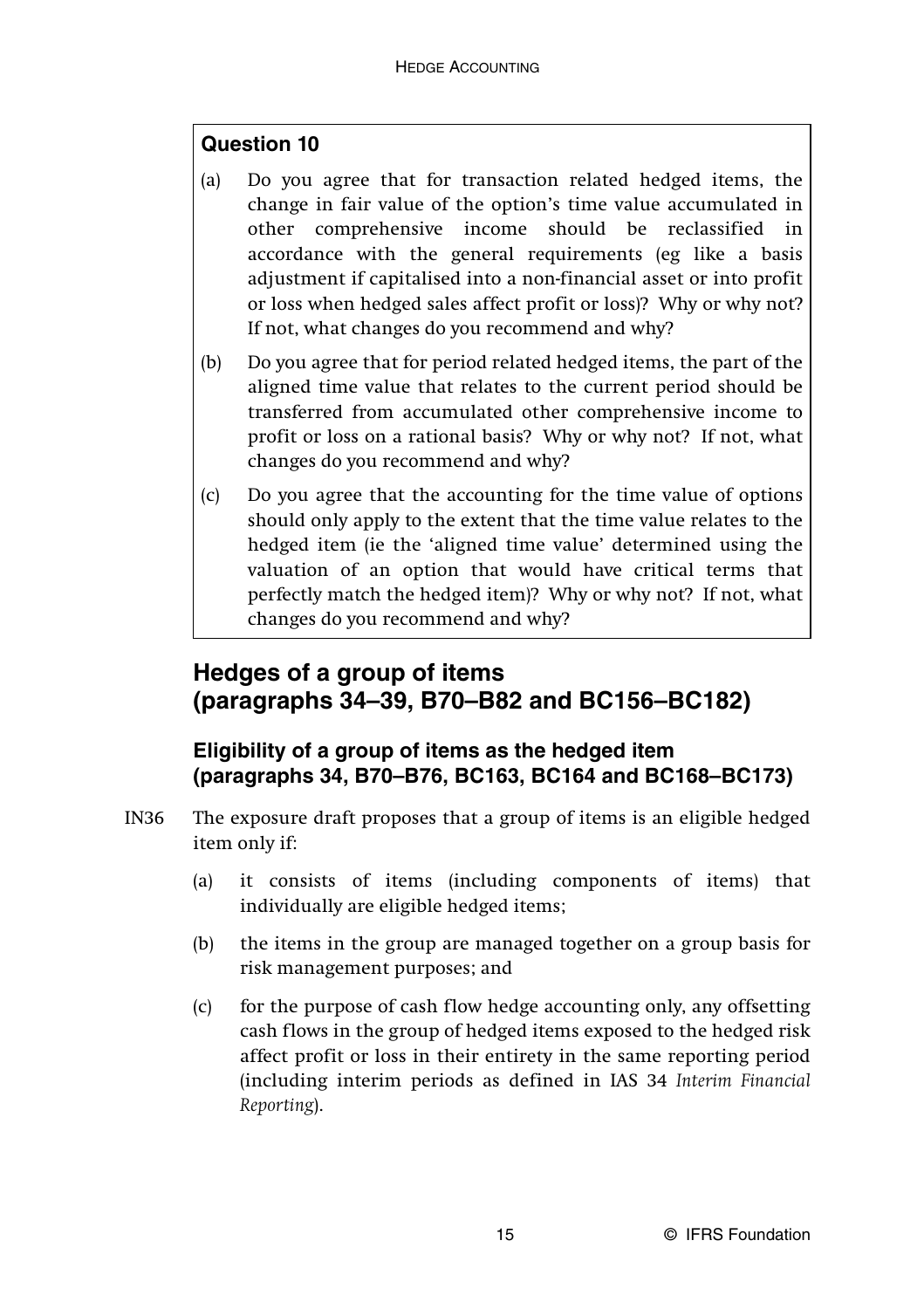- (a) Do you agree that for transaction related hedged items, the change in fair value of the option's time value accumulated in other comprehensive income should be reclassified in accordance with the general requirements (eg like a basis adjustment if capitalised into a non-financial asset or into profit or loss when hedged sales affect profit or loss)? Why or why not? If not, what changes do you recommend and why?
- (b) Do you agree that for period related hedged items, the part of the aligned time value that relates to the current period should be transferred from accumulated other comprehensive income to profit or loss on a rational basis? Why or why not? If not, what changes do you recommend and why?
- (c) Do you agree that the accounting for the time value of options should only apply to the extent that the time value relates to the hedged item (ie the 'aligned time value' determined using the valuation of an option that would have critical terms that perfectly match the hedged item)? Why or why not? If not, what changes do you recommend and why?

# **Hedges of a group of items (paragraphs 34–39, B70–B82 and BC156–BC182)**

#### **Eligibility of a group of items as the hedged item (paragraphs 34, B70–B76, BC163, BC164 and BC168–BC173)**

- IN36 The exposure draft proposes that a group of items is an eligible hedged item only if:
	- (a) it consists of items (including components of items) that individually are eligible hedged items;
	- (b) the items in the group are managed together on a group basis for risk management purposes; and
	- (c) for the purpose of cash flow hedge accounting only, any offsetting cash flows in the group of hedged items exposed to the hedged risk affect profit or loss in their entirety in the same reporting period (including interim periods as defined in IAS 34 *Interim Financial Reporting*).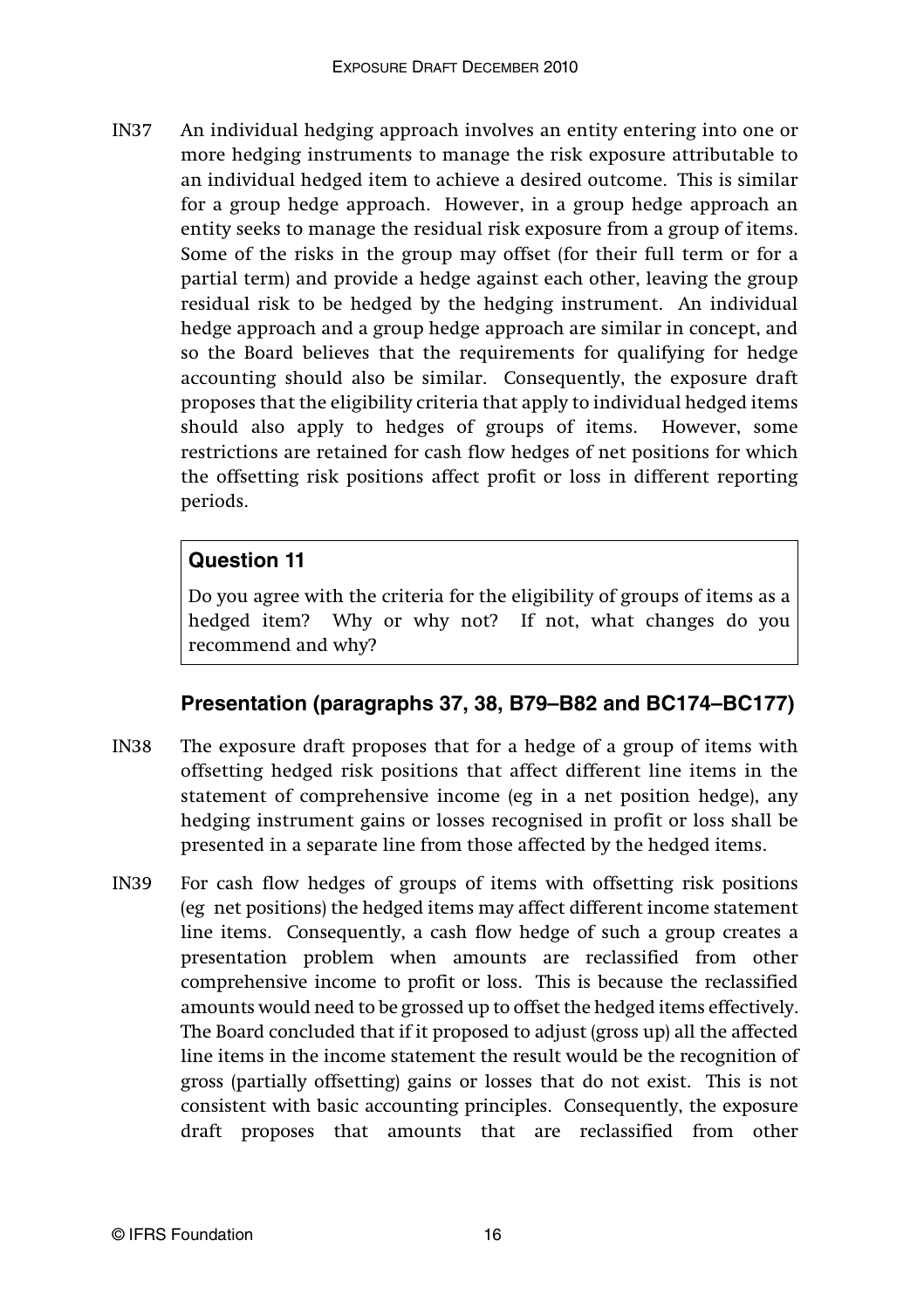IN37 An individual hedging approach involves an entity entering into one or more hedging instruments to manage the risk exposure attributable to an individual hedged item to achieve a desired outcome. This is similar for a group hedge approach. However, in a group hedge approach an entity seeks to manage the residual risk exposure from a group of items. Some of the risks in the group may offset (for their full term or for a partial term) and provide a hedge against each other, leaving the group residual risk to be hedged by the hedging instrument. An individual hedge approach and a group hedge approach are similar in concept, and so the Board believes that the requirements for qualifying for hedge accounting should also be similar. Consequently, the exposure draft proposes that the eligibility criteria that apply to individual hedged items should also apply to hedges of groups of items. However, some restrictions are retained for cash flow hedges of net positions for which the offsetting risk positions affect profit or loss in different reporting periods.

#### **Question 11**

Do you agree with the criteria for the eligibility of groups of items as a hedged item? Why or why not? If not, what changes do you recommend and why?

#### **Presentation (paragraphs 37, 38, B79–B82 and BC174–BC177)**

- IN38 The exposure draft proposes that for a hedge of a group of items with offsetting hedged risk positions that affect different line items in the statement of comprehensive income (eg in a net position hedge), any hedging instrument gains or losses recognised in profit or loss shall be presented in a separate line from those affected by the hedged items.
- IN39 For cash flow hedges of groups of items with offsetting risk positions (eg net positions) the hedged items may affect different income statement line items. Consequently, a cash flow hedge of such a group creates a presentation problem when amounts are reclassified from other comprehensive income to profit or loss. This is because the reclassified amounts would need to be grossed up to offset the hedged items effectively. The Board concluded that if it proposed to adjust (gross up) all the affected line items in the income statement the result would be the recognition of gross (partially offsetting) gains or losses that do not exist. This is not consistent with basic accounting principles. Consequently, the exposure draft proposes that amounts that are reclassified from other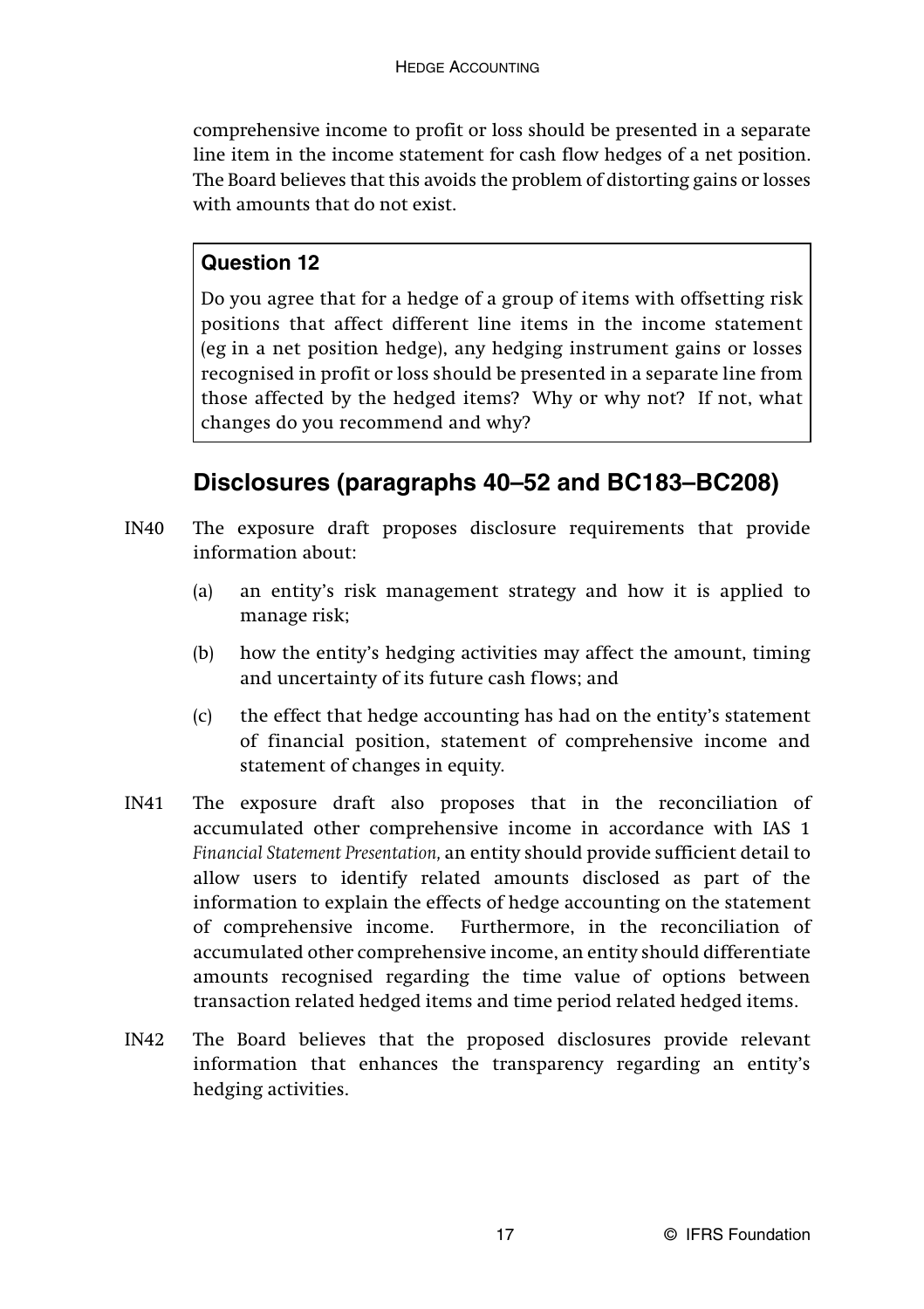comprehensive income to profit or loss should be presented in a separate line item in the income statement for cash flow hedges of a net position. The Board believes that this avoids the problem of distorting gains or losses with amounts that do not exist.

#### **Question 12**

Do you agree that for a hedge of a group of items with offsetting risk positions that affect different line items in the income statement (eg in a net position hedge), any hedging instrument gains or losses recognised in profit or loss should be presented in a separate line from those affected by the hedged items? Why or why not? If not, what changes do you recommend and why?

# **Disclosures (paragraphs 40–52 and BC183–BC208)**

- IN40 The exposure draft proposes disclosure requirements that provide information about:
	- (a) an entity's risk management strategy and how it is applied to manage risk;
	- (b) how the entity's hedging activities may affect the amount, timing and uncertainty of its future cash flows; and
	- (c) the effect that hedge accounting has had on the entity's statement of financial position, statement of comprehensive income and statement of changes in equity.
- IN41 The exposure draft also proposes that in the reconciliation of accumulated other comprehensive income in accordance with IAS 1 *Financial Statement Presentation,* an entity should provide sufficient detail to allow users to identify related amounts disclosed as part of the information to explain the effects of hedge accounting on the statement of comprehensive income. Furthermore, in the reconciliation of accumulated other comprehensive income, an entity should differentiate amounts recognised regarding the time value of options between transaction related hedged items and time period related hedged items.
- IN42 The Board believes that the proposed disclosures provide relevant information that enhances the transparency regarding an entity's hedging activities.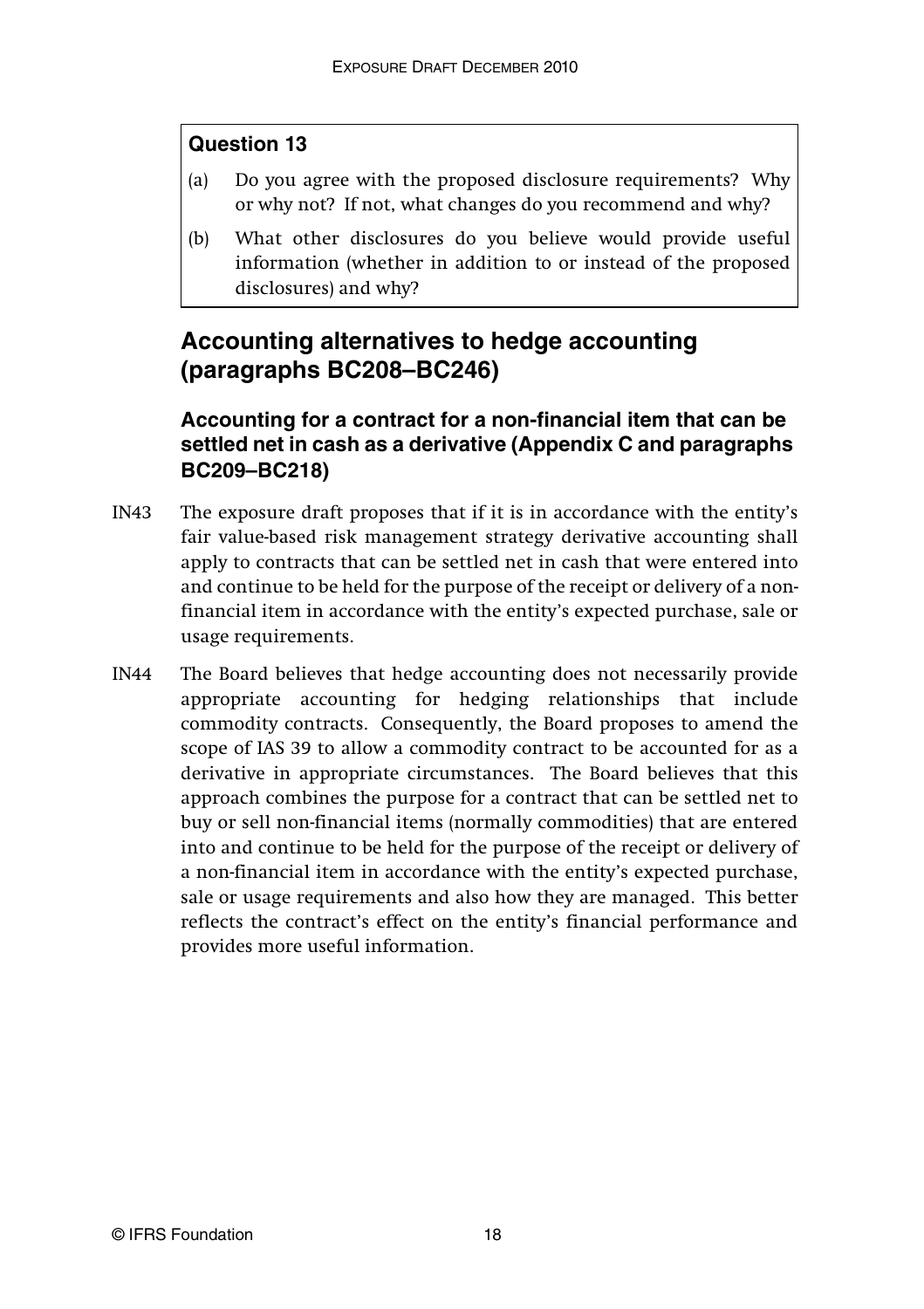- (a) Do you agree with the proposed disclosure requirements? Why or why not? If not, what changes do you recommend and why?
- (b) What other disclosures do you believe would provide useful information (whether in addition to or instead of the proposed disclosures) and why?

# **Accounting alternatives to hedge accounting (paragraphs BC208–BC246)**

#### **Accounting for a contract for a non-financial item that can be settled net in cash as a derivative (Appendix C and paragraphs BC209–BC218)**

- IN43 The exposure draft proposes that if it is in accordance with the entity's fair value-based risk management strategy derivative accounting shall apply to contracts that can be settled net in cash that were entered into and continue to be held for the purpose of the receipt or delivery of a nonfinancial item in accordance with the entity's expected purchase, sale or usage requirements.
- IN44 The Board believes that hedge accounting does not necessarily provide appropriate accounting for hedging relationships that include commodity contracts. Consequently, the Board proposes to amend the scope of IAS 39 to allow a commodity contract to be accounted for as a derivative in appropriate circumstances. The Board believes that this approach combines the purpose for a contract that can be settled net to buy or sell non-financial items (normally commodities) that are entered into and continue to be held for the purpose of the receipt or delivery of a non-financial item in accordance with the entity's expected purchase, sale or usage requirements and also how they are managed. This better reflects the contract's effect on the entity's financial performance and provides more useful information.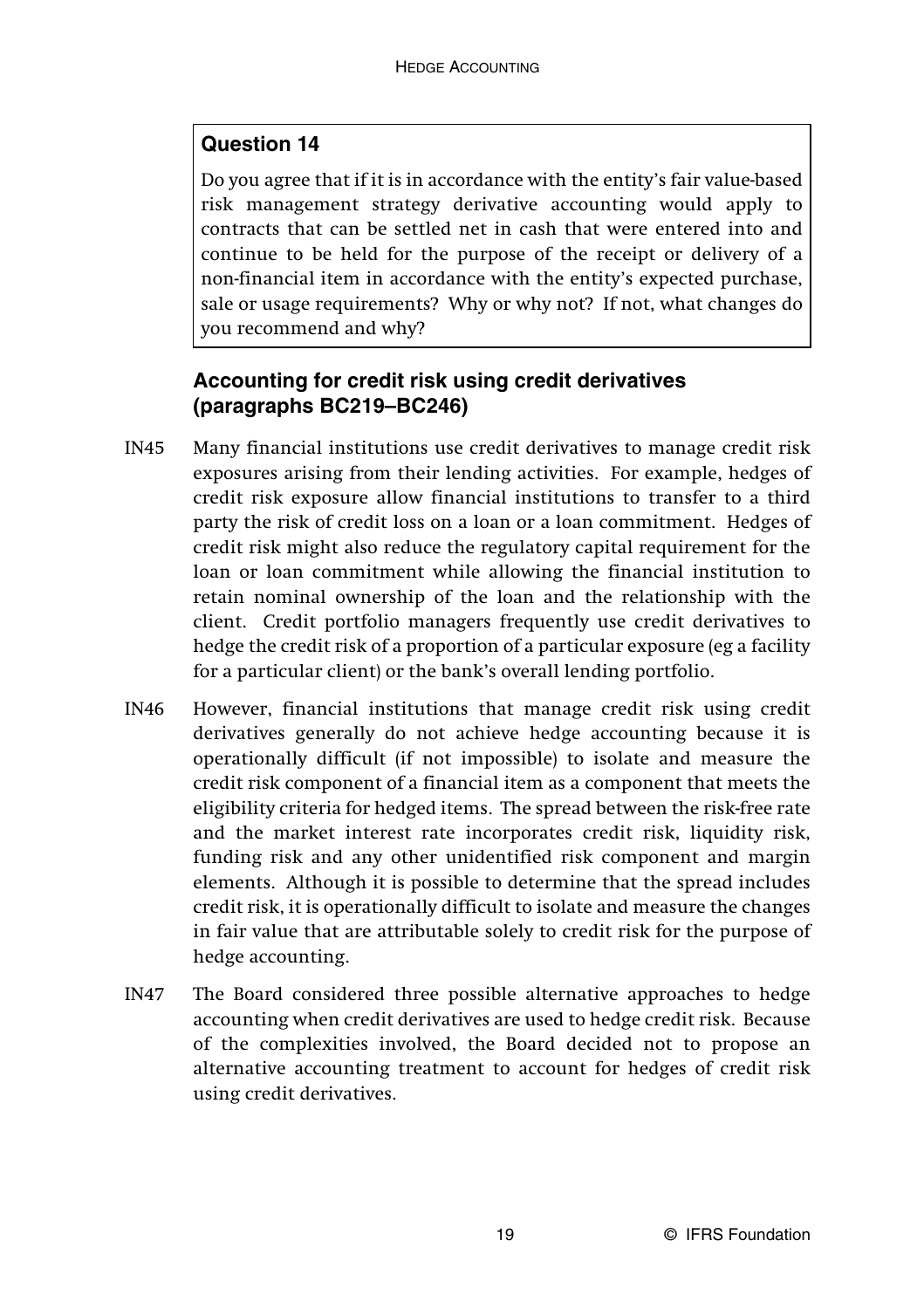Do you agree that if it is in accordance with the entity's fair value-based risk management strategy derivative accounting would apply to contracts that can be settled net in cash that were entered into and continue to be held for the purpose of the receipt or delivery of a non-financial item in accordance with the entity's expected purchase, sale or usage requirements? Why or why not? If not, what changes do you recommend and why?

#### **Accounting for credit risk using credit derivatives (paragraphs BC219–BC246)**

- IN45 Many financial institutions use credit derivatives to manage credit risk exposures arising from their lending activities. For example, hedges of credit risk exposure allow financial institutions to transfer to a third party the risk of credit loss on a loan or a loan commitment. Hedges of credit risk might also reduce the regulatory capital requirement for the loan or loan commitment while allowing the financial institution to retain nominal ownership of the loan and the relationship with the client. Credit portfolio managers frequently use credit derivatives to hedge the credit risk of a proportion of a particular exposure (eg a facility for a particular client) or the bank's overall lending portfolio.
- IN46 However, financial institutions that manage credit risk using credit derivatives generally do not achieve hedge accounting because it is operationally difficult (if not impossible) to isolate and measure the credit risk component of a financial item as a component that meets the eligibility criteria for hedged items. The spread between the risk-free rate and the market interest rate incorporates credit risk, liquidity risk, funding risk and any other unidentified risk component and margin elements. Although it is possible to determine that the spread includes credit risk, it is operationally difficult to isolate and measure the changes in fair value that are attributable solely to credit risk for the purpose of hedge accounting.
- IN47 The Board considered three possible alternative approaches to hedge accounting when credit derivatives are used to hedge credit risk. Because of the complexities involved, the Board decided not to propose an alternative accounting treatment to account for hedges of credit risk using credit derivatives.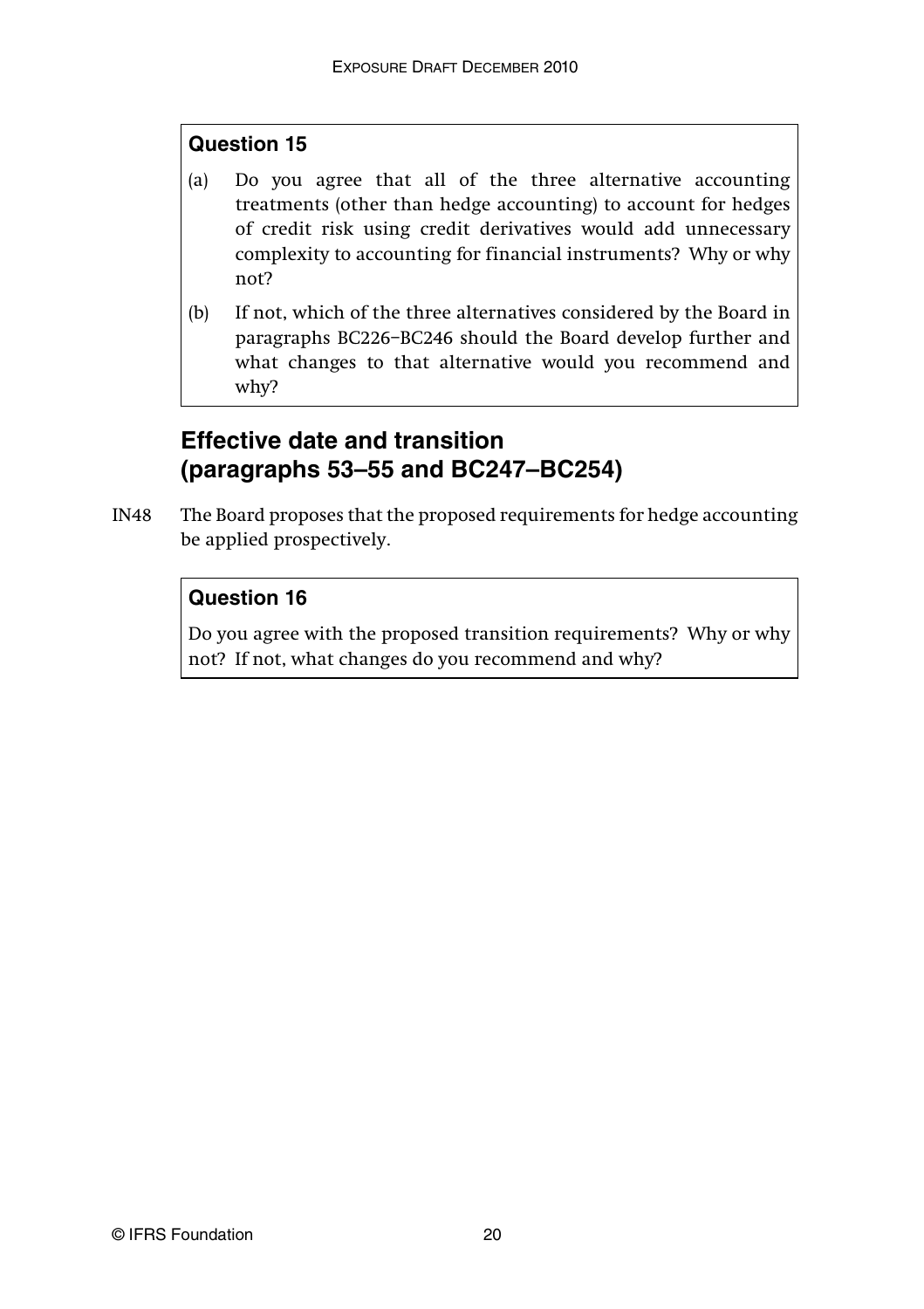- (a) Do you agree that all of the three alternative accounting treatments (other than hedge accounting) to account for hedges of credit risk using credit derivatives would add unnecessary complexity to accounting for financial instruments? Why or why not?
- (b) If not, which of the three alternatives considered by the Board in paragraphs BC226–BC246 should the Board develop further and what changes to that alternative would you recommend and why?

# **Effective date and transition (paragraphs 53–55 and BC247–BC254)**

IN48 The Board proposes that the proposed requirements for hedge accounting be applied prospectively.

#### **Question 16**

Do you agree with the proposed transition requirements? Why or why not? If not, what changes do you recommend and why?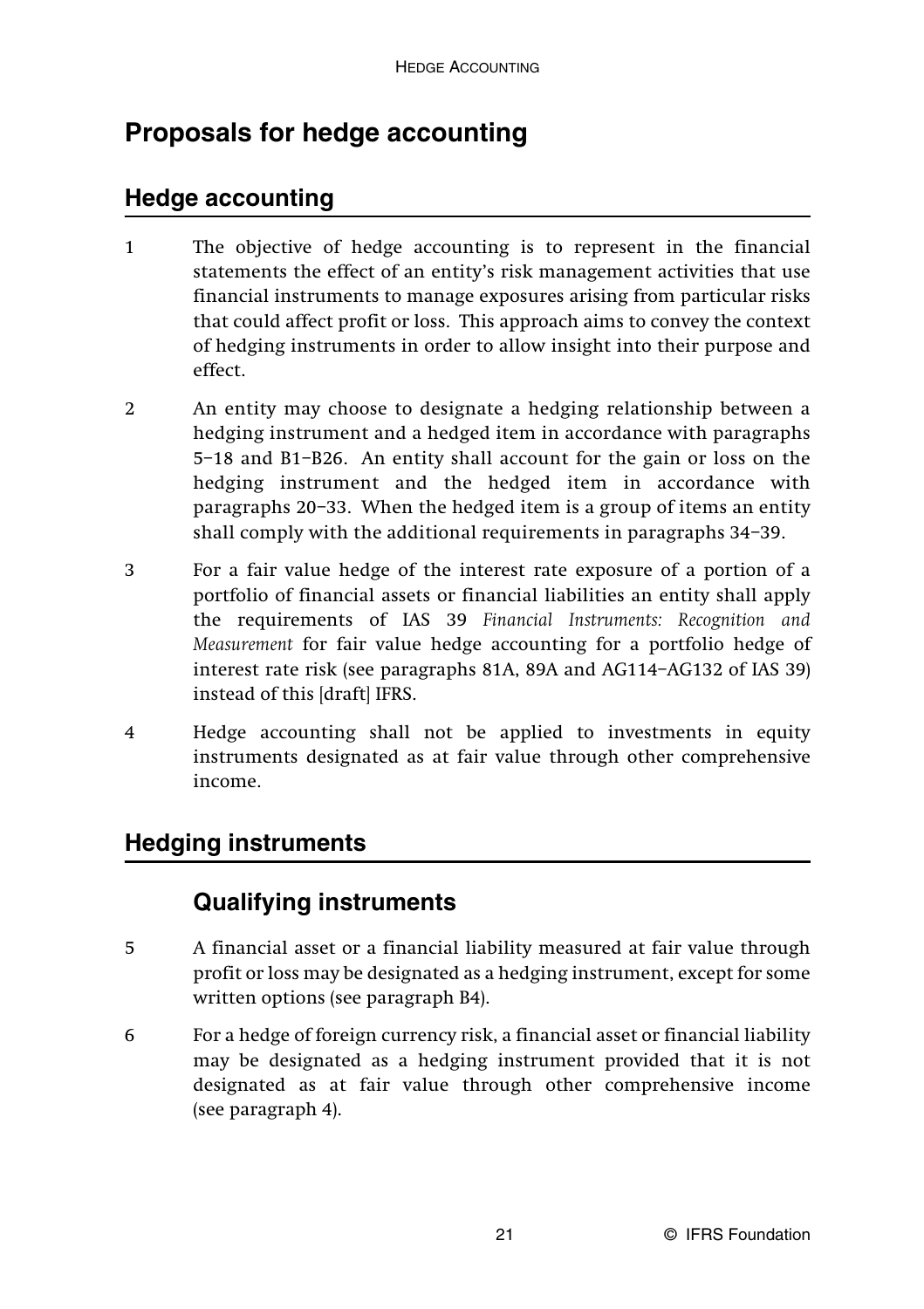# **Proposals for hedge accounting**

# **Hedge accounting**

- 1 The objective of hedge accounting is to represent in the financial statements the effect of an entity's risk management activities that use financial instruments to manage exposures arising from particular risks that could affect profit or loss. This approach aims to convey the context of hedging instruments in order to allow insight into their purpose and effect.
- 2 An entity may choose to designate a hedging relationship between a hedging instrument and a hedged item in accordance with paragraphs 5–18 and B1–B26. An entity shall account for the gain or loss on the hedging instrument and the hedged item in accordance with paragraphs 20–33. When the hedged item is a group of items an entity shall comply with the additional requirements in paragraphs 34–39.
- 3 For a fair value hedge of the interest rate exposure of a portion of a portfolio of financial assets or financial liabilities an entity shall apply the requirements of IAS 39 *Financial Instruments: Recognition and Measurement* for fair value hedge accounting for a portfolio hedge of interest rate risk (see paragraphs 81A, 89A and AG114–AG132 of IAS 39) instead of this [draft] IFRS.
- 4 Hedge accounting shall not be applied to investments in equity instruments designated as at fair value through other comprehensive income.

# **Hedging instruments**

# **Qualifying instruments**

- 5 A financial asset or a financial liability measured at fair value through profit or loss may be designated as a hedging instrument, except for some written options (see paragraph B4).
- 6 For a hedge of foreign currency risk, a financial asset or financial liability may be designated as a hedging instrument provided that it is not designated as at fair value through other comprehensive income (see paragraph 4).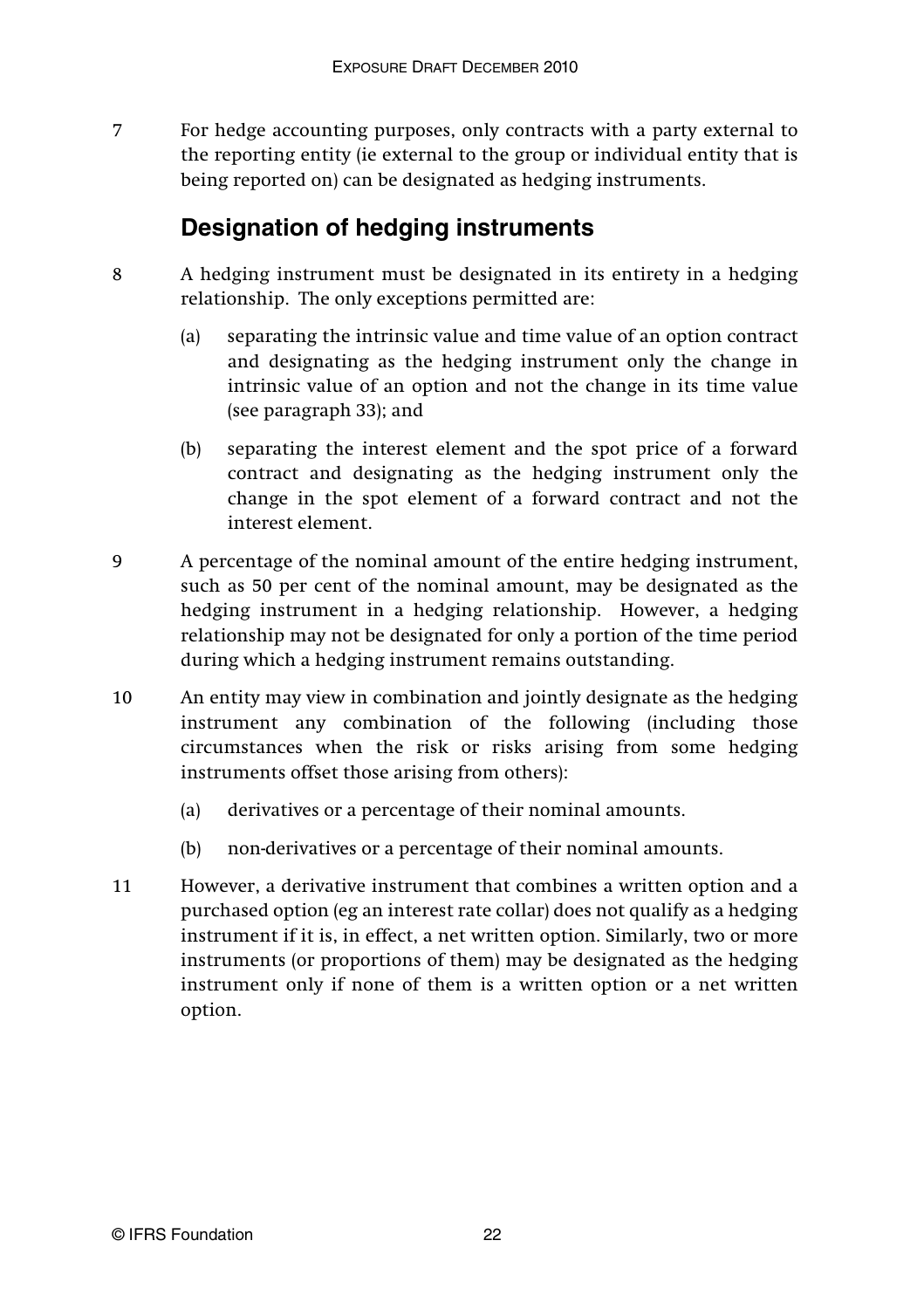7 For hedge accounting purposes, only contracts with a party external to the reporting entity (ie external to the group or individual entity that is being reported on) can be designated as hedging instruments.

# **Designation of hedging instruments**

- 8 A hedging instrument must be designated in its entirety in a hedging relationship. The only exceptions permitted are:
	- (a) separating the intrinsic value and time value of an option contract and designating as the hedging instrument only the change in intrinsic value of an option and not the change in its time value (see paragraph 33); and
	- (b) separating the interest element and the spot price of a forward contract and designating as the hedging instrument only the change in the spot element of a forward contract and not the interest element.
- 9 A percentage of the nominal amount of the entire hedging instrument, such as 50 per cent of the nominal amount, may be designated as the hedging instrument in a hedging relationship. However, a hedging relationship may not be designated for only a portion of the time period during which a hedging instrument remains outstanding.
- 10 An entity may view in combination and jointly designate as the hedging instrument any combination of the following (including those circumstances when the risk or risks arising from some hedging instruments offset those arising from others):
	- (a) derivatives or a percentage of their nominal amounts.
	- (b) non-derivatives or a percentage of their nominal amounts.
- 11 However, a derivative instrument that combines a written option and a purchased option (eg an interest rate collar) does not qualify as a hedging instrument if it is, in effect, a net written option. Similarly, two or more instruments (or proportions of them) may be designated as the hedging instrument only if none of them is a written option or a net written option.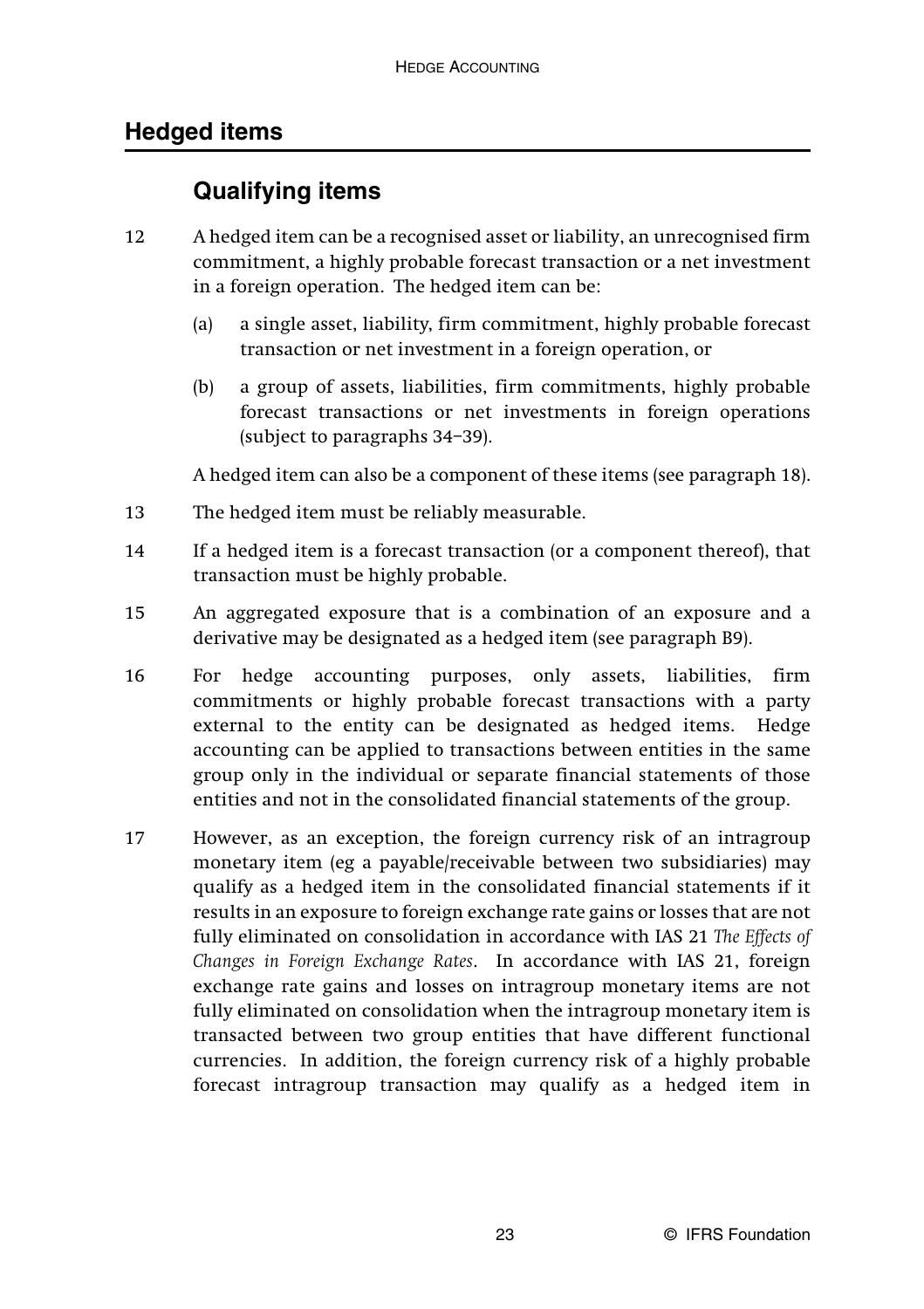# **Hedged items**

# **Qualifying items**

- 12 A hedged item can be a recognised asset or liability, an unrecognised firm commitment, a highly probable forecast transaction or a net investment in a foreign operation. The hedged item can be:
	- (a) a single asset, liability, firm commitment, highly probable forecast transaction or net investment in a foreign operation, or
	- (b) a group of assets, liabilities, firm commitments, highly probable forecast transactions or net investments in foreign operations (subject to paragraphs 34–39).

A hedged item can also be a component of these items (see paragraph 18).

- 13 The hedged item must be reliably measurable.
- 14 If a hedged item is a forecast transaction (or a component thereof), that transaction must be highly probable.
- 15 An aggregated exposure that is a combination of an exposure and a derivative may be designated as a hedged item (see paragraph B9).
- 16 For hedge accounting purposes, only assets, liabilities, firm commitments or highly probable forecast transactions with a party external to the entity can be designated as hedged items. Hedge accounting can be applied to transactions between entities in the same group only in the individual or separate financial statements of those entities and not in the consolidated financial statements of the group.
- 17 However, as an exception, the foreign currency risk of an intragroup monetary item (eg a payable/receivable between two subsidiaries) may qualify as a hedged item in the consolidated financial statements if it results in an exposure to foreign exchange rate gains or losses that are not fully eliminated on consolidation in accordance with IAS 21 *The Effects of Changes in Foreign Exchange Rates*. In accordance with IAS 21, foreign exchange rate gains and losses on intragroup monetary items are not fully eliminated on consolidation when the intragroup monetary item is transacted between two group entities that have different functional currencies. In addition, the foreign currency risk of a highly probable forecast intragroup transaction may qualify as a hedged item in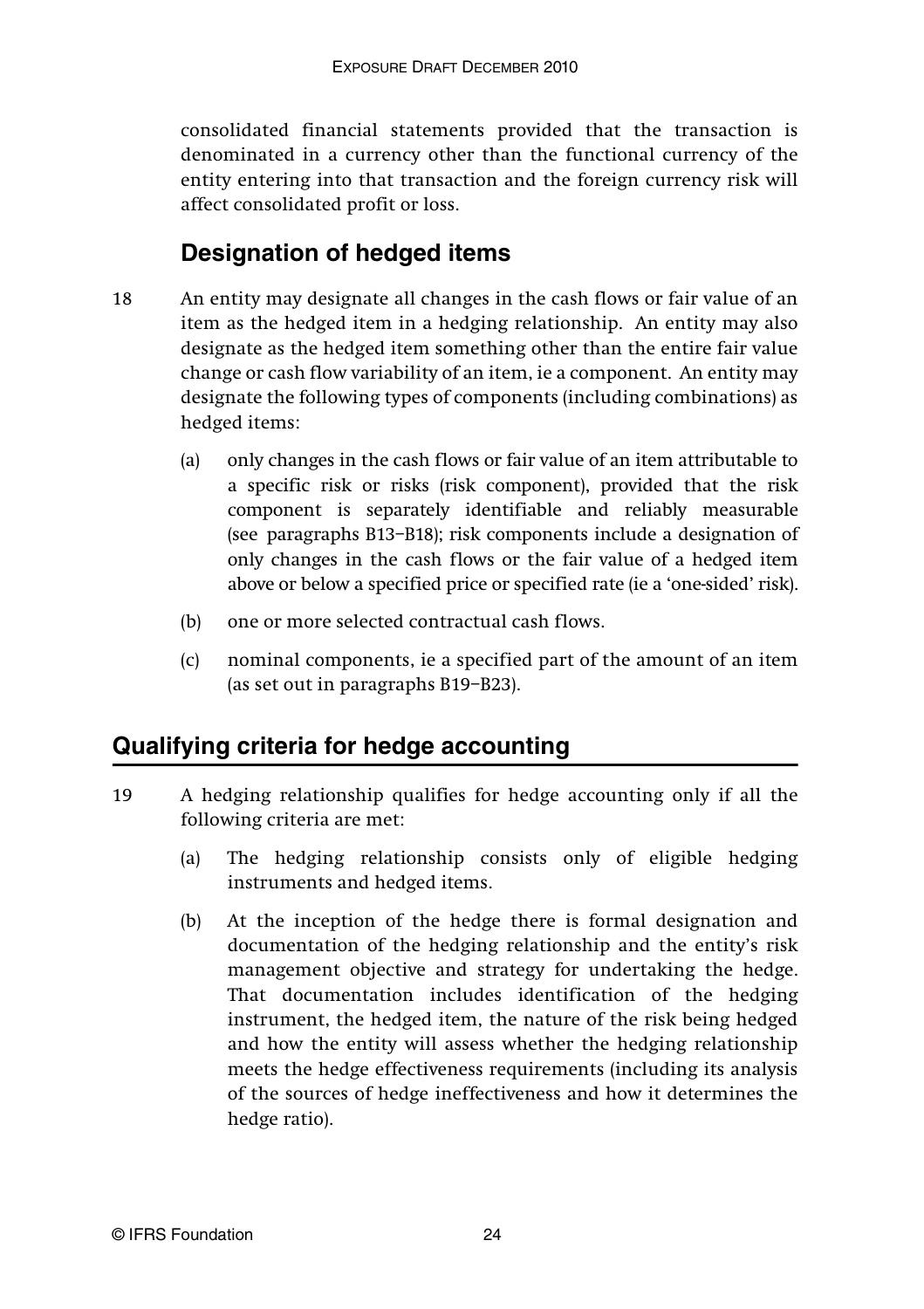consolidated financial statements provided that the transaction is denominated in a currency other than the functional currency of the entity entering into that transaction and the foreign currency risk will affect consolidated profit or loss.

# **Designation of hedged items**

- 18 An entity may designate all changes in the cash flows or fair value of an item as the hedged item in a hedging relationship. An entity may also designate as the hedged item something other than the entire fair value change or cash flow variability of an item, ie a component. An entity may designate the following types of components (including combinations) as hedged items:
	- (a) only changes in the cash flows or fair value of an item attributable to a specific risk or risks (risk component), provided that the risk component is separately identifiable and reliably measurable (see paragraphs B13–B18); risk components include a designation of only changes in the cash flows or the fair value of a hedged item above or below a specified price or specified rate (ie a 'one-sided' risk).
	- (b) one or more selected contractual cash flows.
	- (c) nominal components, ie a specified part of the amount of an item (as set out in paragraphs B19–B23).

# **Qualifying criteria for hedge accounting**

- 19 A hedging relationship qualifies for hedge accounting only if all the following criteria are met:
	- (a) The hedging relationship consists only of eligible hedging instruments and hedged items.
	- (b) At the inception of the hedge there is formal designation and documentation of the hedging relationship and the entity's risk management objective and strategy for undertaking the hedge. That documentation includes identification of the hedging instrument, the hedged item, the nature of the risk being hedged and how the entity will assess whether the hedging relationship meets the hedge effectiveness requirements (including its analysis of the sources of hedge ineffectiveness and how it determines the hedge ratio).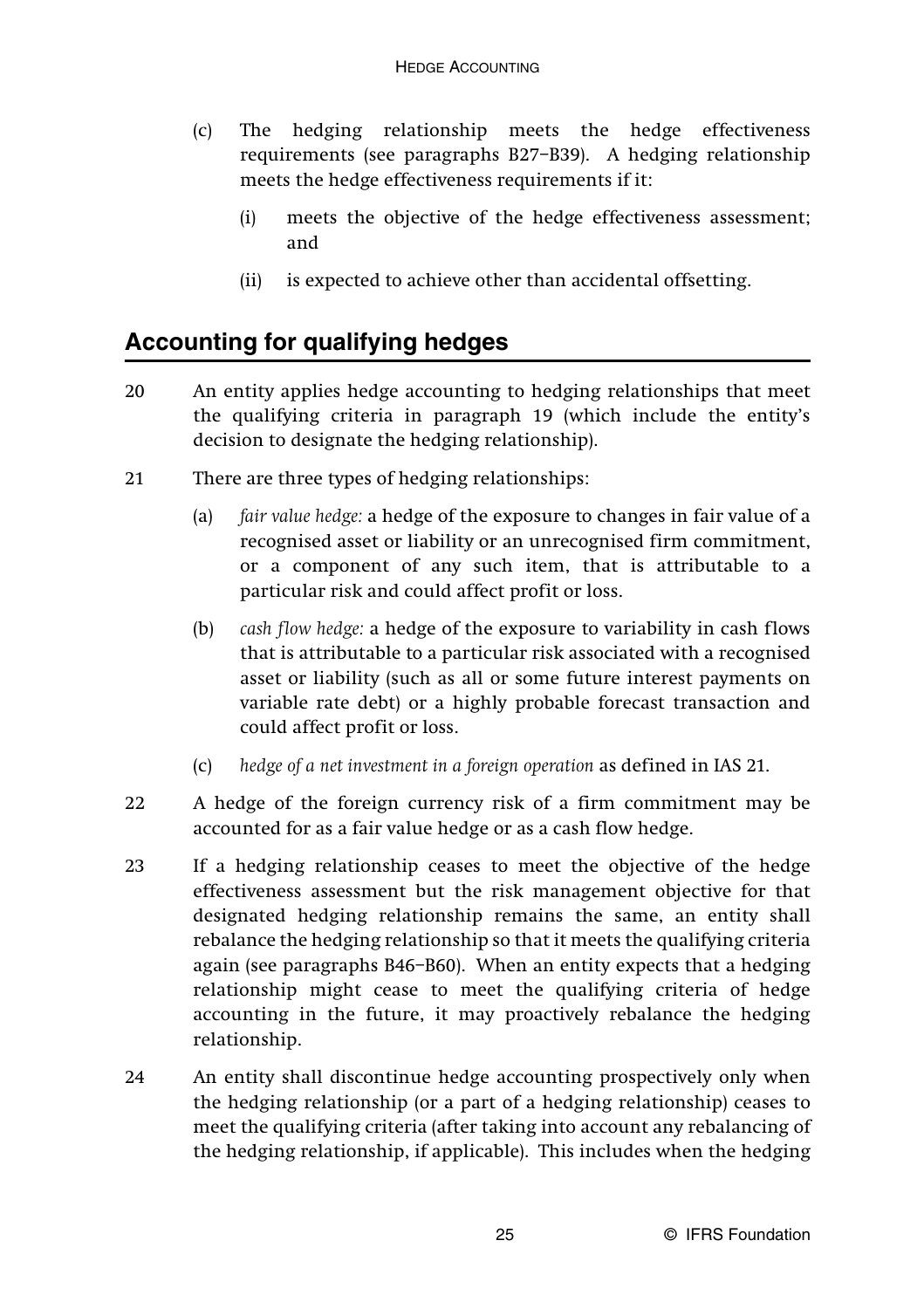- (c) The hedging relationship meets the hedge effectiveness requirements (see paragraphs B27–B39). A hedging relationship meets the hedge effectiveness requirements if it:
	- (i) meets the objective of the hedge effectiveness assessment; and
	- (ii) is expected to achieve other than accidental offsetting.

# **Accounting for qualifying hedges**

- 20 An entity applies hedge accounting to hedging relationships that meet the qualifying criteria in paragraph 19 (which include the entity's decision to designate the hedging relationship).
- 21 There are three types of hedging relationships:
	- (a) *fair value hedge:* a hedge of the exposure to changes in fair value of a recognised asset or liability or an unrecognised firm commitment, or a component of any such item, that is attributable to a particular risk and could affect profit or loss.
	- (b) *cash flow hedge:* a hedge of the exposure to variability in cash flows that is attributable to a particular risk associated with a recognised asset or liability (such as all or some future interest payments on variable rate debt) or a highly probable forecast transaction and could affect profit or loss.
	- (c) *hedge of a net investment in a foreign operation* as defined in IAS 21.
- 22 A hedge of the foreign currency risk of a firm commitment may be accounted for as a fair value hedge or as a cash flow hedge.
- 23 If a hedging relationship ceases to meet the objective of the hedge effectiveness assessment but the risk management objective for that designated hedging relationship remains the same, an entity shall rebalance the hedging relationship so that it meets the qualifying criteria again (see paragraphs B46–B60). When an entity expects that a hedging relationship might cease to meet the qualifying criteria of hedge accounting in the future, it may proactively rebalance the hedging relationship.
- 24 An entity shall discontinue hedge accounting prospectively only when the hedging relationship (or a part of a hedging relationship) ceases to meet the qualifying criteria (after taking into account any rebalancing of the hedging relationship, if applicable). This includes when the hedging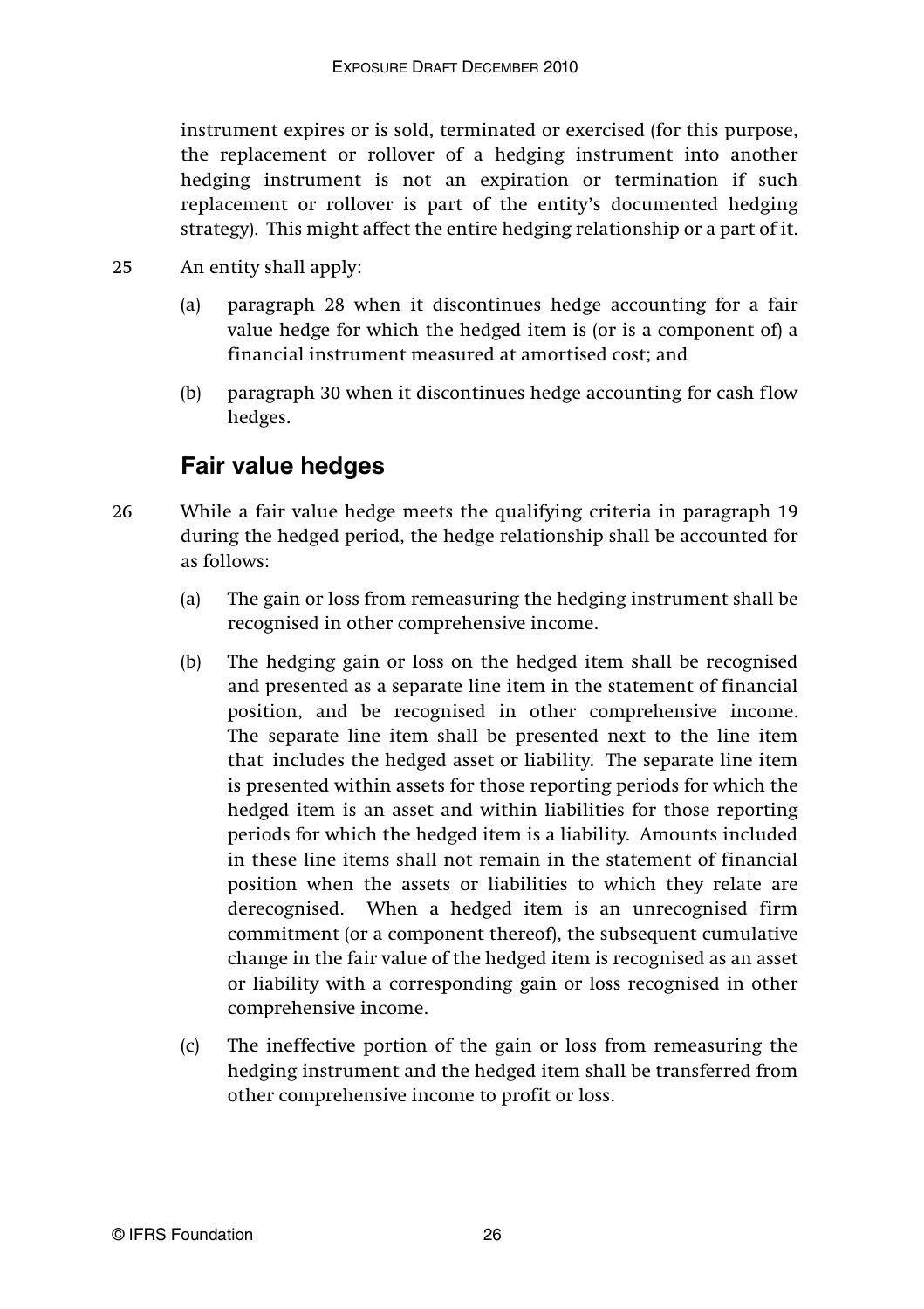instrument expires or is sold, terminated or exercised (for this purpose, the replacement or rollover of a hedging instrument into another hedging instrument is not an expiration or termination if such replacement or rollover is part of the entity's documented hedging strategy). This might affect the entire hedging relationship or a part of it.

- 25 An entity shall apply:
	- (a) paragraph 28 when it discontinues hedge accounting for a fair value hedge for which the hedged item is (or is a component of) a financial instrument measured at amortised cost; and
	- (b) paragraph 30 when it discontinues hedge accounting for cash flow hedges.

#### **Fair value hedges**

- 26 While a fair value hedge meets the qualifying criteria in paragraph 19 during the hedged period, the hedge relationship shall be accounted for as follows:
	- (a) The gain or loss from remeasuring the hedging instrument shall be recognised in other comprehensive income.
	- (b) The hedging gain or loss on the hedged item shall be recognised and presented as a separate line item in the statement of financial position, and be recognised in other comprehensive income. The separate line item shall be presented next to the line item that includes the hedged asset or liability. The separate line item is presented within assets for those reporting periods for which the hedged item is an asset and within liabilities for those reporting periods for which the hedged item is a liability. Amounts included in these line items shall not remain in the statement of financial position when the assets or liabilities to which they relate are derecognised. When a hedged item is an unrecognised firm commitment (or a component thereof), the subsequent cumulative change in the fair value of the hedged item is recognised as an asset or liability with a corresponding gain or loss recognised in other comprehensive income.
	- (c) The ineffective portion of the gain or loss from remeasuring the hedging instrument and the hedged item shall be transferred from other comprehensive income to profit or loss.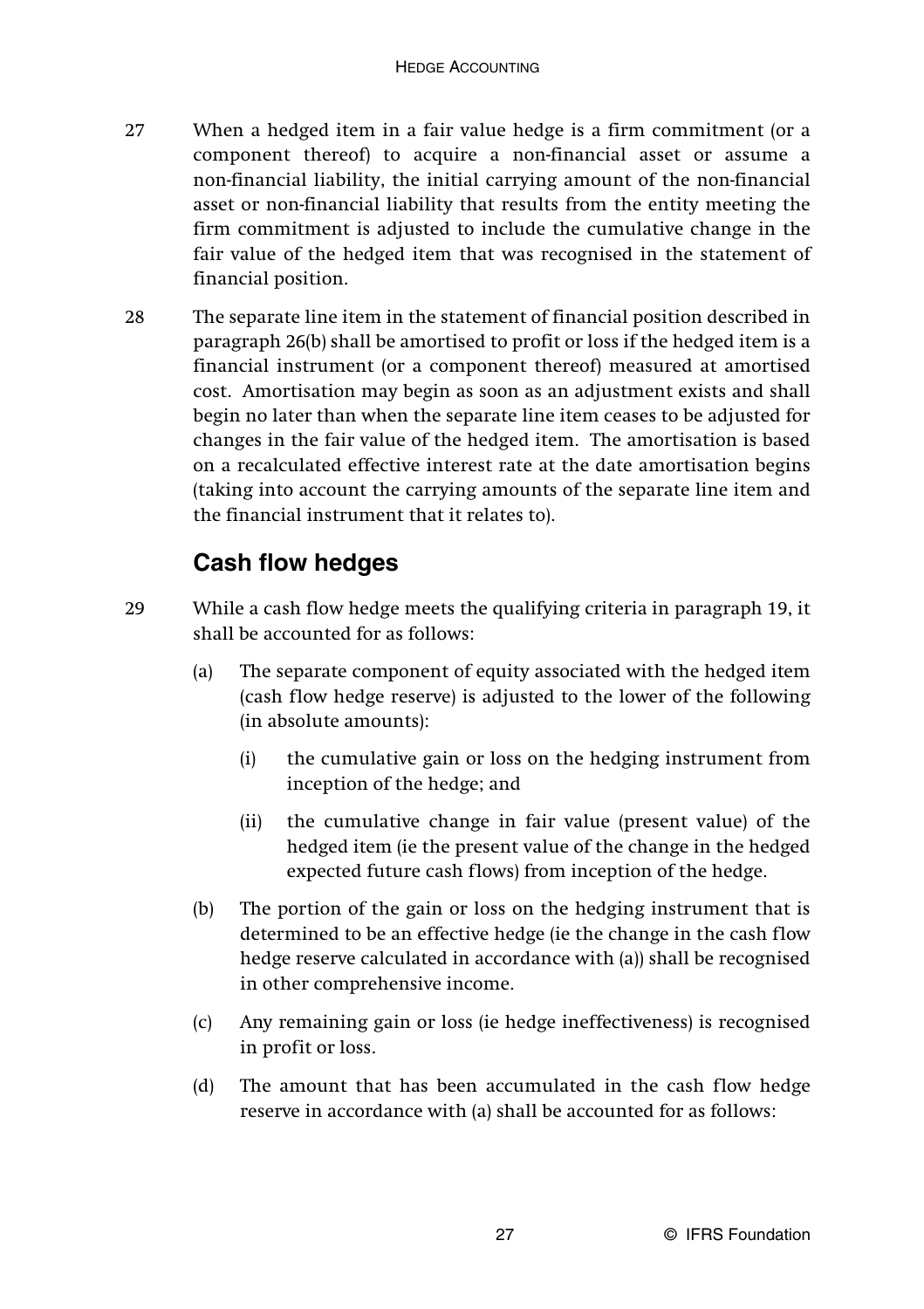- 27 When a hedged item in a fair value hedge is a firm commitment (or a component thereof) to acquire a non-financial asset or assume a non-financial liability, the initial carrying amount of the non-financial asset or non-financial liability that results from the entity meeting the firm commitment is adjusted to include the cumulative change in the fair value of the hedged item that was recognised in the statement of financial position.
- 28 The separate line item in the statement of financial position described in paragraph 26(b) shall be amortised to profit or loss if the hedged item is a financial instrument (or a component thereof) measured at amortised cost. Amortisation may begin as soon as an adjustment exists and shall begin no later than when the separate line item ceases to be adjusted for changes in the fair value of the hedged item. The amortisation is based on a recalculated effective interest rate at the date amortisation begins (taking into account the carrying amounts of the separate line item and the financial instrument that it relates to).

# **Cash flow hedges**

- 29 While a cash flow hedge meets the qualifying criteria in paragraph 19, it shall be accounted for as follows:
	- (a) The separate component of equity associated with the hedged item (cash flow hedge reserve) is adjusted to the lower of the following (in absolute amounts):
		- (i) the cumulative gain or loss on the hedging instrument from inception of the hedge; and
		- (ii) the cumulative change in fair value (present value) of the hedged item (ie the present value of the change in the hedged expected future cash flows) from inception of the hedge.
	- (b) The portion of the gain or loss on the hedging instrument that is determined to be an effective hedge (ie the change in the cash flow hedge reserve calculated in accordance with (a)) shall be recognised in other comprehensive income.
	- (c) Any remaining gain or loss (ie hedge ineffectiveness) is recognised in profit or loss.
	- (d) The amount that has been accumulated in the cash flow hedge reserve in accordance with (a) shall be accounted for as follows: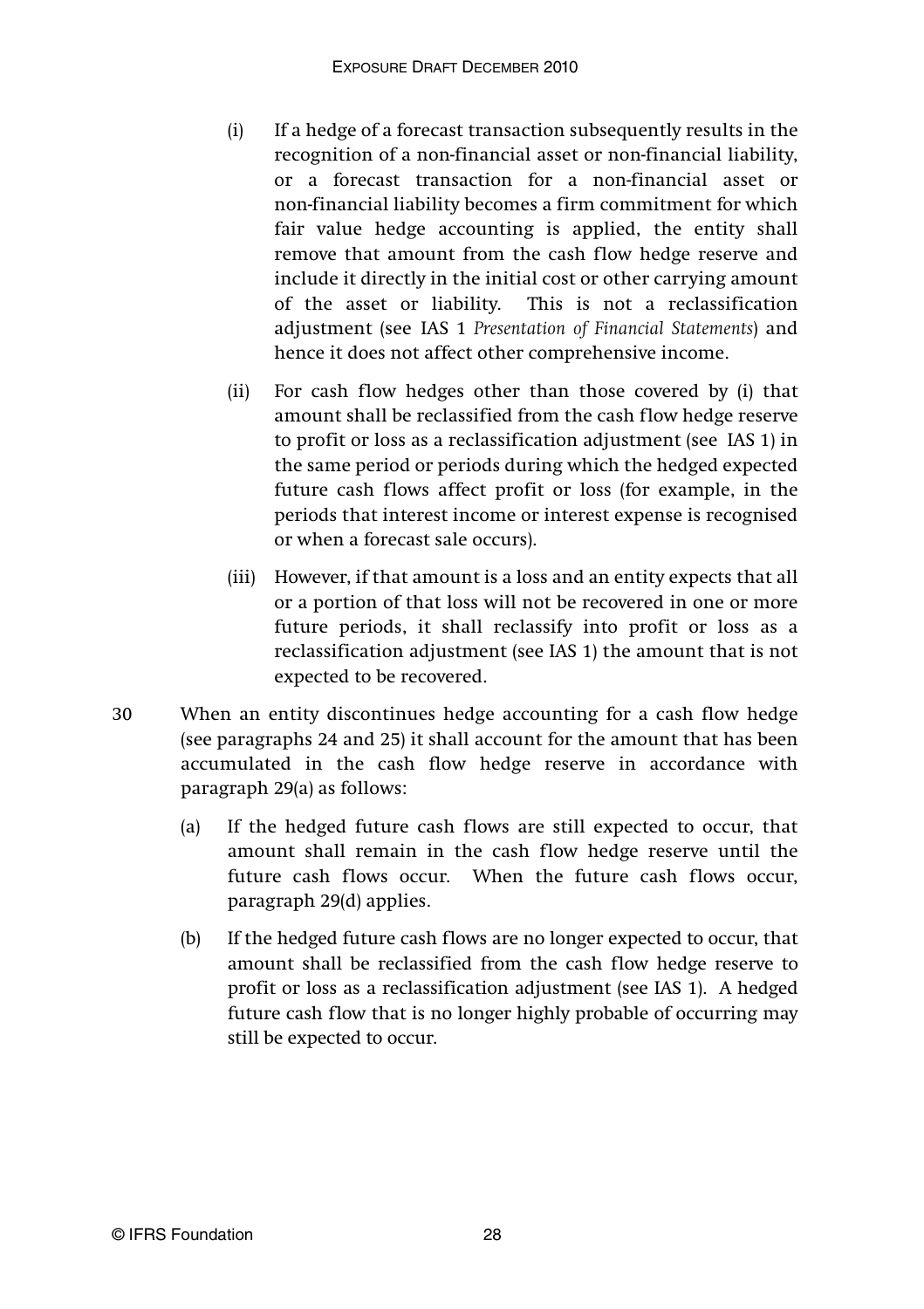- (i) If a hedge of a forecast transaction subsequently results in the recognition of a non-financial asset or non-financial liability, or a forecast transaction for a non-financial asset or non-financial liability becomes a firm commitment for which fair value hedge accounting is applied, the entity shall remove that amount from the cash flow hedge reserve and include it directly in the initial cost or other carrying amount of the asset or liability. This is not a reclassification adjustment (see IAS 1 *Presentation of Financial Statements*) and hence it does not affect other comprehensive income.
- (ii) For cash flow hedges other than those covered by (i) that amount shall be reclassified from the cash flow hedge reserve to profit or loss as a reclassification adjustment (see IAS 1) in the same period or periods during which the hedged expected future cash flows affect profit or loss (for example, in the periods that interest income or interest expense is recognised or when a forecast sale occurs).
- (iii) However, if that amount is a loss and an entity expects that all or a portion of that loss will not be recovered in one or more future periods, it shall reclassify into profit or loss as a reclassification adjustment (see IAS 1) the amount that is not expected to be recovered.
- 30 When an entity discontinues hedge accounting for a cash flow hedge (see paragraphs 24 and 25) it shall account for the amount that has been accumulated in the cash flow hedge reserve in accordance with paragraph 29(a) as follows:
	- (a) If the hedged future cash flows are still expected to occur, that amount shall remain in the cash flow hedge reserve until the future cash flows occur. When the future cash flows occur, paragraph 29(d) applies.
	- (b) If the hedged future cash flows are no longer expected to occur, that amount shall be reclassified from the cash flow hedge reserve to profit or loss as a reclassification adjustment (see IAS 1). A hedged future cash flow that is no longer highly probable of occurring may still be expected to occur.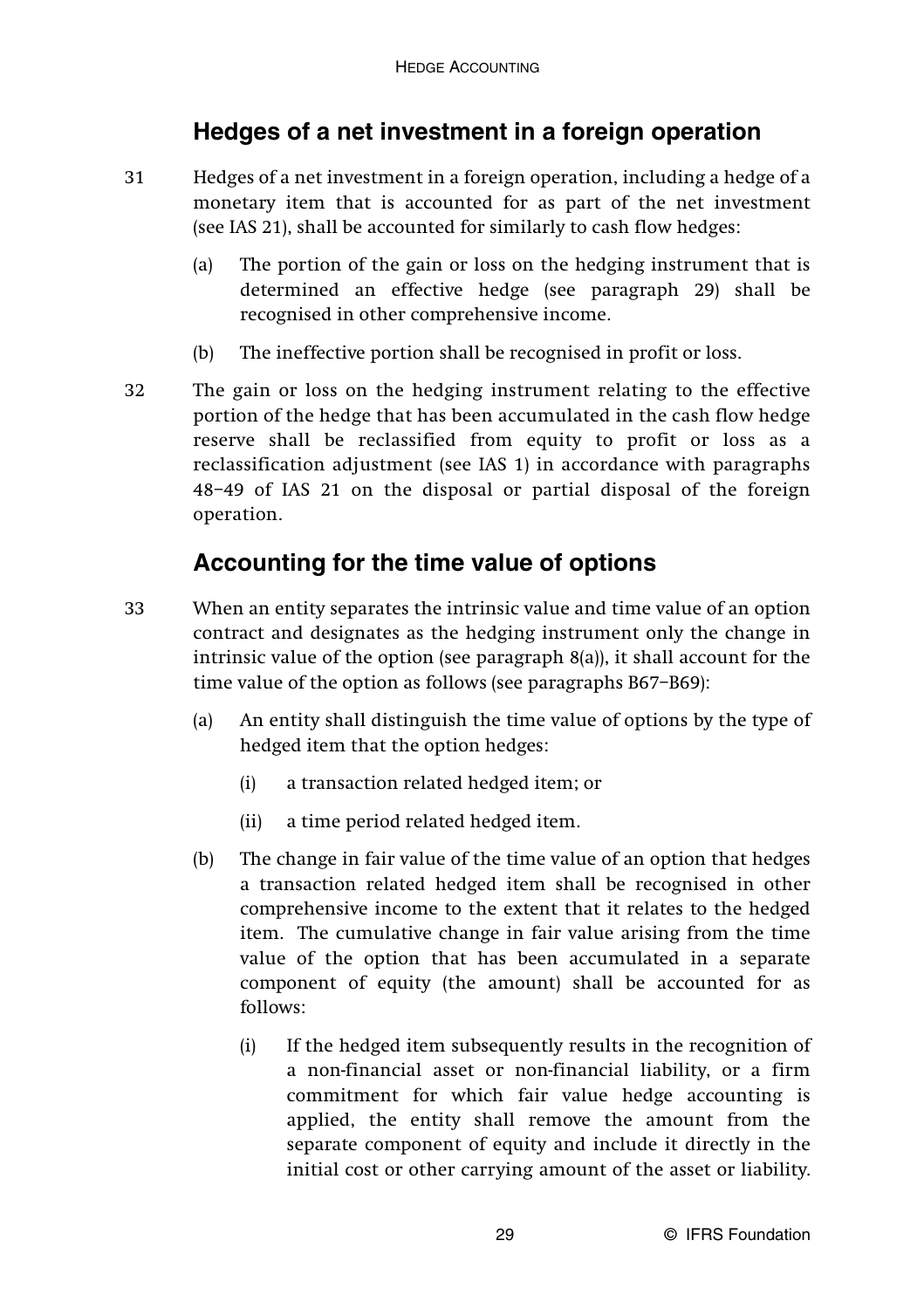# **Hedges of a net investment in a foreign operation**

- 31 Hedges of a net investment in a foreign operation, including a hedge of a monetary item that is accounted for as part of the net investment (see IAS 21), shall be accounted for similarly to cash flow hedges:
	- (a) The portion of the gain or loss on the hedging instrument that is determined an effective hedge (see paragraph 29) shall be recognised in other comprehensive income.
	- (b) The ineffective portion shall be recognised in profit or loss.
- 32 The gain or loss on the hedging instrument relating to the effective portion of the hedge that has been accumulated in the cash flow hedge reserve shall be reclassified from equity to profit or loss as a reclassification adjustment (see IAS 1) in accordance with paragraphs 48–49 of IAS 21 on the disposal or partial disposal of the foreign operation.

# **Accounting for the time value of options**

- 33 When an entity separates the intrinsic value and time value of an option contract and designates as the hedging instrument only the change in intrinsic value of the option (see paragraph 8(a)), it shall account for the time value of the option as follows (see paragraphs B67–B69):
	- (a) An entity shall distinguish the time value of options by the type of hedged item that the option hedges:
		- (i) a transaction related hedged item; or
		- (ii) a time period related hedged item.
	- (b) The change in fair value of the time value of an option that hedges a transaction related hedged item shall be recognised in other comprehensive income to the extent that it relates to the hedged item. The cumulative change in fair value arising from the time value of the option that has been accumulated in a separate component of equity (the amount) shall be accounted for as follows:
		- (i) If the hedged item subsequently results in the recognition of a non-financial asset or non-financial liability, or a firm commitment for which fair value hedge accounting is applied, the entity shall remove the amount from the separate component of equity and include it directly in the initial cost or other carrying amount of the asset or liability.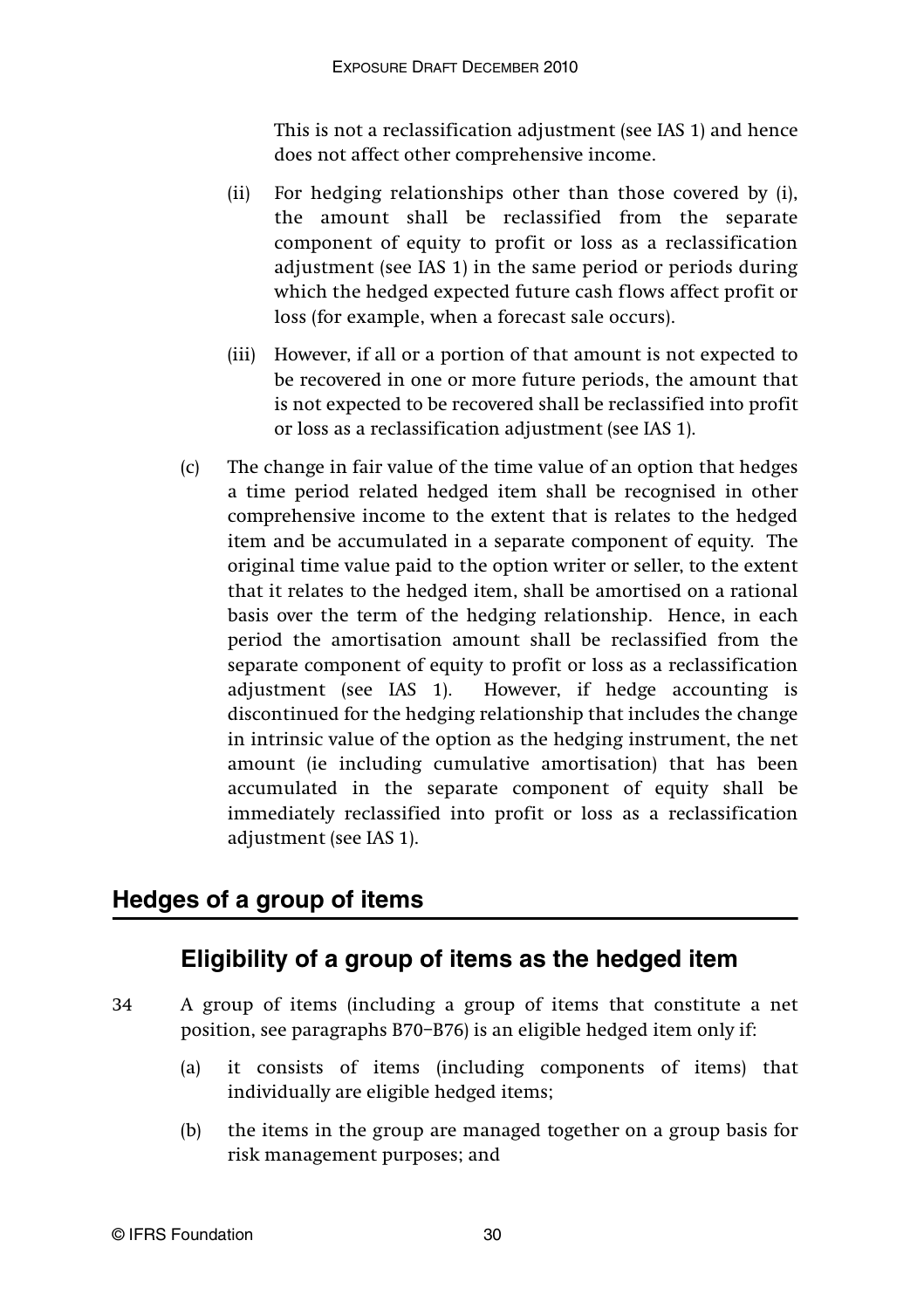This is not a reclassification adjustment (see IAS 1) and hence does not affect other comprehensive income.

- (ii) For hedging relationships other than those covered by (i), the amount shall be reclassified from the separate component of equity to profit or loss as a reclassification adjustment (see IAS 1) in the same period or periods during which the hedged expected future cash flows affect profit or loss (for example, when a forecast sale occurs).
- (iii) However, if all or a portion of that amount is not expected to be recovered in one or more future periods, the amount that is not expected to be recovered shall be reclassified into profit or loss as a reclassification adjustment (see IAS 1).
- (c) The change in fair value of the time value of an option that hedges a time period related hedged item shall be recognised in other comprehensive income to the extent that is relates to the hedged item and be accumulated in a separate component of equity. The original time value paid to the option writer or seller, to the extent that it relates to the hedged item, shall be amortised on a rational basis over the term of the hedging relationship. Hence, in each period the amortisation amount shall be reclassified from the separate component of equity to profit or loss as a reclassification adjustment (see IAS 1). However, if hedge accounting is discontinued for the hedging relationship that includes the change in intrinsic value of the option as the hedging instrument, the net amount (ie including cumulative amortisation) that has been accumulated in the separate component of equity shall be immediately reclassified into profit or loss as a reclassification adjustment (see IAS 1).

# **Hedges of a group of items**

# **Eligibility of a group of items as the hedged item**

- 34 A group of items (including a group of items that constitute a net position, see paragraphs B70–B76) is an eligible hedged item only if:
	- (a) it consists of items (including components of items) that individually are eligible hedged items;
	- (b) the items in the group are managed together on a group basis for risk management purposes; and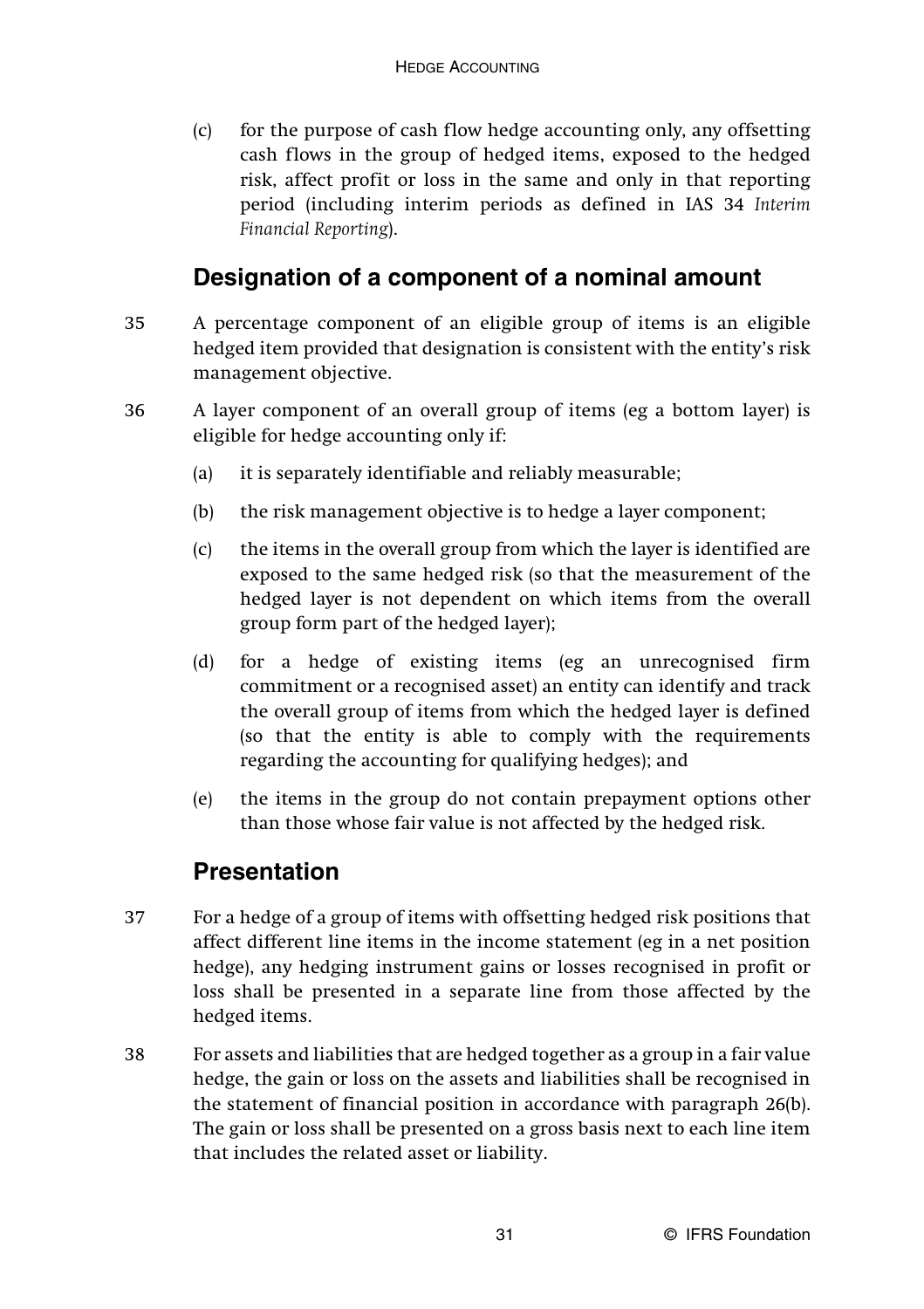(c) for the purpose of cash flow hedge accounting only, any offsetting cash flows in the group of hedged items, exposed to the hedged risk, affect profit or loss in the same and only in that reporting period (including interim periods as defined in IAS 34 *Interim Financial Reporting*).

# **Designation of a component of a nominal amount**

- 35 A percentage component of an eligible group of items is an eligible hedged item provided that designation is consistent with the entity's risk management objective.
- 36 A layer component of an overall group of items (eg a bottom layer) is eligible for hedge accounting only if:
	- (a) it is separately identifiable and reliably measurable;
	- (b) the risk management objective is to hedge a layer component;
	- (c) the items in the overall group from which the layer is identified are exposed to the same hedged risk (so that the measurement of the hedged layer is not dependent on which items from the overall group form part of the hedged layer);
	- (d) for a hedge of existing items (eg an unrecognised firm commitment or a recognised asset) an entity can identify and track the overall group of items from which the hedged layer is defined (so that the entity is able to comply with the requirements regarding the accounting for qualifying hedges); and
	- (e) the items in the group do not contain prepayment options other than those whose fair value is not affected by the hedged risk.

# **Presentation**

- 37 For a hedge of a group of items with offsetting hedged risk positions that affect different line items in the income statement (eg in a net position hedge), any hedging instrument gains or losses recognised in profit or loss shall be presented in a separate line from those affected by the hedged items.
- 38 For assets and liabilities that are hedged together as a group in a fair value hedge, the gain or loss on the assets and liabilities shall be recognised in the statement of financial position in accordance with paragraph 26(b). The gain or loss shall be presented on a gross basis next to each line item that includes the related asset or liability.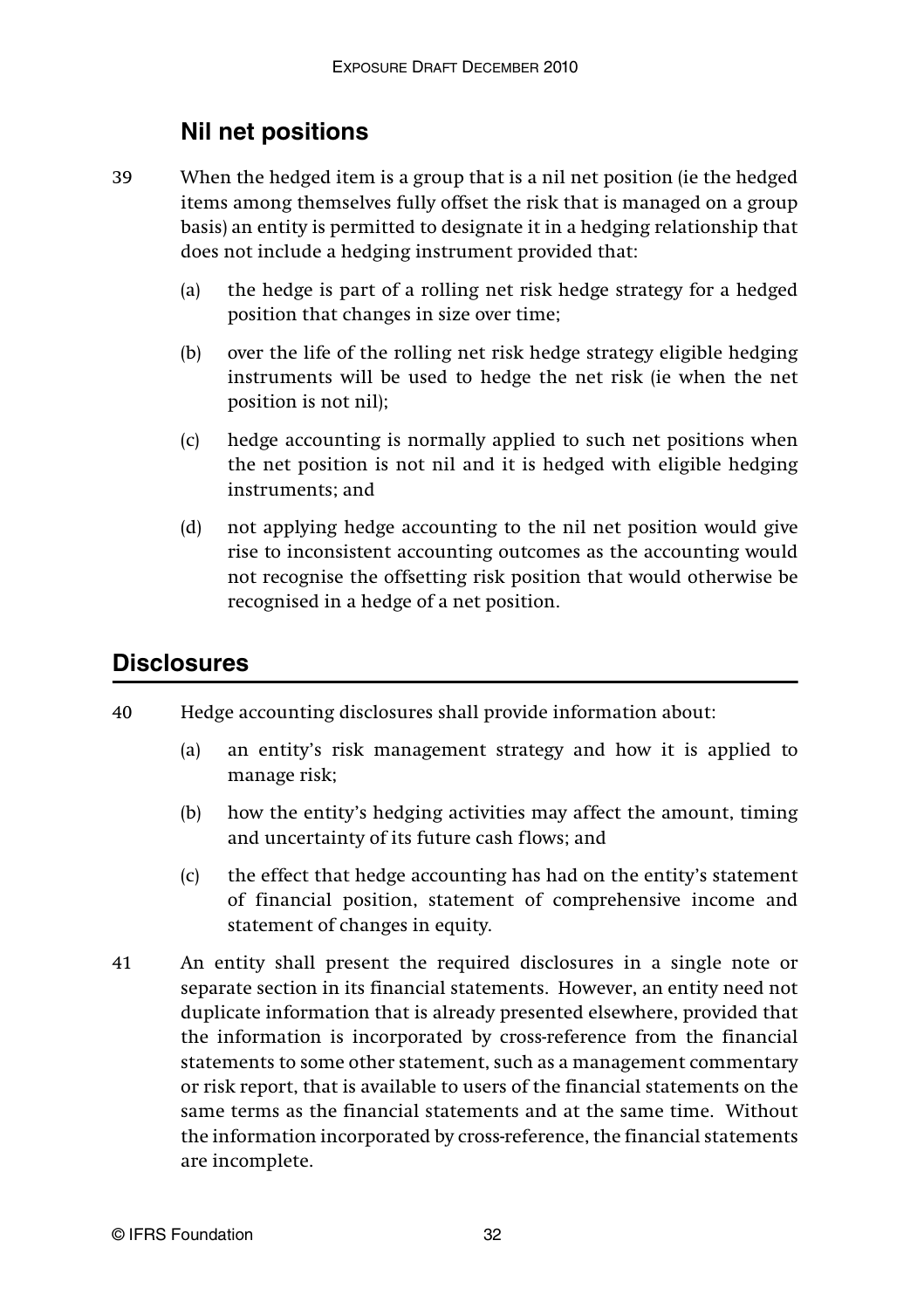# **Nil net positions**

- 39 When the hedged item is a group that is a nil net position (ie the hedged items among themselves fully offset the risk that is managed on a group basis) an entity is permitted to designate it in a hedging relationship that does not include a hedging instrument provided that:
	- (a) the hedge is part of a rolling net risk hedge strategy for a hedged position that changes in size over time;
	- (b) over the life of the rolling net risk hedge strategy eligible hedging instruments will be used to hedge the net risk (ie when the net position is not nil);
	- (c) hedge accounting is normally applied to such net positions when the net position is not nil and it is hedged with eligible hedging instruments; and
	- (d) not applying hedge accounting to the nil net position would give rise to inconsistent accounting outcomes as the accounting would not recognise the offsetting risk position that would otherwise be recognised in a hedge of a net position.

#### **Disclosures**

- 40 Hedge accounting disclosures shall provide information about:
	- (a) an entity's risk management strategy and how it is applied to manage risk;
	- (b) how the entity's hedging activities may affect the amount, timing and uncertainty of its future cash flows; and
	- (c) the effect that hedge accounting has had on the entity's statement of financial position, statement of comprehensive income and statement of changes in equity.
- 41 An entity shall present the required disclosures in a single note or separate section in its financial statements. However, an entity need not duplicate information that is already presented elsewhere, provided that the information is incorporated by cross-reference from the financial statements to some other statement, such as a management commentary or risk report, that is available to users of the financial statements on the same terms as the financial statements and at the same time. Without the information incorporated by cross-reference, the financial statements are incomplete.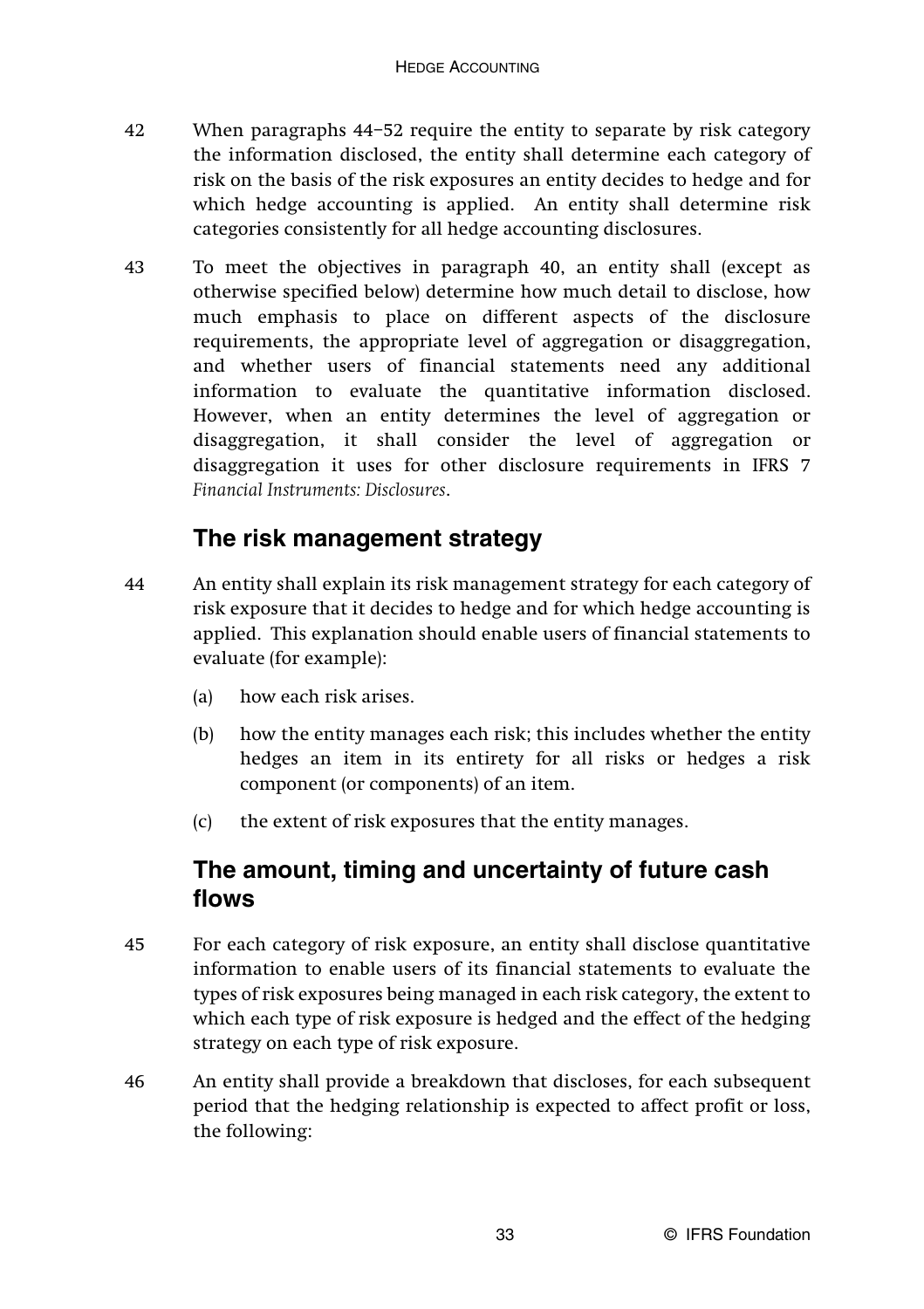- 42 When paragraphs 44–52 require the entity to separate by risk category the information disclosed, the entity shall determine each category of risk on the basis of the risk exposures an entity decides to hedge and for which hedge accounting is applied. An entity shall determine risk categories consistently for all hedge accounting disclosures.
- 43 To meet the objectives in paragraph 40, an entity shall (except as otherwise specified below) determine how much detail to disclose, how much emphasis to place on different aspects of the disclosure requirements, the appropriate level of aggregation or disaggregation, and whether users of financial statements need any additional information to evaluate the quantitative information disclosed. However, when an entity determines the level of aggregation or disaggregation, it shall consider the level of aggregation or disaggregation it uses for other disclosure requirements in IFRS 7 *Financial Instruments: Disclosures*.

# **The risk management strategy**

- 44 An entity shall explain its risk management strategy for each category of risk exposure that it decides to hedge and for which hedge accounting is applied. This explanation should enable users of financial statements to evaluate (for example):
	- (a) how each risk arises.
	- (b) how the entity manages each risk; this includes whether the entity hedges an item in its entirety for all risks or hedges a risk component (or components) of an item.
	- (c) the extent of risk exposures that the entity manages.

### **The amount, timing and uncertainty of future cash flows**

- 45 For each category of risk exposure, an entity shall disclose quantitative information to enable users of its financial statements to evaluate the types of risk exposures being managed in each risk category, the extent to which each type of risk exposure is hedged and the effect of the hedging strategy on each type of risk exposure.
- 46 An entity shall provide a breakdown that discloses, for each subsequent period that the hedging relationship is expected to affect profit or loss, the following: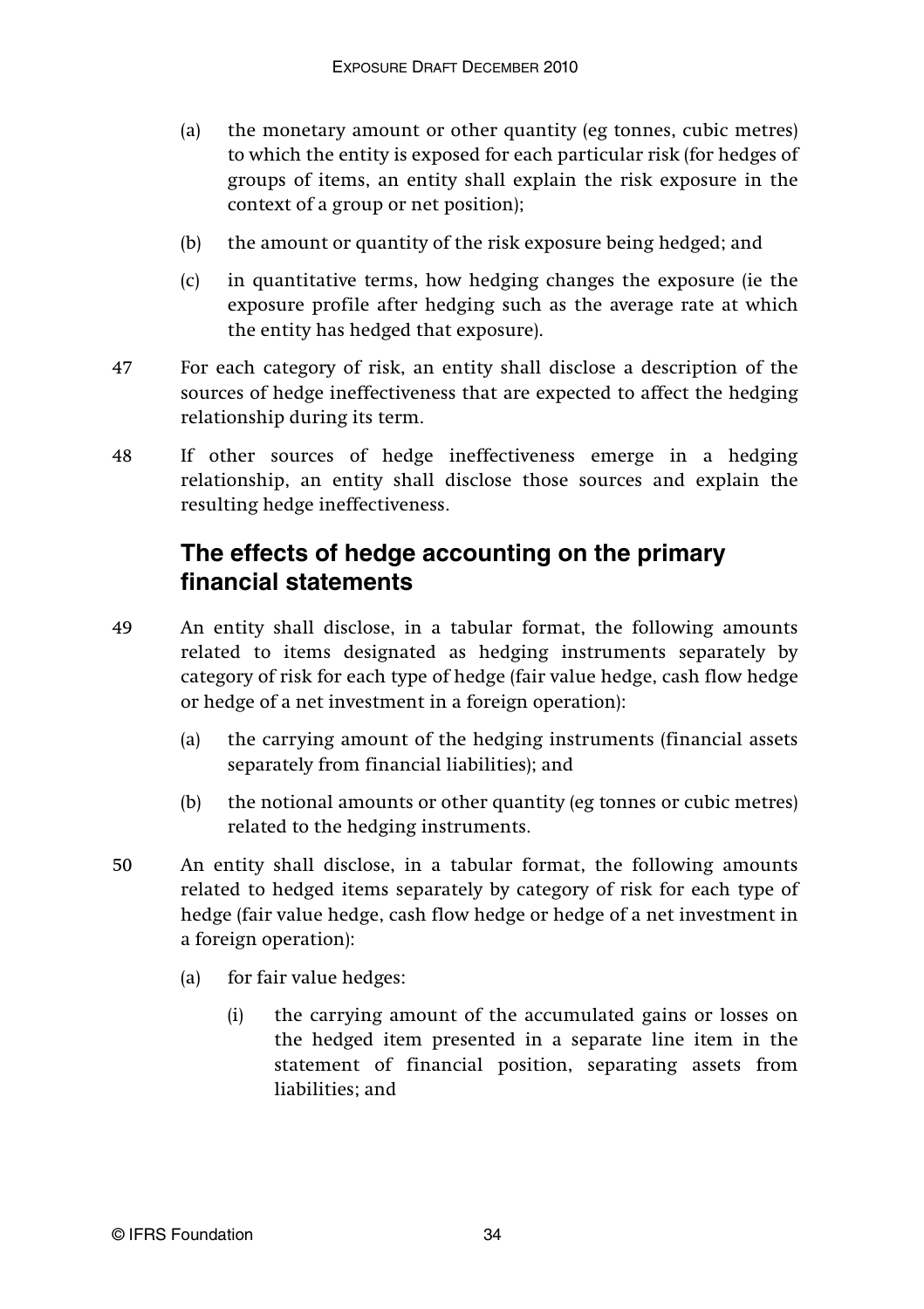- (a) the monetary amount or other quantity (eg tonnes, cubic metres) to which the entity is exposed for each particular risk (for hedges of groups of items, an entity shall explain the risk exposure in the context of a group or net position);
- (b) the amount or quantity of the risk exposure being hedged; and
- (c) in quantitative terms, how hedging changes the exposure (ie the exposure profile after hedging such as the average rate at which the entity has hedged that exposure).
- 47 For each category of risk, an entity shall disclose a description of the sources of hedge ineffectiveness that are expected to affect the hedging relationship during its term.
- 48 If other sources of hedge ineffectiveness emerge in a hedging relationship, an entity shall disclose those sources and explain the resulting hedge ineffectiveness.

# **The effects of hedge accounting on the primary financial statements**

- 49 An entity shall disclose, in a tabular format, the following amounts related to items designated as hedging instruments separately by category of risk for each type of hedge (fair value hedge, cash flow hedge or hedge of a net investment in a foreign operation):
	- (a) the carrying amount of the hedging instruments (financial assets separately from financial liabilities); and
	- (b) the notional amounts or other quantity (eg tonnes or cubic metres) related to the hedging instruments.
- 50 An entity shall disclose, in a tabular format, the following amounts related to hedged items separately by category of risk for each type of hedge (fair value hedge, cash flow hedge or hedge of a net investment in a foreign operation):
	- (a) for fair value hedges:
		- (i) the carrying amount of the accumulated gains or losses on the hedged item presented in a separate line item in the statement of financial position, separating assets from liabilities; and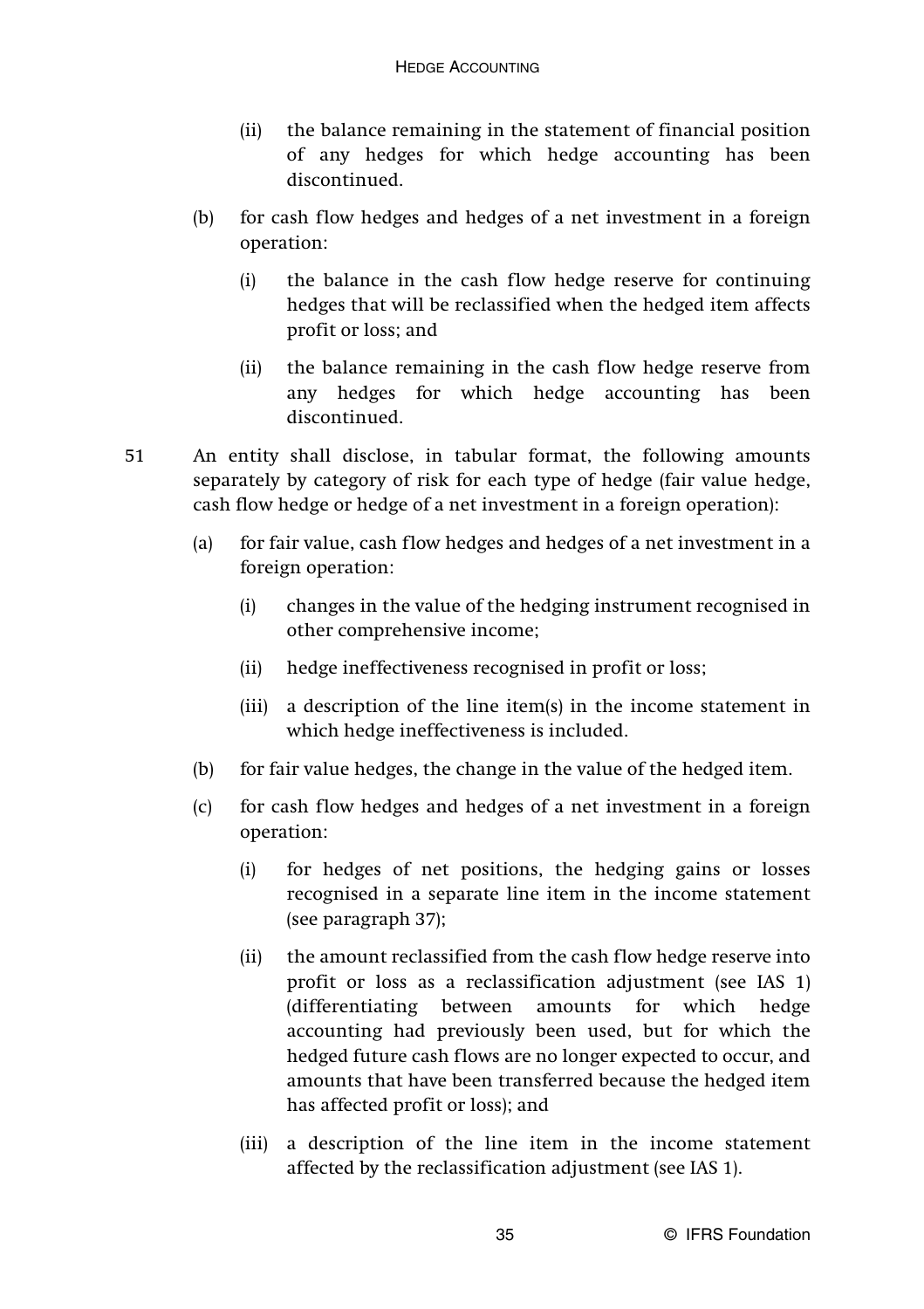- (ii) the balance remaining in the statement of financial position of any hedges for which hedge accounting has been discontinued.
- (b) for cash flow hedges and hedges of a net investment in a foreign operation:
	- (i) the balance in the cash flow hedge reserve for continuing hedges that will be reclassified when the hedged item affects profit or loss; and
	- (ii) the balance remaining in the cash flow hedge reserve from any hedges for which hedge accounting has been discontinued.
- 51 An entity shall disclose, in tabular format, the following amounts separately by category of risk for each type of hedge (fair value hedge, cash flow hedge or hedge of a net investment in a foreign operation):
	- (a) for fair value, cash flow hedges and hedges of a net investment in a foreign operation:
		- (i) changes in the value of the hedging instrument recognised in other comprehensive income;
		- (ii) hedge ineffectiveness recognised in profit or loss;
		- (iii) a description of the line item(s) in the income statement in which hedge ineffectiveness is included.
	- (b) for fair value hedges, the change in the value of the hedged item.
	- (c) for cash flow hedges and hedges of a net investment in a foreign operation:
		- (i) for hedges of net positions, the hedging gains or losses recognised in a separate line item in the income statement (see paragraph 37);
		- (ii) the amount reclassified from the cash flow hedge reserve into profit or loss as a reclassification adjustment (see IAS 1) (differentiating between amounts for which hedge accounting had previously been used, but for which the hedged future cash flows are no longer expected to occur, and amounts that have been transferred because the hedged item has affected profit or loss); and
		- (iii) a description of the line item in the income statement affected by the reclassification adjustment (see IAS 1).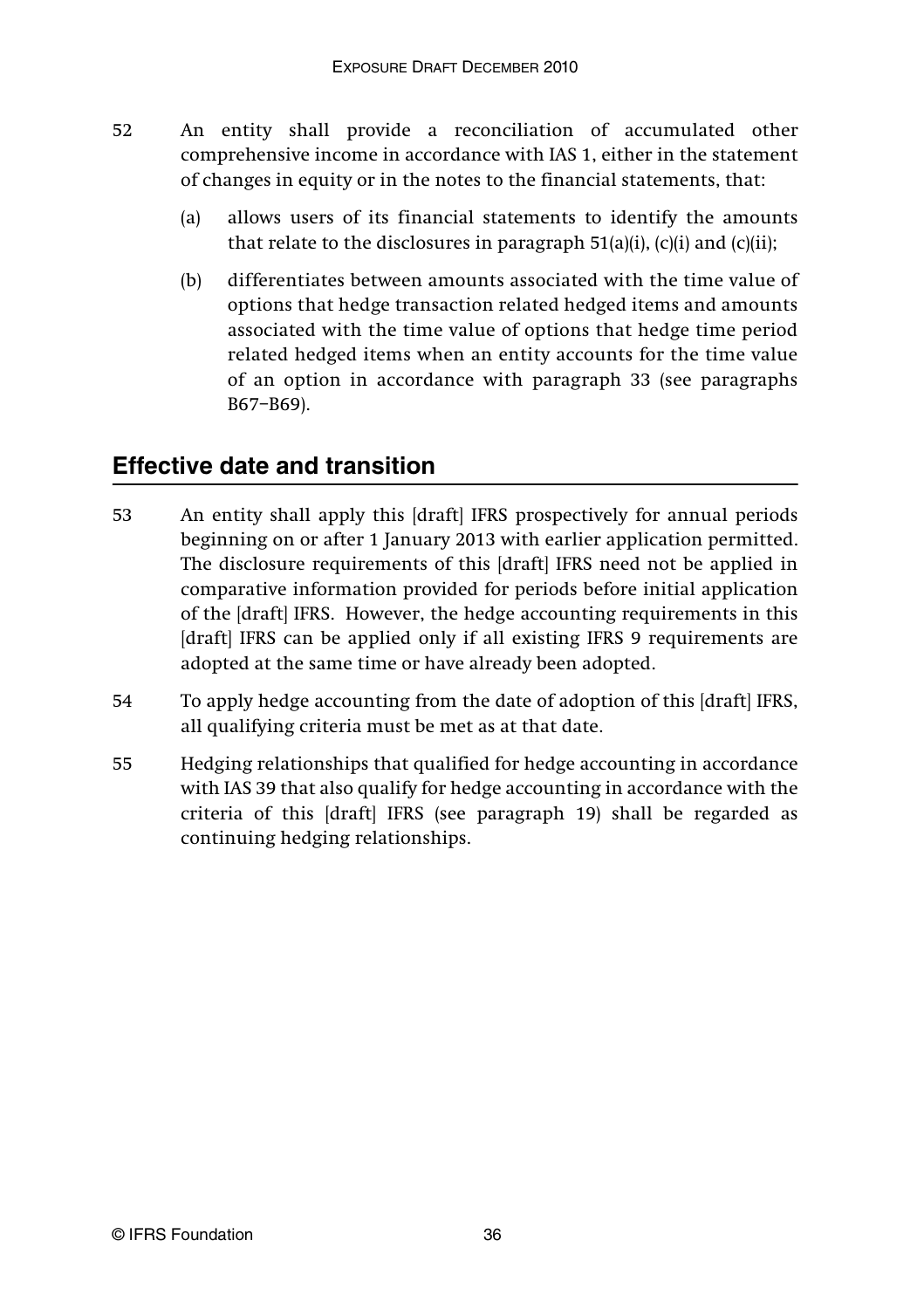- 52 An entity shall provide a reconciliation of accumulated other comprehensive income in accordance with IAS 1, either in the statement of changes in equity or in the notes to the financial statements, that:
	- (a) allows users of its financial statements to identify the amounts that relate to the disclosures in paragraph  $51(a)(i)$ ,  $(c)(i)$  and  $(c)(ii)$ ;
	- (b) differentiates between amounts associated with the time value of options that hedge transaction related hedged items and amounts associated with the time value of options that hedge time period related hedged items when an entity accounts for the time value of an option in accordance with paragraph 33 (see paragraphs B67–B69).

#### **Effective date and transition**

- 53 An entity shall apply this [draft] IFRS prospectively for annual periods beginning on or after 1 January 2013 with earlier application permitted. The disclosure requirements of this [draft] IFRS need not be applied in comparative information provided for periods before initial application of the [draft] IFRS. However, the hedge accounting requirements in this [draft] IFRS can be applied only if all existing IFRS 9 requirements are adopted at the same time or have already been adopted.
- 54 To apply hedge accounting from the date of adoption of this [draft] IFRS, all qualifying criteria must be met as at that date.
- 55 Hedging relationships that qualified for hedge accounting in accordance with IAS 39 that also qualify for hedge accounting in accordance with the criteria of this [draft] IFRS (see paragraph 19) shall be regarded as continuing hedging relationships.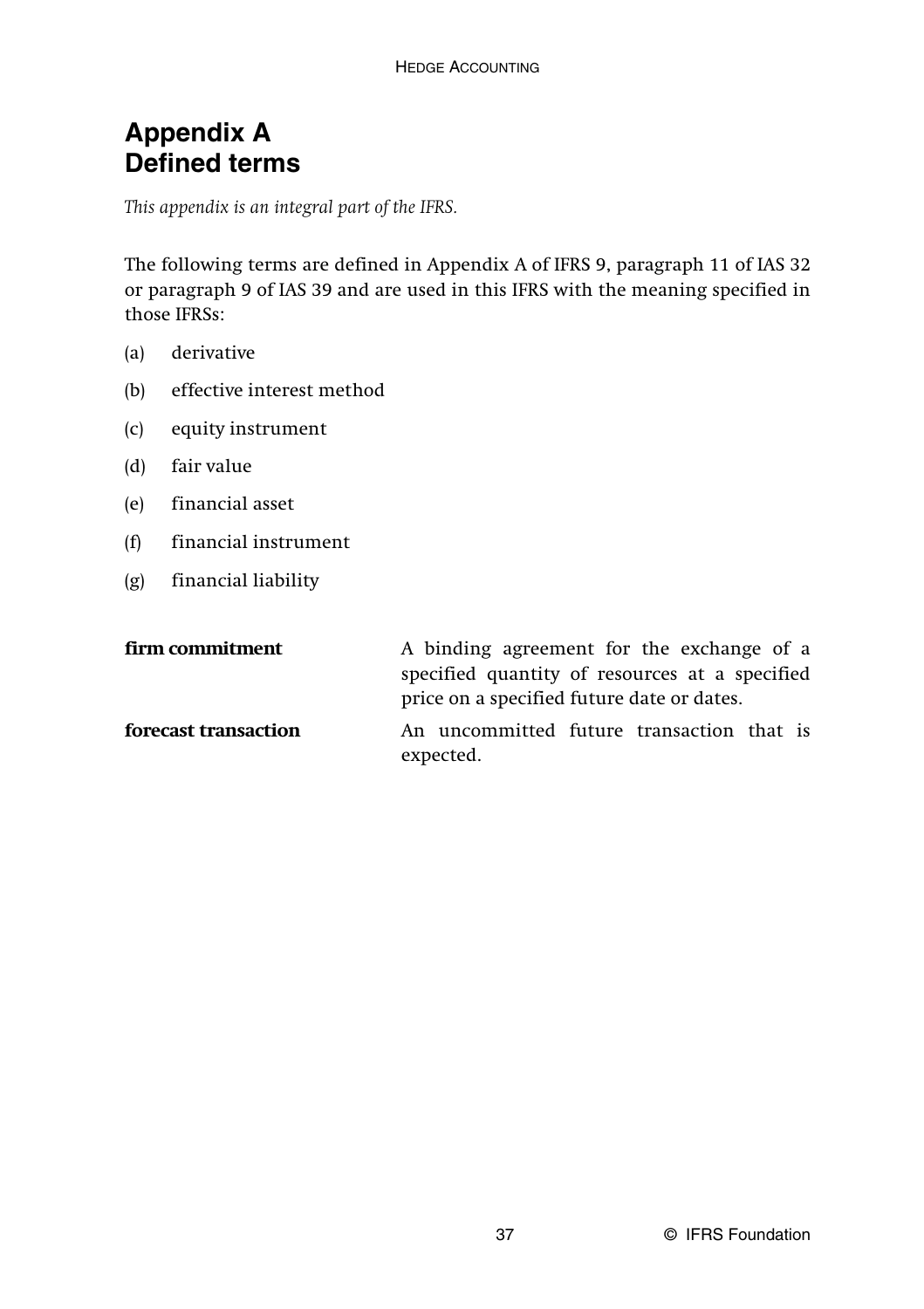# **Appendix A Defined terms**

*This appendix is an integral part of the IFRS.*

The following terms are defined in Appendix A of IFRS 9, paragraph 11 of IAS 32 or paragraph 9 of IAS 39 and are used in this IFRS with the meaning specified in those IFRSs:

- (a) derivative
- (b) effective interest method
- (c) equity instrument
- (d) fair value
- (e) financial asset
- (f) financial instrument
- (g) financial liability

| firm commitment      | A binding agreement for the exchange of a              |
|----------------------|--------------------------------------------------------|
|                      | specified quantity of resources at a specified         |
|                      | price on a specified future date or dates.             |
| forecast transaction | An uncommitted future transaction that is<br>expected. |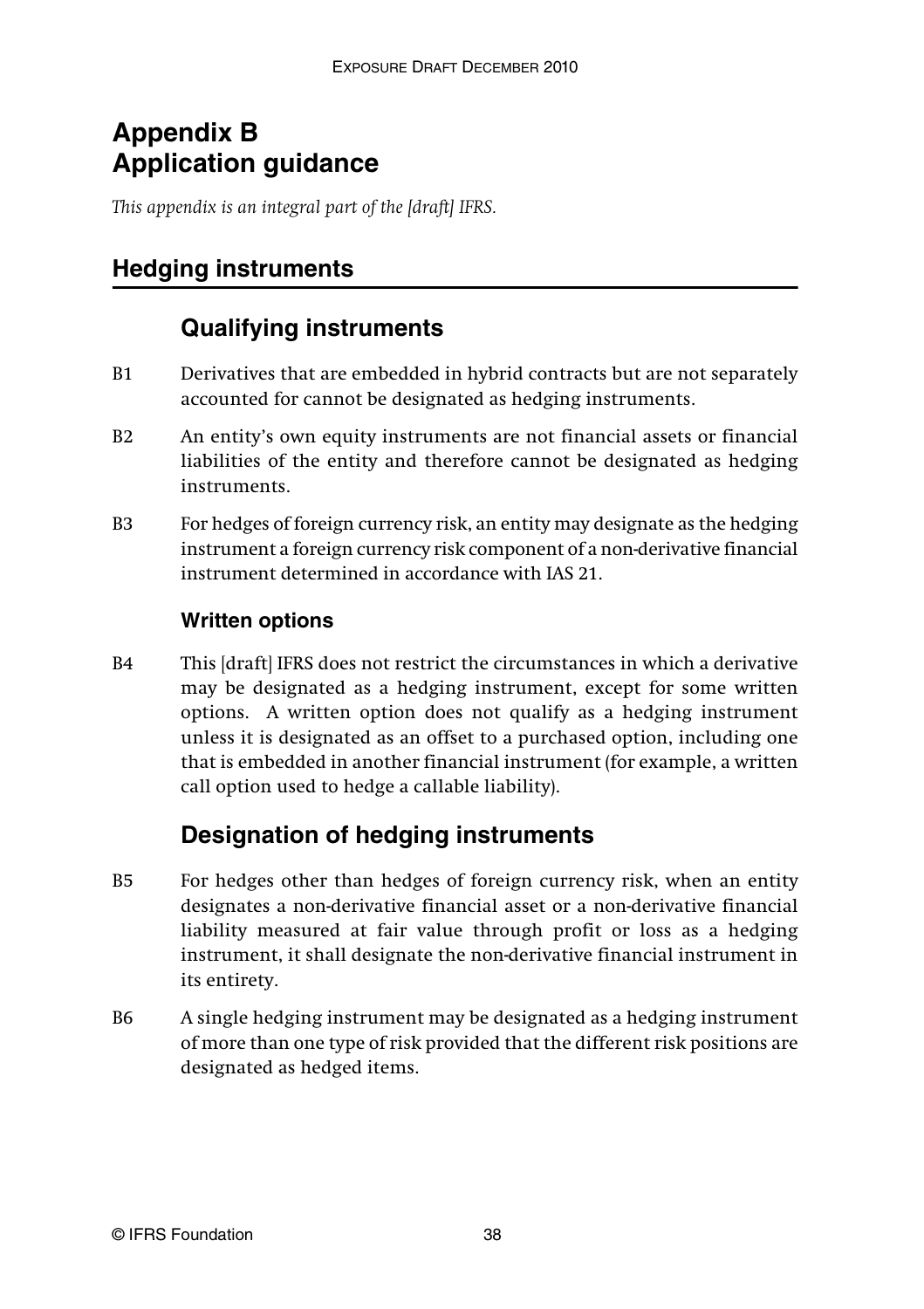# **Appendix B Application guidance**

*This appendix is an integral part of the [draft] IFRS.*

# **Hedging instruments**

# **Qualifying instruments**

- B1 Derivatives that are embedded in hybrid contracts but are not separately accounted for cannot be designated as hedging instruments.
- B2 An entity's own equity instruments are not financial assets or financial liabilities of the entity and therefore cannot be designated as hedging instruments.
- B3 For hedges of foreign currency risk, an entity may designate as the hedging instrument a foreign currency risk component of a non-derivative financial instrument determined in accordance with IAS 21.

#### **Written options**

B4 This [draft] IFRS does not restrict the circumstances in which a derivative may be designated as a hedging instrument, except for some written options. A written option does not qualify as a hedging instrument unless it is designated as an offset to a purchased option, including one that is embedded in another financial instrument (for example, a written call option used to hedge a callable liability).

# **Designation of hedging instruments**

- B5 For hedges other than hedges of foreign currency risk, when an entity designates a non-derivative financial asset or a non-derivative financial liability measured at fair value through profit or loss as a hedging instrument, it shall designate the non-derivative financial instrument in its entirety.
- B6 A single hedging instrument may be designated as a hedging instrument of more than one type of risk provided that the different risk positions are designated as hedged items.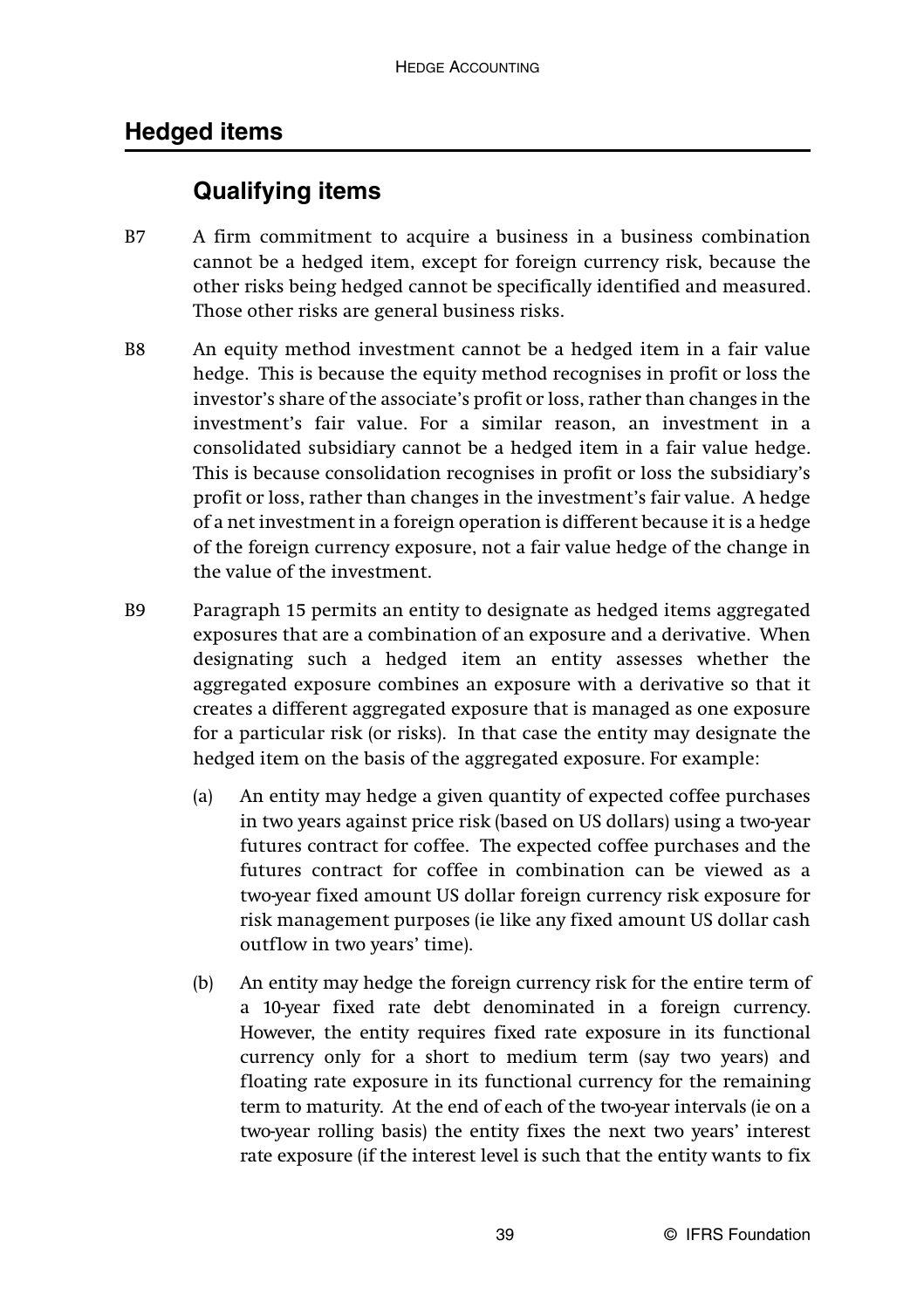# **Hedged items**

# **Qualifying items**

- B7 A firm commitment to acquire a business in a business combination cannot be a hedged item, except for foreign currency risk, because the other risks being hedged cannot be specifically identified and measured. Those other risks are general business risks.
- B8 An equity method investment cannot be a hedged item in a fair value hedge. This is because the equity method recognises in profit or loss the investor's share of the associate's profit or loss, rather than changes in the investment's fair value. For a similar reason, an investment in a consolidated subsidiary cannot be a hedged item in a fair value hedge. This is because consolidation recognises in profit or loss the subsidiary's profit or loss, rather than changes in the investment's fair value. A hedge of a net investment in a foreign operation is different because it is a hedge of the foreign currency exposure, not a fair value hedge of the change in the value of the investment.
- B9 Paragraph 15 permits an entity to designate as hedged items aggregated exposures that are a combination of an exposure and a derivative. When designating such a hedged item an entity assesses whether the aggregated exposure combines an exposure with a derivative so that it creates a different aggregated exposure that is managed as one exposure for a particular risk (or risks). In that case the entity may designate the hedged item on the basis of the aggregated exposure. For example:
	- (a) An entity may hedge a given quantity of expected coffee purchases in two years against price risk (based on US dollars) using a two-year futures contract for coffee. The expected coffee purchases and the futures contract for coffee in combination can be viewed as a two-year fixed amount US dollar foreign currency risk exposure for risk management purposes (ie like any fixed amount US dollar cash outflow in two years' time).
	- (b) An entity may hedge the foreign currency risk for the entire term of a 10-year fixed rate debt denominated in a foreign currency. However, the entity requires fixed rate exposure in its functional currency only for a short to medium term (say two years) and floating rate exposure in its functional currency for the remaining term to maturity. At the end of each of the two-year intervals (ie on a two-year rolling basis) the entity fixes the next two years' interest rate exposure (if the interest level is such that the entity wants to fix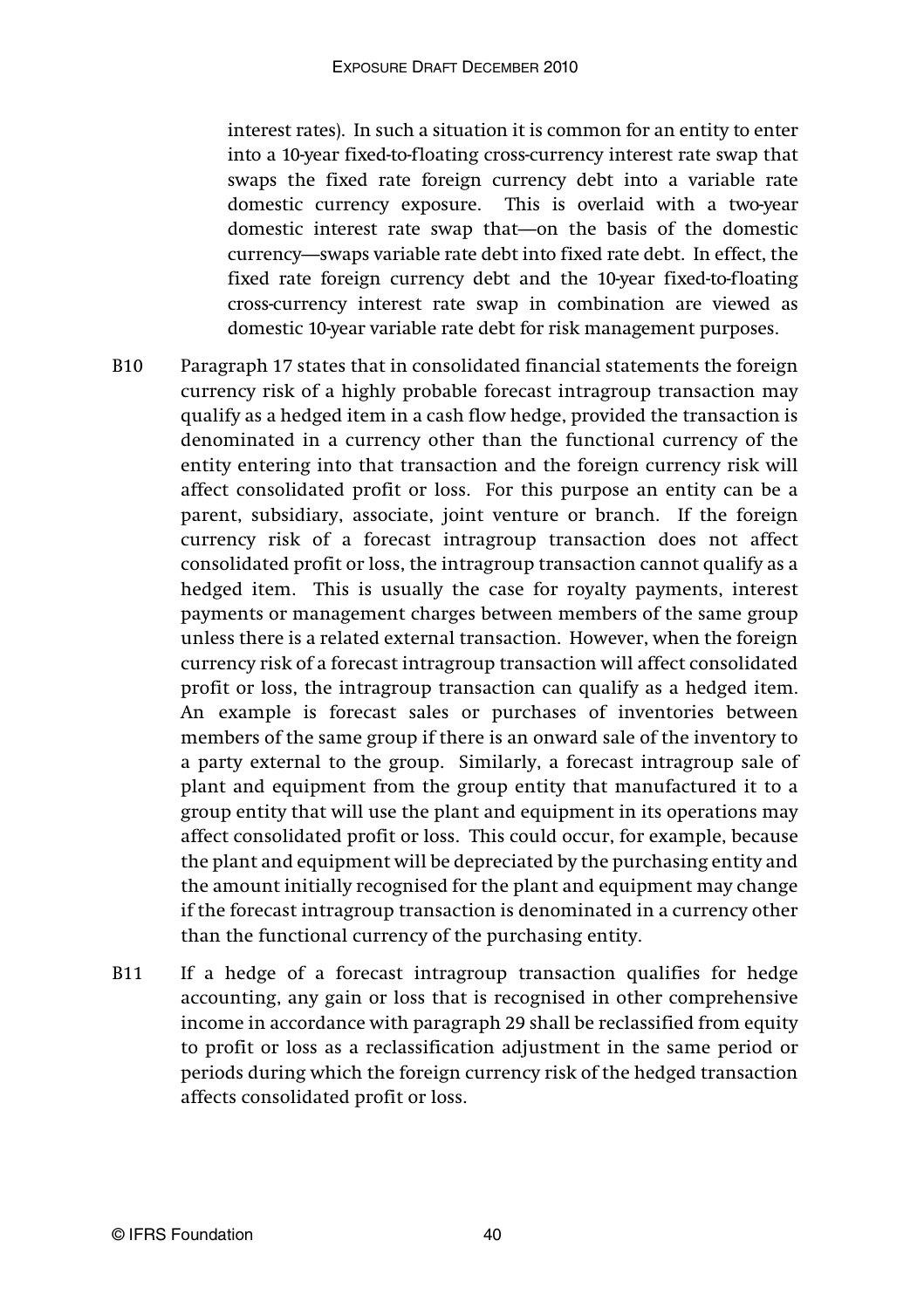interest rates). In such a situation it is common for an entity to enter into a 10-year fixed-to-floating cross-currency interest rate swap that swaps the fixed rate foreign currency debt into a variable rate domestic currency exposure. This is overlaid with a two-year domestic interest rate swap that—on the basis of the domestic currency—swaps variable rate debt into fixed rate debt. In effect, the fixed rate foreign currency debt and the 10-year fixed-to-floating cross-currency interest rate swap in combination are viewed as domestic 10-year variable rate debt for risk management purposes.

- B10 Paragraph 17 states that in consolidated financial statements the foreign currency risk of a highly probable forecast intragroup transaction may qualify as a hedged item in a cash flow hedge, provided the transaction is denominated in a currency other than the functional currency of the entity entering into that transaction and the foreign currency risk will affect consolidated profit or loss. For this purpose an entity can be a parent, subsidiary, associate, joint venture or branch. If the foreign currency risk of a forecast intragroup transaction does not affect consolidated profit or loss, the intragroup transaction cannot qualify as a hedged item. This is usually the case for royalty payments, interest payments or management charges between members of the same group unless there is a related external transaction. However, when the foreign currency risk of a forecast intragroup transaction will affect consolidated profit or loss, the intragroup transaction can qualify as a hedged item. An example is forecast sales or purchases of inventories between members of the same group if there is an onward sale of the inventory to a party external to the group. Similarly, a forecast intragroup sale of plant and equipment from the group entity that manufactured it to a group entity that will use the plant and equipment in its operations may affect consolidated profit or loss. This could occur, for example, because the plant and equipment will be depreciated by the purchasing entity and the amount initially recognised for the plant and equipment may change if the forecast intragroup transaction is denominated in a currency other than the functional currency of the purchasing entity.
- B11 If a hedge of a forecast intragroup transaction qualifies for hedge accounting, any gain or loss that is recognised in other comprehensive income in accordance with paragraph 29 shall be reclassified from equity to profit or loss as a reclassification adjustment in the same period or periods during which the foreign currency risk of the hedged transaction affects consolidated profit or loss.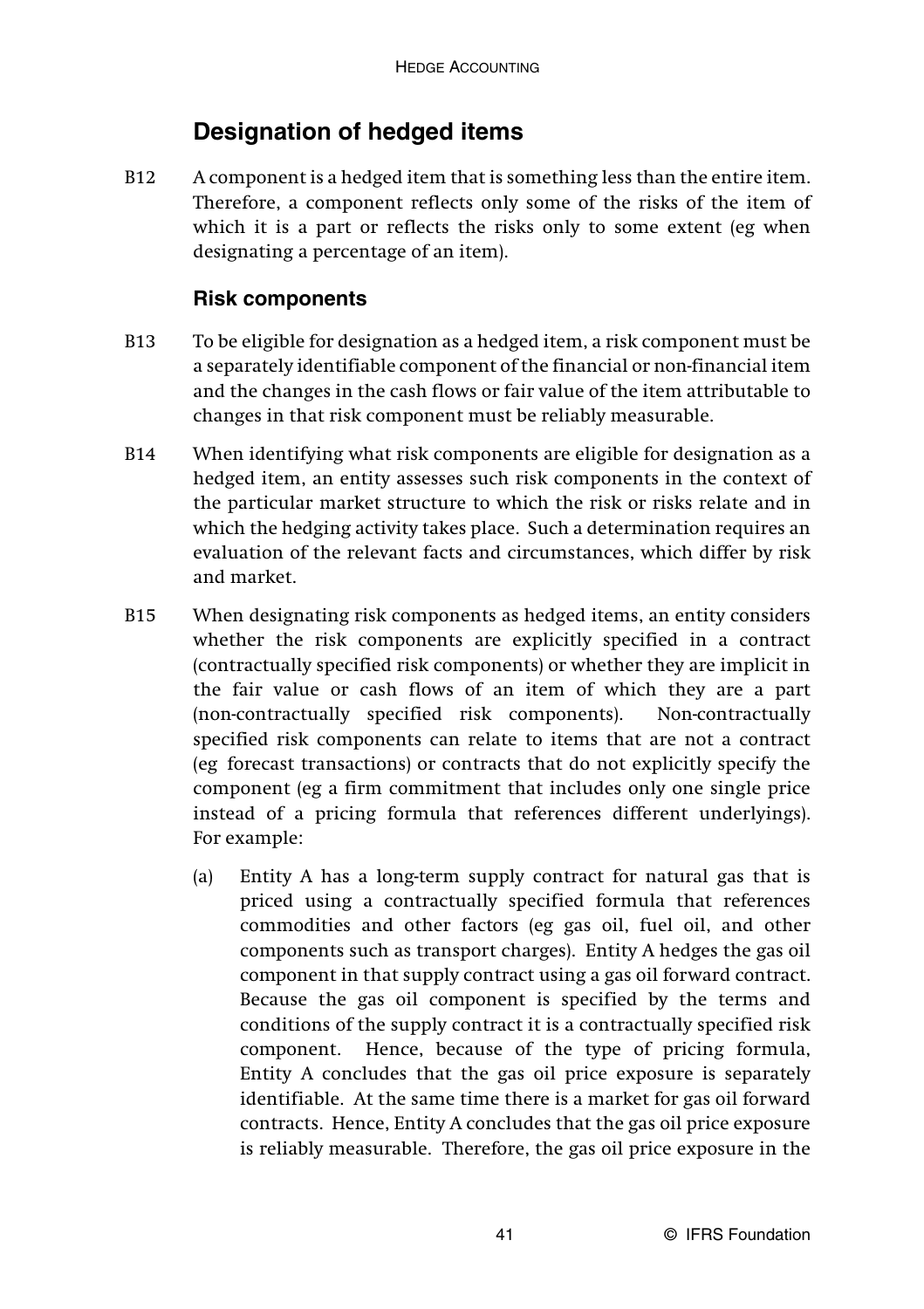# **Designation of hedged items**

B12 A component is a hedged item that is something less than the entire item. Therefore, a component reflects only some of the risks of the item of which it is a part or reflects the risks only to some extent (eg when designating a percentage of an item).

#### **Risk components**

- B13 To be eligible for designation as a hedged item, a risk component must be a separately identifiable component of the financial or non-financial item and the changes in the cash flows or fair value of the item attributable to changes in that risk component must be reliably measurable.
- B14 When identifying what risk components are eligible for designation as a hedged item, an entity assesses such risk components in the context of the particular market structure to which the risk or risks relate and in which the hedging activity takes place. Such a determination requires an evaluation of the relevant facts and circumstances, which differ by risk and market.
- B15 When designating risk components as hedged items, an entity considers whether the risk components are explicitly specified in a contract (contractually specified risk components) or whether they are implicit in the fair value or cash flows of an item of which they are a part (non-contractually specified risk components). Non-contractually specified risk components can relate to items that are not a contract (eg forecast transactions) or contracts that do not explicitly specify the component (eg a firm commitment that includes only one single price instead of a pricing formula that references different underlyings). For example:
	- (a) Entity A has a long-term supply contract for natural gas that is priced using a contractually specified formula that references commodities and other factors (eg gas oil, fuel oil, and other components such as transport charges). Entity A hedges the gas oil component in that supply contract using a gas oil forward contract. Because the gas oil component is specified by the terms and conditions of the supply contract it is a contractually specified risk component. Hence, because of the type of pricing formula, Entity A concludes that the gas oil price exposure is separately identifiable. At the same time there is a market for gas oil forward contracts. Hence, Entity A concludes that the gas oil price exposure is reliably measurable. Therefore, the gas oil price exposure in the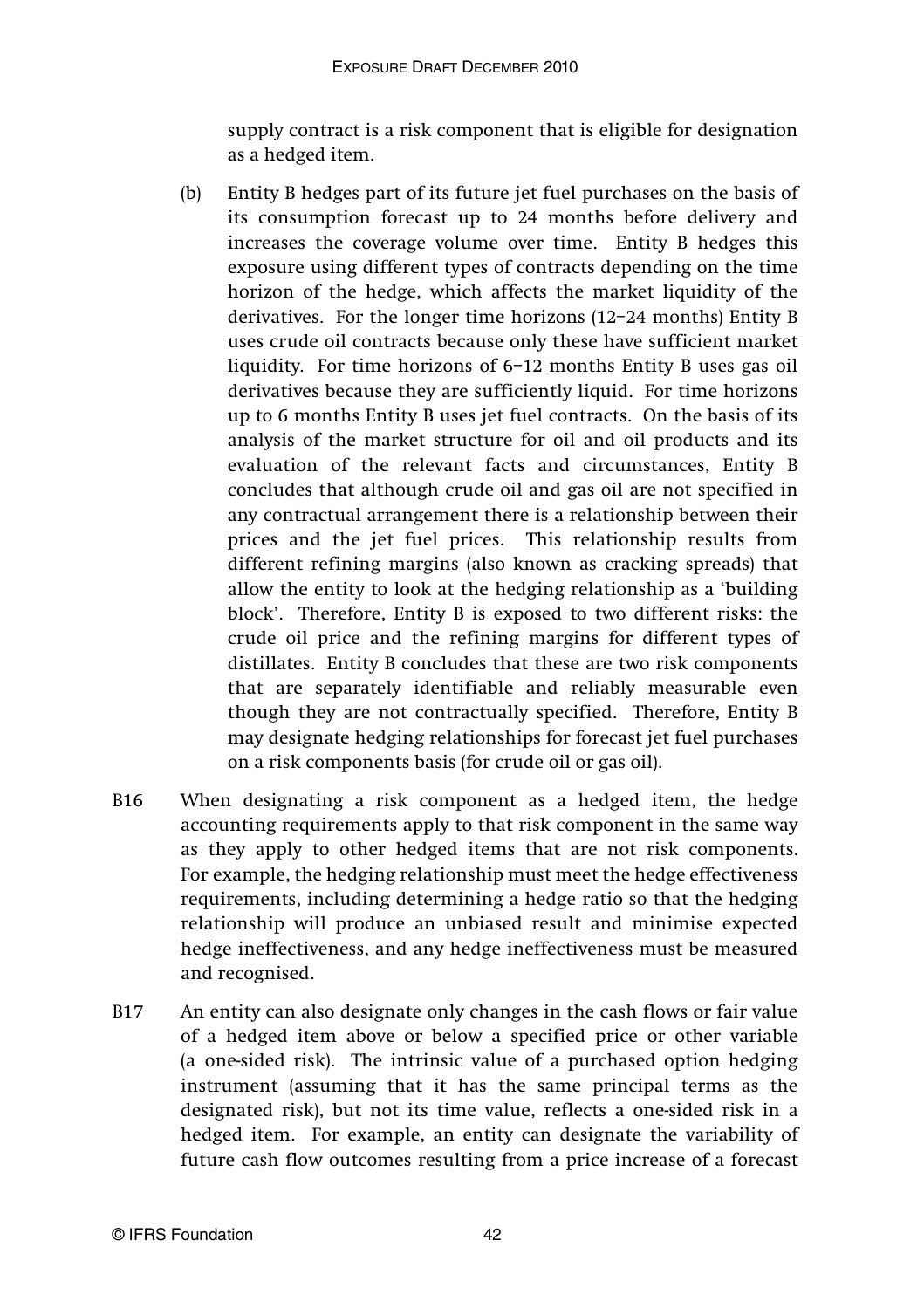supply contract is a risk component that is eligible for designation as a hedged item.

- (b) Entity B hedges part of its future jet fuel purchases on the basis of its consumption forecast up to 24 months before delivery and increases the coverage volume over time. Entity B hedges this exposure using different types of contracts depending on the time horizon of the hedge, which affects the market liquidity of the derivatives. For the longer time horizons (12–24 months) Entity B uses crude oil contracts because only these have sufficient market liquidity. For time horizons of 6–12 months Entity B uses gas oil derivatives because they are sufficiently liquid. For time horizons up to 6 months Entity B uses jet fuel contracts. On the basis of its analysis of the market structure for oil and oil products and its evaluation of the relevant facts and circumstances, Entity B concludes that although crude oil and gas oil are not specified in any contractual arrangement there is a relationship between their prices and the jet fuel prices. This relationship results from different refining margins (also known as cracking spreads) that allow the entity to look at the hedging relationship as a 'building block'. Therefore, Entity B is exposed to two different risks: the crude oil price and the refining margins for different types of distillates. Entity B concludes that these are two risk components that are separately identifiable and reliably measurable even though they are not contractually specified. Therefore, Entity B may designate hedging relationships for forecast jet fuel purchases on a risk components basis (for crude oil or gas oil).
- B16 When designating a risk component as a hedged item, the hedge accounting requirements apply to that risk component in the same way as they apply to other hedged items that are not risk components. For example, the hedging relationship must meet the hedge effectiveness requirements, including determining a hedge ratio so that the hedging relationship will produce an unbiased result and minimise expected hedge ineffectiveness, and any hedge ineffectiveness must be measured and recognised.
- B17 An entity can also designate only changes in the cash flows or fair value of a hedged item above or below a specified price or other variable (a one-sided risk). The intrinsic value of a purchased option hedging instrument (assuming that it has the same principal terms as the designated risk), but not its time value, reflects a one-sided risk in a hedged item. For example, an entity can designate the variability of future cash flow outcomes resulting from a price increase of a forecast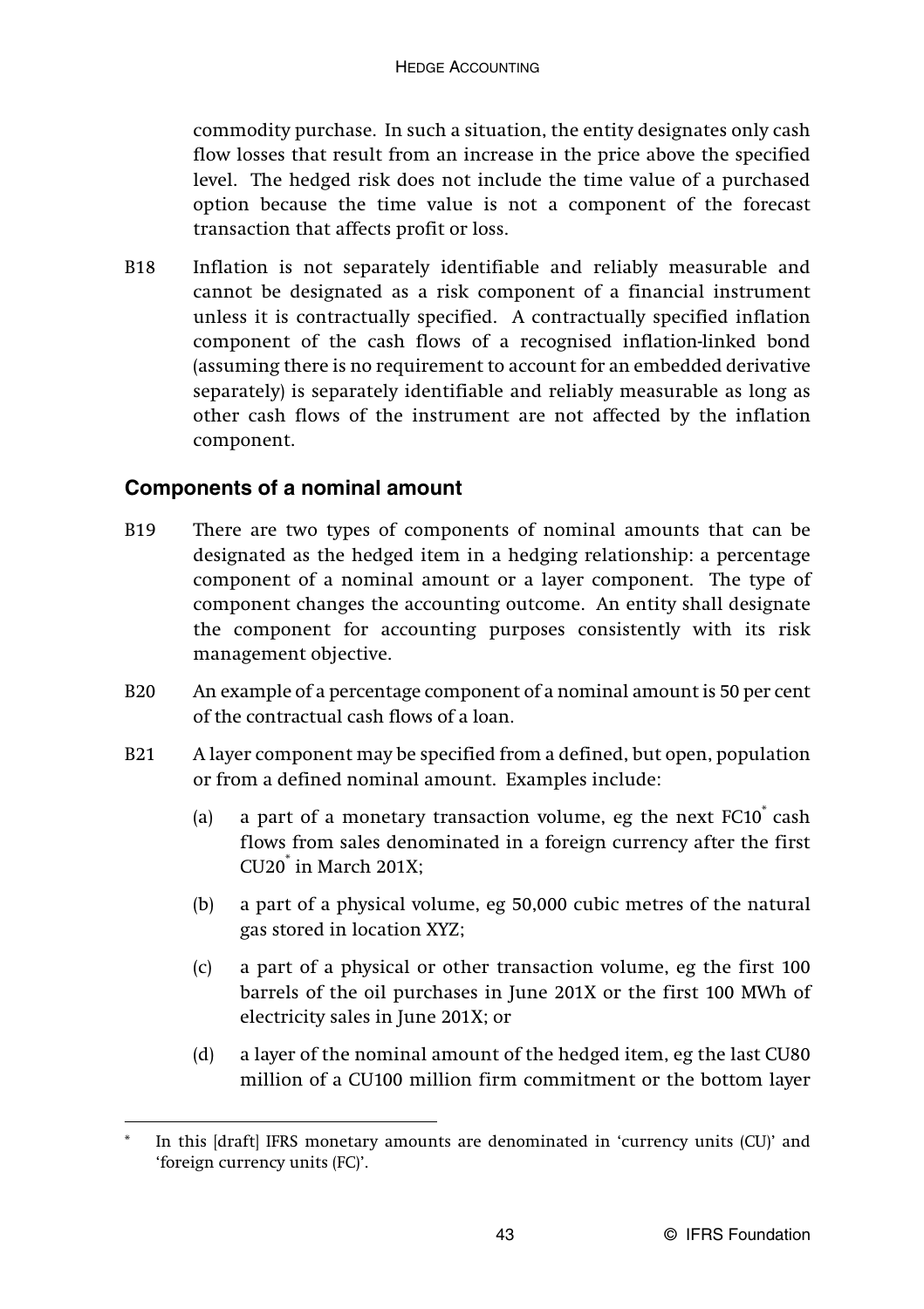commodity purchase. In such a situation, the entity designates only cash flow losses that result from an increase in the price above the specified level. The hedged risk does not include the time value of a purchased option because the time value is not a component of the forecast transaction that affects profit or loss.

B18 Inflation is not separately identifiable and reliably measurable and cannot be designated as a risk component of a financial instrument unless it is contractually specified. A contractually specified inflation component of the cash flows of a recognised inflation-linked bond (assuming there is no requirement to account for an embedded derivative separately) is separately identifiable and reliably measurable as long as other cash flows of the instrument are not affected by the inflation component.

#### **Components of a nominal amount**

- B19 There are two types of components of nominal amounts that can be designated as the hedged item in a hedging relationship: a percentage component of a nominal amount or a layer component. The type of component changes the accounting outcome. An entity shall designate the component for accounting purposes consistently with its risk management objective.
- B20 An example of a percentage component of a nominal amount is 50 per cent of the contractual cash flows of a loan.
- B21 A layer component may be specified from a defined, but open, population or from a defined nominal amount. Examples include:
	- (a) a part of a monetary transaction volume, eg the next  $FC10^{\circ}$  cash flows from sales denominated in a foreign currency after the first CU20\* in March 201X;
	- (b) a part of a physical volume, eg 50,000 cubic metres of the natural gas stored in location XYZ;
	- (c) a part of a physical or other transaction volume, eg the first 100 barrels of the oil purchases in June 201X or the first 100 MWh of electricity sales in June 201X; or
	- (d) a layer of the nominal amount of the hedged item, eg the last CU80 million of a CU100 million firm commitment or the bottom layer

In this [draft] IFRS monetary amounts are denominated in 'currency units (CU)' and 'foreign currency units (FC)'.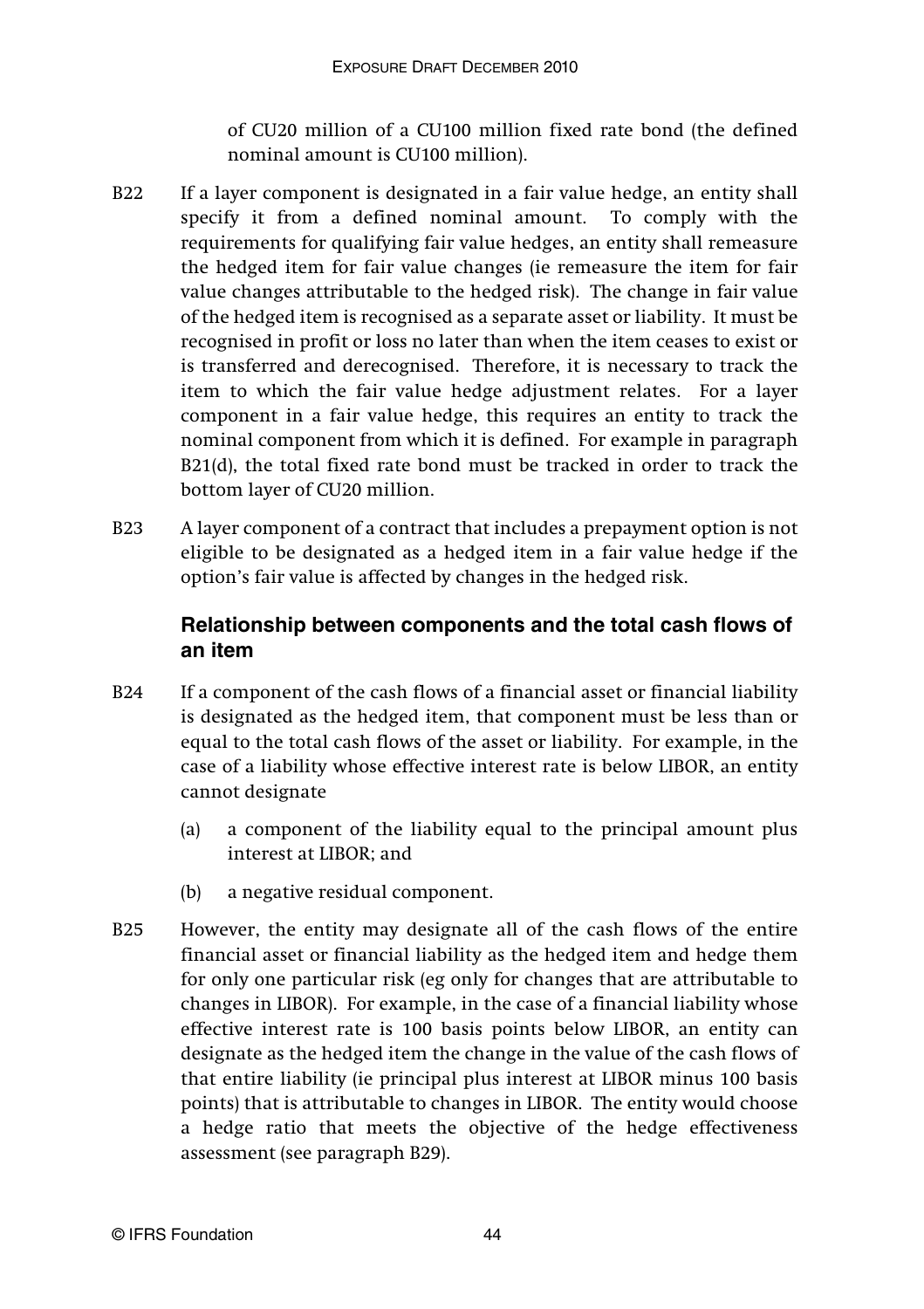of CU20 million of a CU100 million fixed rate bond (the defined nominal amount is CU100 million).

- B22 If a layer component is designated in a fair value hedge, an entity shall specify it from a defined nominal amount. To comply with the requirements for qualifying fair value hedges, an entity shall remeasure the hedged item for fair value changes (ie remeasure the item for fair value changes attributable to the hedged risk). The change in fair value of the hedged item is recognised as a separate asset or liability. It must be recognised in profit or loss no later than when the item ceases to exist or is transferred and derecognised. Therefore, it is necessary to track the item to which the fair value hedge adjustment relates. For a layer component in a fair value hedge, this requires an entity to track the nominal component from which it is defined. For example in paragraph B21(d), the total fixed rate bond must be tracked in order to track the bottom layer of CU20 million.
- B23 A layer component of a contract that includes a prepayment option is not eligible to be designated as a hedged item in a fair value hedge if the option's fair value is affected by changes in the hedged risk.

#### **Relationship between components and the total cash flows of an item**

- B24 If a component of the cash flows of a financial asset or financial liability is designated as the hedged item, that component must be less than or equal to the total cash flows of the asset or liability. For example, in the case of a liability whose effective interest rate is below LIBOR, an entity cannot designate
	- (a) a component of the liability equal to the principal amount plus interest at LIBOR; and
	- (b) a negative residual component.
- B25 However, the entity may designate all of the cash flows of the entire financial asset or financial liability as the hedged item and hedge them for only one particular risk (eg only for changes that are attributable to changes in LIBOR). For example, in the case of a financial liability whose effective interest rate is 100 basis points below LIBOR, an entity can designate as the hedged item the change in the value of the cash flows of that entire liability (ie principal plus interest at LIBOR minus 100 basis points) that is attributable to changes in LIBOR. The entity would choose a hedge ratio that meets the objective of the hedge effectiveness assessment (see paragraph B29).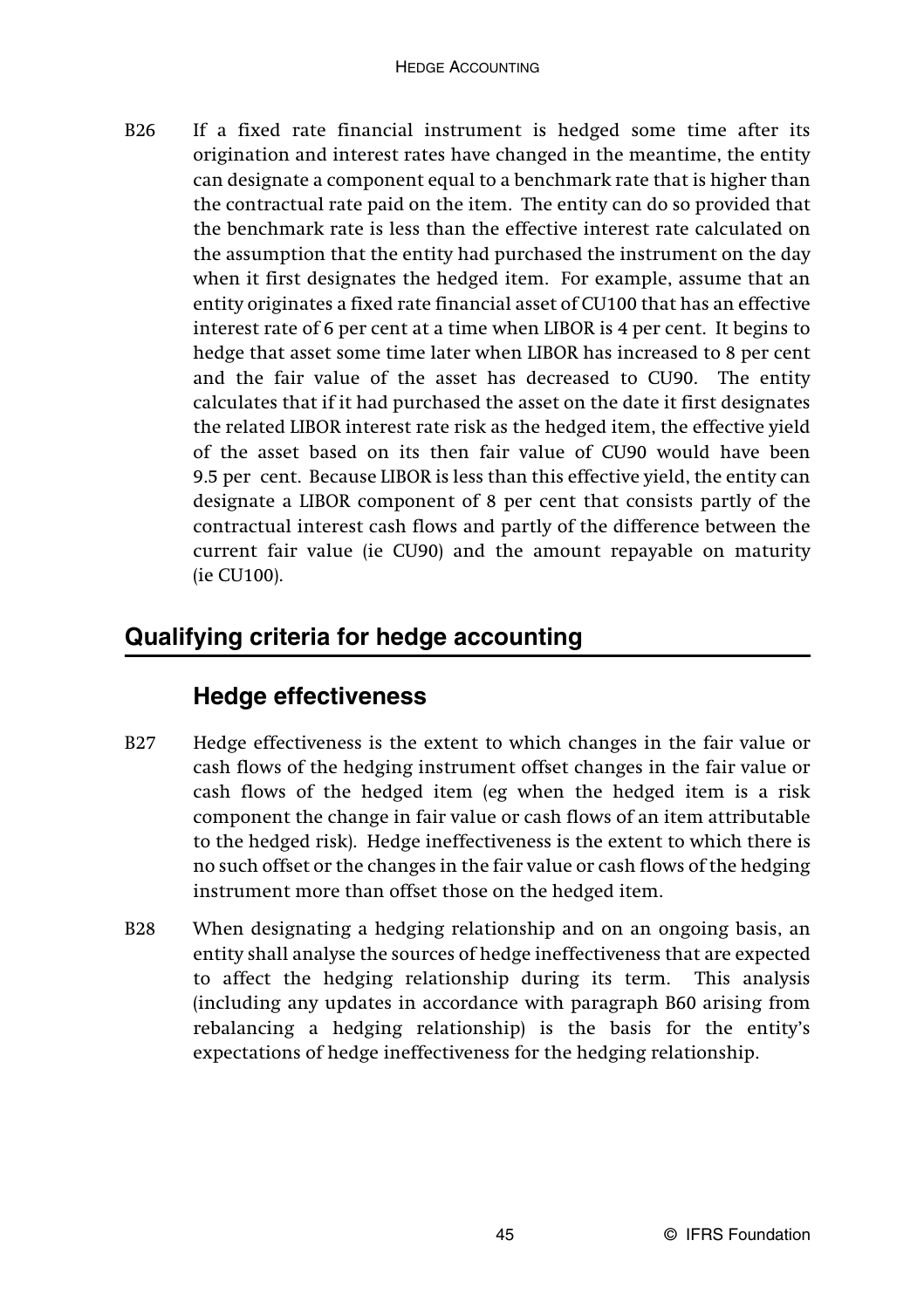B26 If a fixed rate financial instrument is hedged some time after its origination and interest rates have changed in the meantime, the entity can designate a component equal to a benchmark rate that is higher than the contractual rate paid on the item. The entity can do so provided that the benchmark rate is less than the effective interest rate calculated on the assumption that the entity had purchased the instrument on the day when it first designates the hedged item. For example, assume that an entity originates a fixed rate financial asset of CU100 that has an effective interest rate of 6 per cent at a time when LIBOR is 4 per cent. It begins to hedge that asset some time later when LIBOR has increased to 8 per cent and the fair value of the asset has decreased to CU90. The entity calculates that if it had purchased the asset on the date it first designates the related LIBOR interest rate risk as the hedged item, the effective yield of the asset based on its then fair value of CU90 would have been 9.5 per cent. Because LIBOR is less than this effective yield, the entity can designate a LIBOR component of 8 per cent that consists partly of the contractual interest cash flows and partly of the difference between the current fair value (ie CU90) and the amount repayable on maturity (ie CU100).

# **Qualifying criteria for hedge accounting**

# **Hedge effectiveness**

- B27 Hedge effectiveness is the extent to which changes in the fair value or cash flows of the hedging instrument offset changes in the fair value or cash flows of the hedged item (eg when the hedged item is a risk component the change in fair value or cash flows of an item attributable to the hedged risk). Hedge ineffectiveness is the extent to which there is no such offset or the changes in the fair value or cash flows of the hedging instrument more than offset those on the hedged item.
- B28 When designating a hedging relationship and on an ongoing basis, an entity shall analyse the sources of hedge ineffectiveness that are expected to affect the hedging relationship during its term. This analysis (including any updates in accordance with paragraph B60 arising from rebalancing a hedging relationship) is the basis for the entity's expectations of hedge ineffectiveness for the hedging relationship.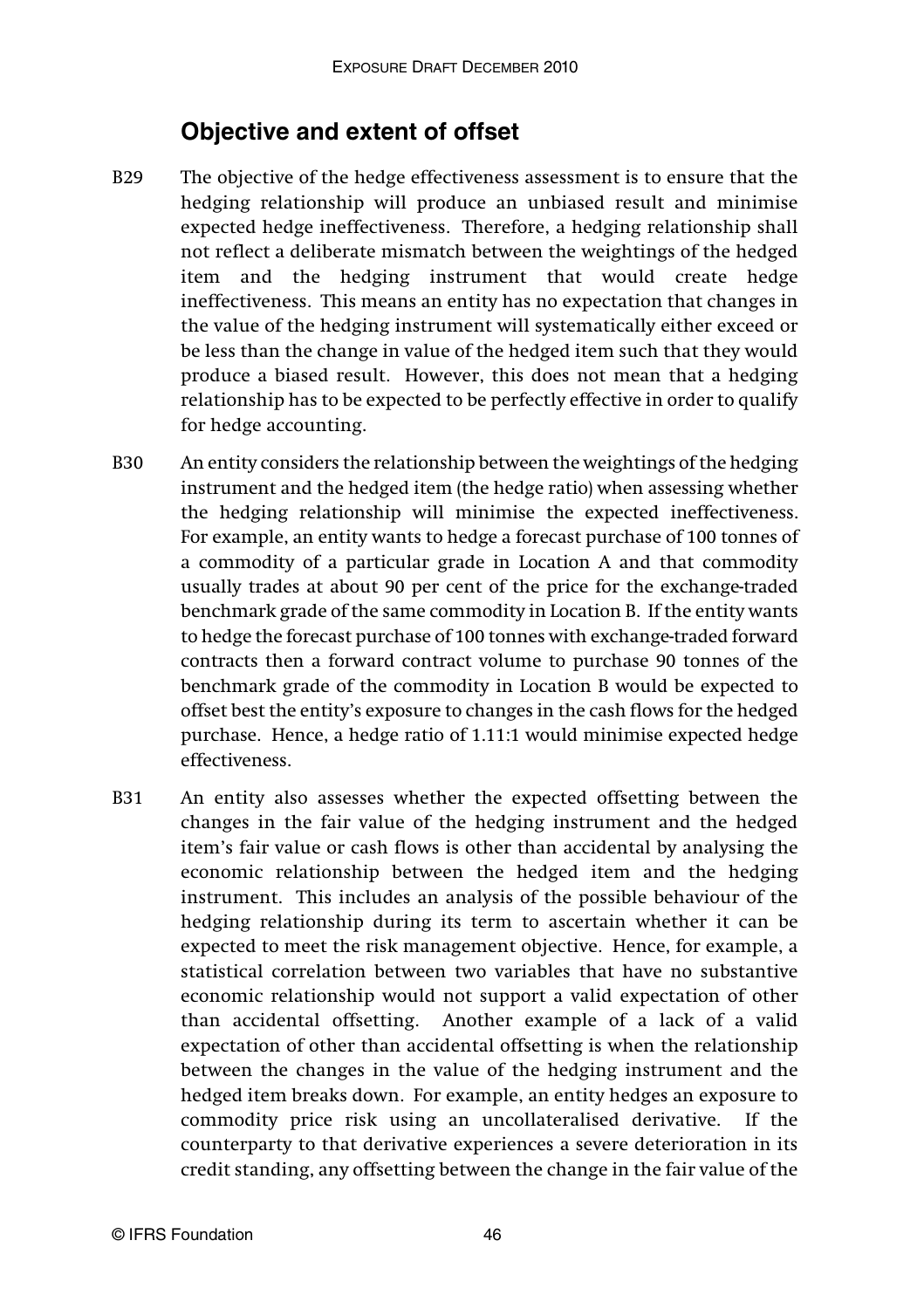# **Objective and extent of offset**

- B29 The objective of the hedge effectiveness assessment is to ensure that the hedging relationship will produce an unbiased result and minimise expected hedge ineffectiveness. Therefore, a hedging relationship shall not reflect a deliberate mismatch between the weightings of the hedged item and the hedging instrument that would create hedge ineffectiveness. This means an entity has no expectation that changes in the value of the hedging instrument will systematically either exceed or be less than the change in value of the hedged item such that they would produce a biased result. However, this does not mean that a hedging relationship has to be expected to be perfectly effective in order to qualify for hedge accounting.
- B30 An entity considers the relationship between the weightings of the hedging instrument and the hedged item (the hedge ratio) when assessing whether the hedging relationship will minimise the expected ineffectiveness. For example, an entity wants to hedge a forecast purchase of 100 tonnes of a commodity of a particular grade in Location A and that commodity usually trades at about 90 per cent of the price for the exchange-traded benchmark grade of the same commodity in Location B. If the entity wants to hedge the forecast purchase of 100 tonnes with exchange-traded forward contracts then a forward contract volume to purchase 90 tonnes of the benchmark grade of the commodity in Location B would be expected to offset best the entity's exposure to changes in the cash flows for the hedged purchase. Hence, a hedge ratio of 1.11:1 would minimise expected hedge effectiveness.
- B31 An entity also assesses whether the expected offsetting between the changes in the fair value of the hedging instrument and the hedged item's fair value or cash flows is other than accidental by analysing the economic relationship between the hedged item and the hedging instrument. This includes an analysis of the possible behaviour of the hedging relationship during its term to ascertain whether it can be expected to meet the risk management objective. Hence, for example, a statistical correlation between two variables that have no substantive economic relationship would not support a valid expectation of other than accidental offsetting. Another example of a lack of a valid expectation of other than accidental offsetting is when the relationship between the changes in the value of the hedging instrument and the hedged item breaks down. For example, an entity hedges an exposure to commodity price risk using an uncollateralised derivative. If the counterparty to that derivative experiences a severe deterioration in its credit standing, any offsetting between the change in the fair value of the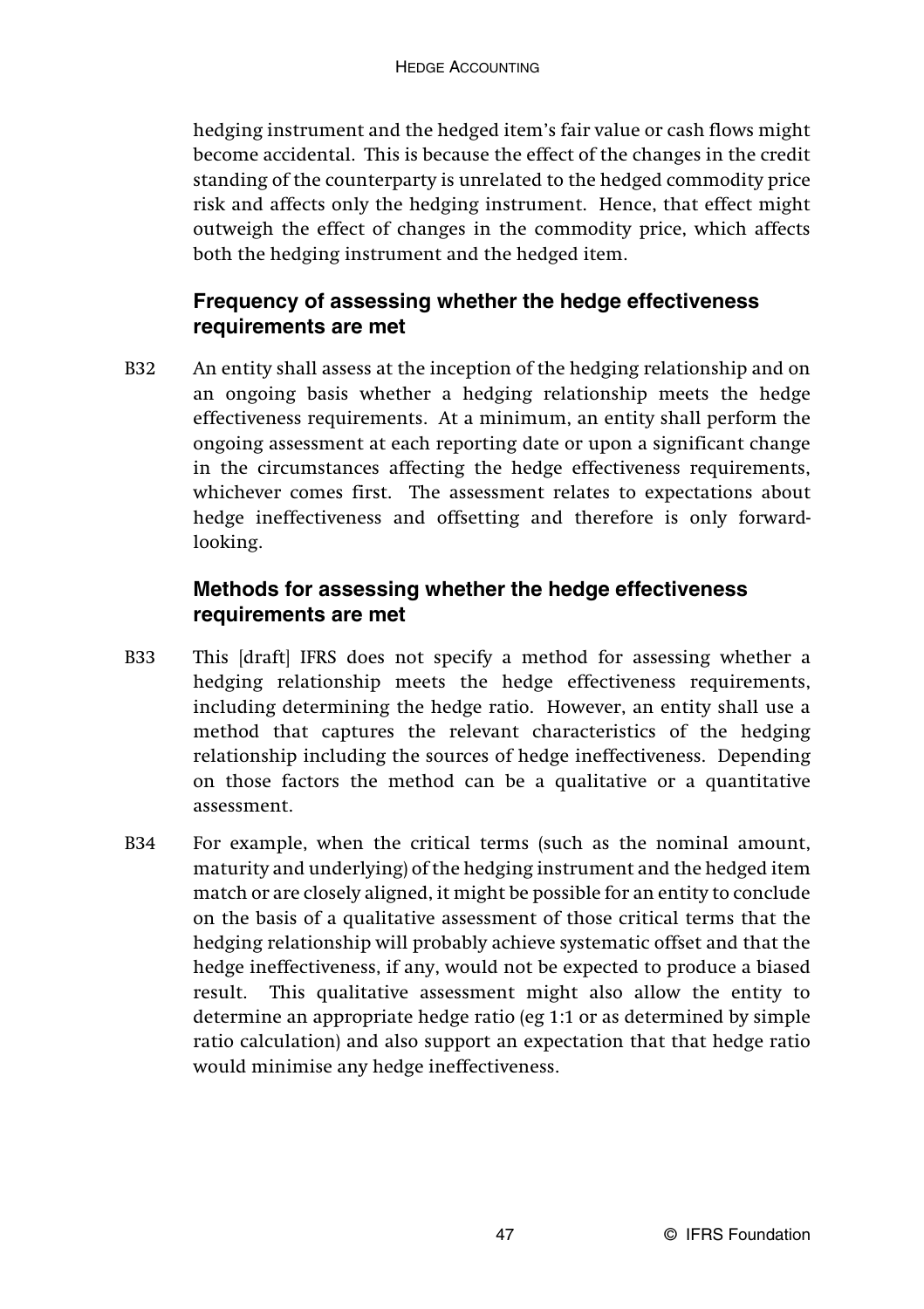hedging instrument and the hedged item's fair value or cash flows might become accidental. This is because the effect of the changes in the credit standing of the counterparty is unrelated to the hedged commodity price risk and affects only the hedging instrument. Hence, that effect might outweigh the effect of changes in the commodity price, which affects both the hedging instrument and the hedged item.

#### **Frequency of assessing whether the hedge effectiveness requirements are met**

B32 An entity shall assess at the inception of the hedging relationship and on an ongoing basis whether a hedging relationship meets the hedge effectiveness requirements. At a minimum, an entity shall perform the ongoing assessment at each reporting date or upon a significant change in the circumstances affecting the hedge effectiveness requirements, whichever comes first. The assessment relates to expectations about hedge ineffectiveness and offsetting and therefore is only forwardlooking.

#### **Methods for assessing whether the hedge effectiveness requirements are met**

- B33 This [draft] IFRS does not specify a method for assessing whether a hedging relationship meets the hedge effectiveness requirements, including determining the hedge ratio. However, an entity shall use a method that captures the relevant characteristics of the hedging relationship including the sources of hedge ineffectiveness. Depending on those factors the method can be a qualitative or a quantitative assessment.
- B34 For example, when the critical terms (such as the nominal amount, maturity and underlying) of the hedging instrument and the hedged item match or are closely aligned, it might be possible for an entity to conclude on the basis of a qualitative assessment of those critical terms that the hedging relationship will probably achieve systematic offset and that the hedge ineffectiveness, if any, would not be expected to produce a biased result. This qualitative assessment might also allow the entity to determine an appropriate hedge ratio (eg 1:1 or as determined by simple ratio calculation) and also support an expectation that that hedge ratio would minimise any hedge ineffectiveness.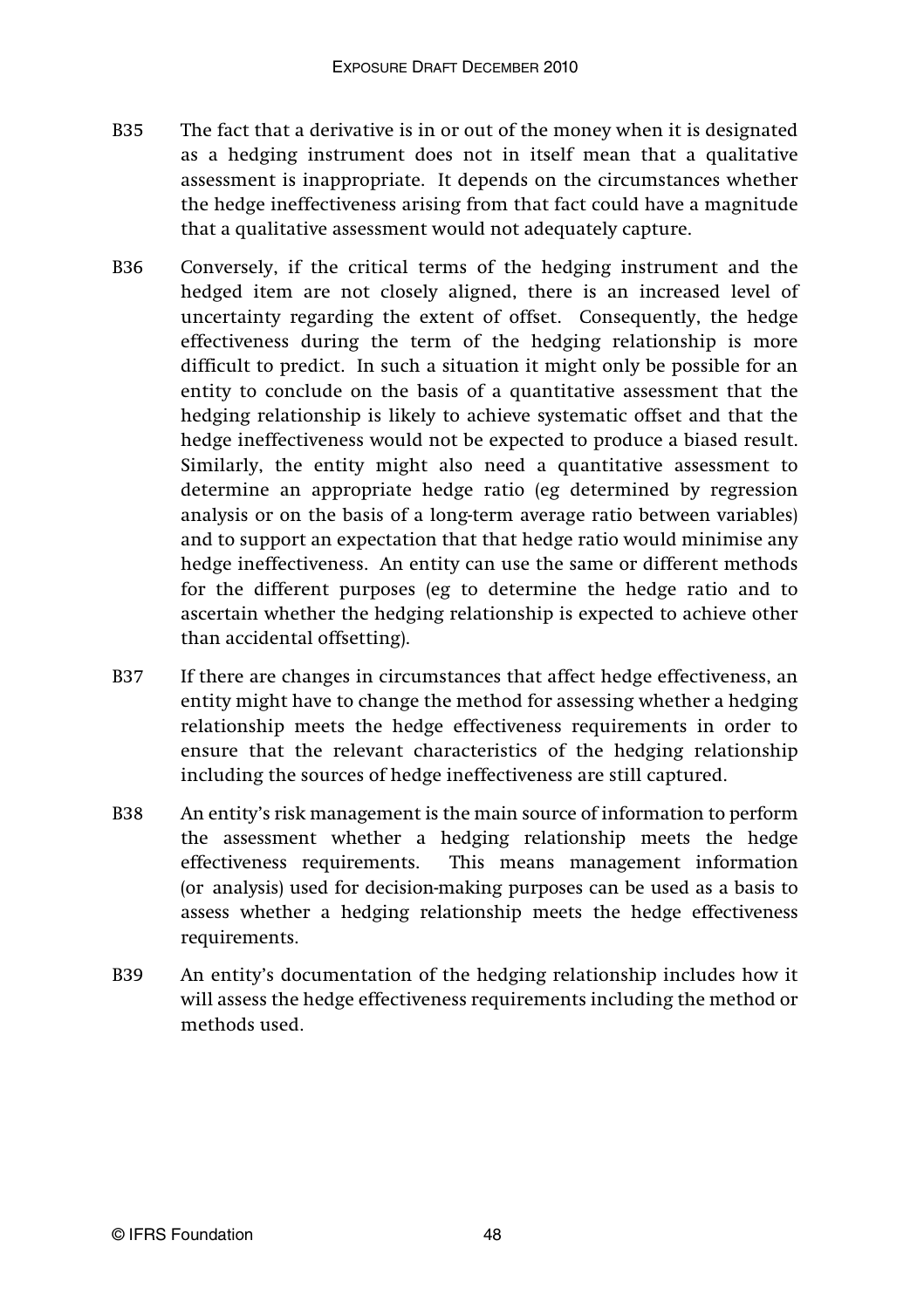- B35 The fact that a derivative is in or out of the money when it is designated as a hedging instrument does not in itself mean that a qualitative assessment is inappropriate. It depends on the circumstances whether the hedge ineffectiveness arising from that fact could have a magnitude that a qualitative assessment would not adequately capture.
- B36 Conversely, if the critical terms of the hedging instrument and the hedged item are not closely aligned, there is an increased level of uncertainty regarding the extent of offset. Consequently, the hedge effectiveness during the term of the hedging relationship is more difficult to predict. In such a situation it might only be possible for an entity to conclude on the basis of a quantitative assessment that the hedging relationship is likely to achieve systematic offset and that the hedge ineffectiveness would not be expected to produce a biased result. Similarly, the entity might also need a quantitative assessment to determine an appropriate hedge ratio (eg determined by regression analysis or on the basis of a long-term average ratio between variables) and to support an expectation that that hedge ratio would minimise any hedge ineffectiveness. An entity can use the same or different methods for the different purposes (eg to determine the hedge ratio and to ascertain whether the hedging relationship is expected to achieve other than accidental offsetting).
- B37 If there are changes in circumstances that affect hedge effectiveness, an entity might have to change the method for assessing whether a hedging relationship meets the hedge effectiveness requirements in order to ensure that the relevant characteristics of the hedging relationship including the sources of hedge ineffectiveness are still captured.
- B38 An entity's risk management is the main source of information to perform the assessment whether a hedging relationship meets the hedge effectiveness requirements. This means management information (or analysis) used for decision-making purposes can be used as a basis to assess whether a hedging relationship meets the hedge effectiveness requirements.
- B39 An entity's documentation of the hedging relationship includes how it will assess the hedge effectiveness requirements including the method or methods used.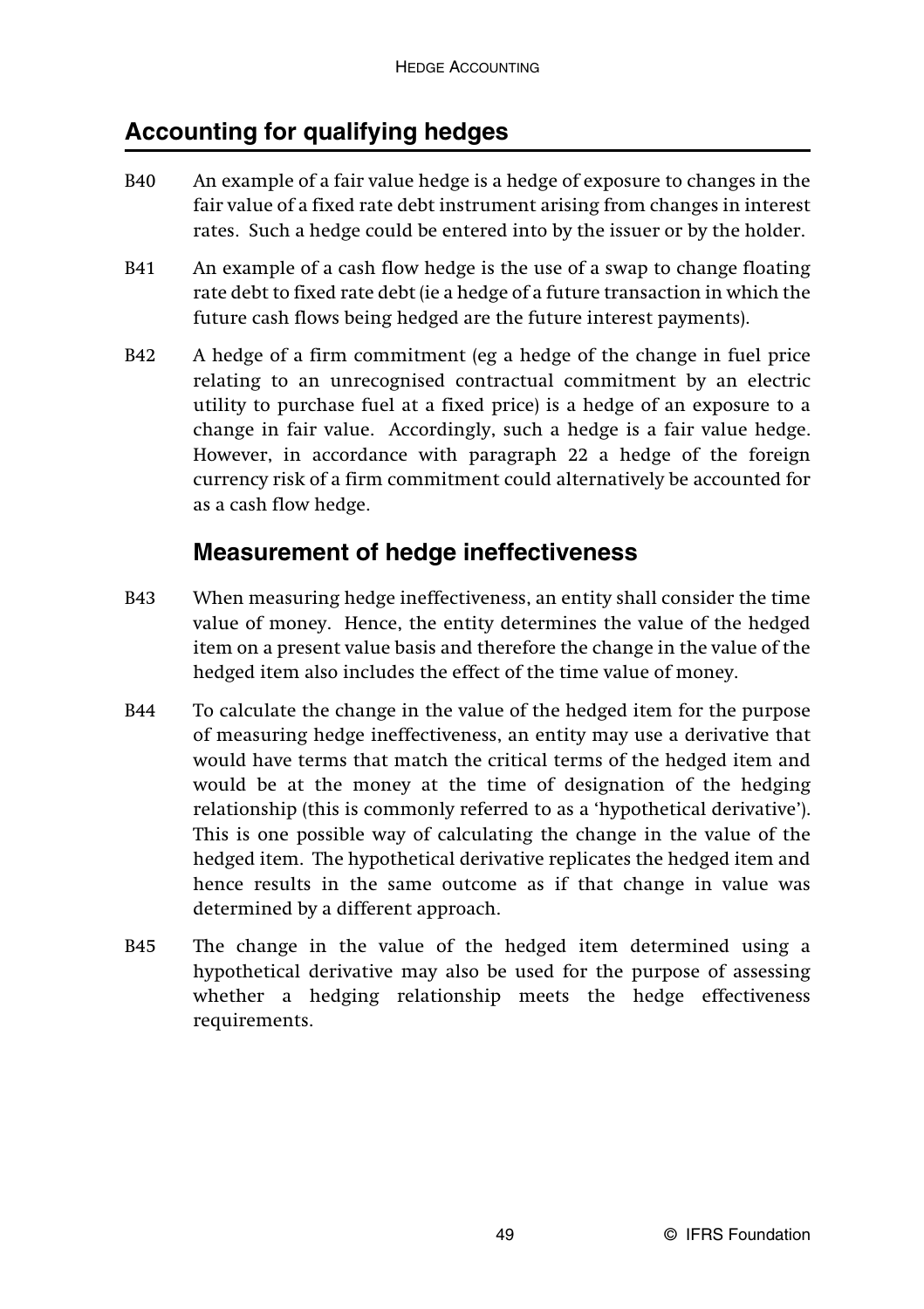# **Accounting for qualifying hedges**

- B40 An example of a fair value hedge is a hedge of exposure to changes in the fair value of a fixed rate debt instrument arising from changes in interest rates. Such a hedge could be entered into by the issuer or by the holder.
- B41 An example of a cash flow hedge is the use of a swap to change floating rate debt to fixed rate debt (ie a hedge of a future transaction in which the future cash flows being hedged are the future interest payments).
- B42 A hedge of a firm commitment (eg a hedge of the change in fuel price relating to an unrecognised contractual commitment by an electric utility to purchase fuel at a fixed price) is a hedge of an exposure to a change in fair value. Accordingly, such a hedge is a fair value hedge. However, in accordance with paragraph 22 a hedge of the foreign currency risk of a firm commitment could alternatively be accounted for as a cash flow hedge.

# **Measurement of hedge ineffectiveness**

- B43 When measuring hedge ineffectiveness, an entity shall consider the time value of money. Hence, the entity determines the value of the hedged item on a present value basis and therefore the change in the value of the hedged item also includes the effect of the time value of money.
- B44 To calculate the change in the value of the hedged item for the purpose of measuring hedge ineffectiveness, an entity may use a derivative that would have terms that match the critical terms of the hedged item and would be at the money at the time of designation of the hedging relationship (this is commonly referred to as a 'hypothetical derivative'). This is one possible way of calculating the change in the value of the hedged item. The hypothetical derivative replicates the hedged item and hence results in the same outcome as if that change in value was determined by a different approach.
- B45 The change in the value of the hedged item determined using a hypothetical derivative may also be used for the purpose of assessing whether a hedging relationship meets the hedge effectiveness requirements.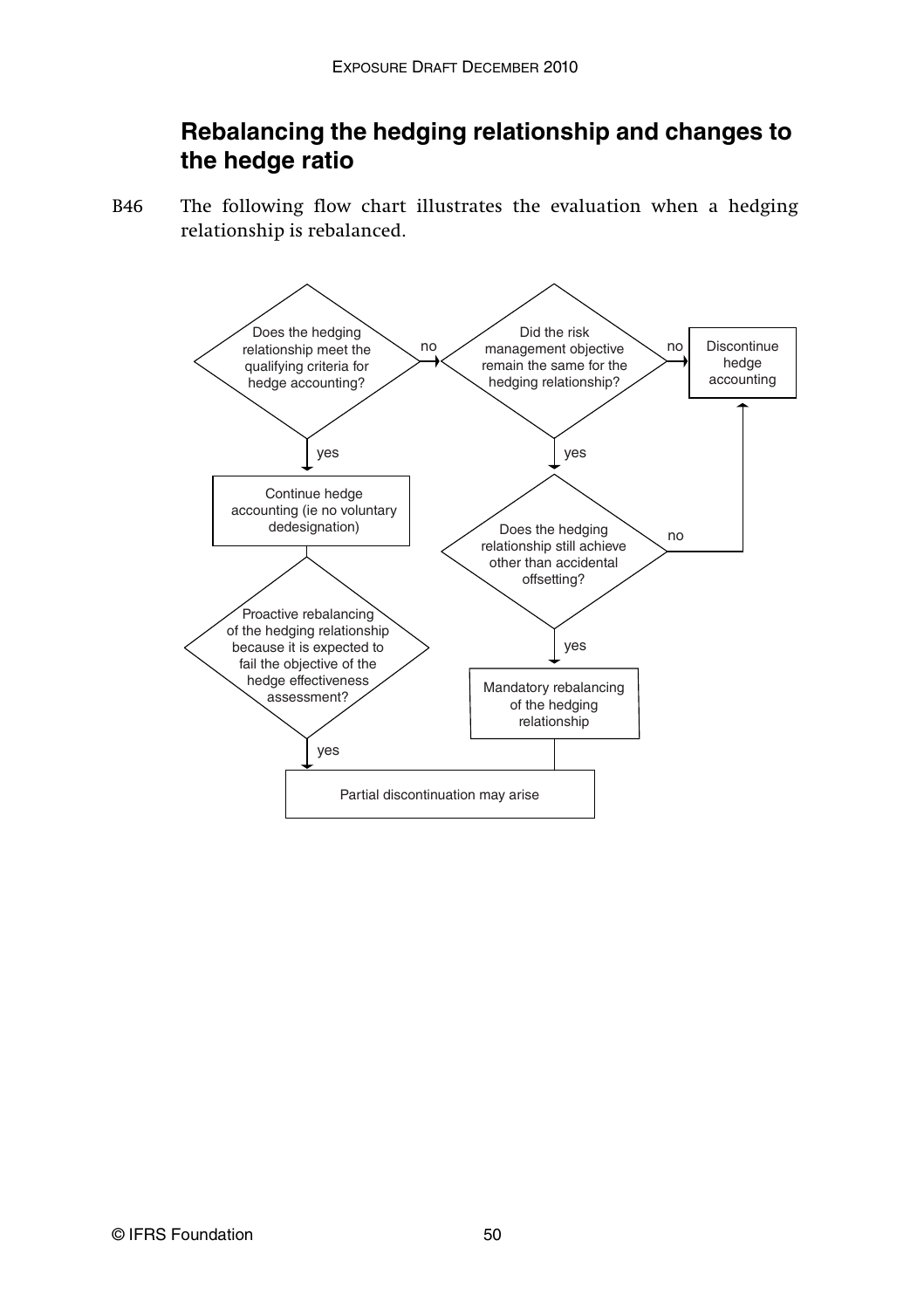# **Rebalancing the hedging relationship and changes to the hedge ratio**

B46 The following flow chart illustrates the evaluation when a hedging relationship is rebalanced.

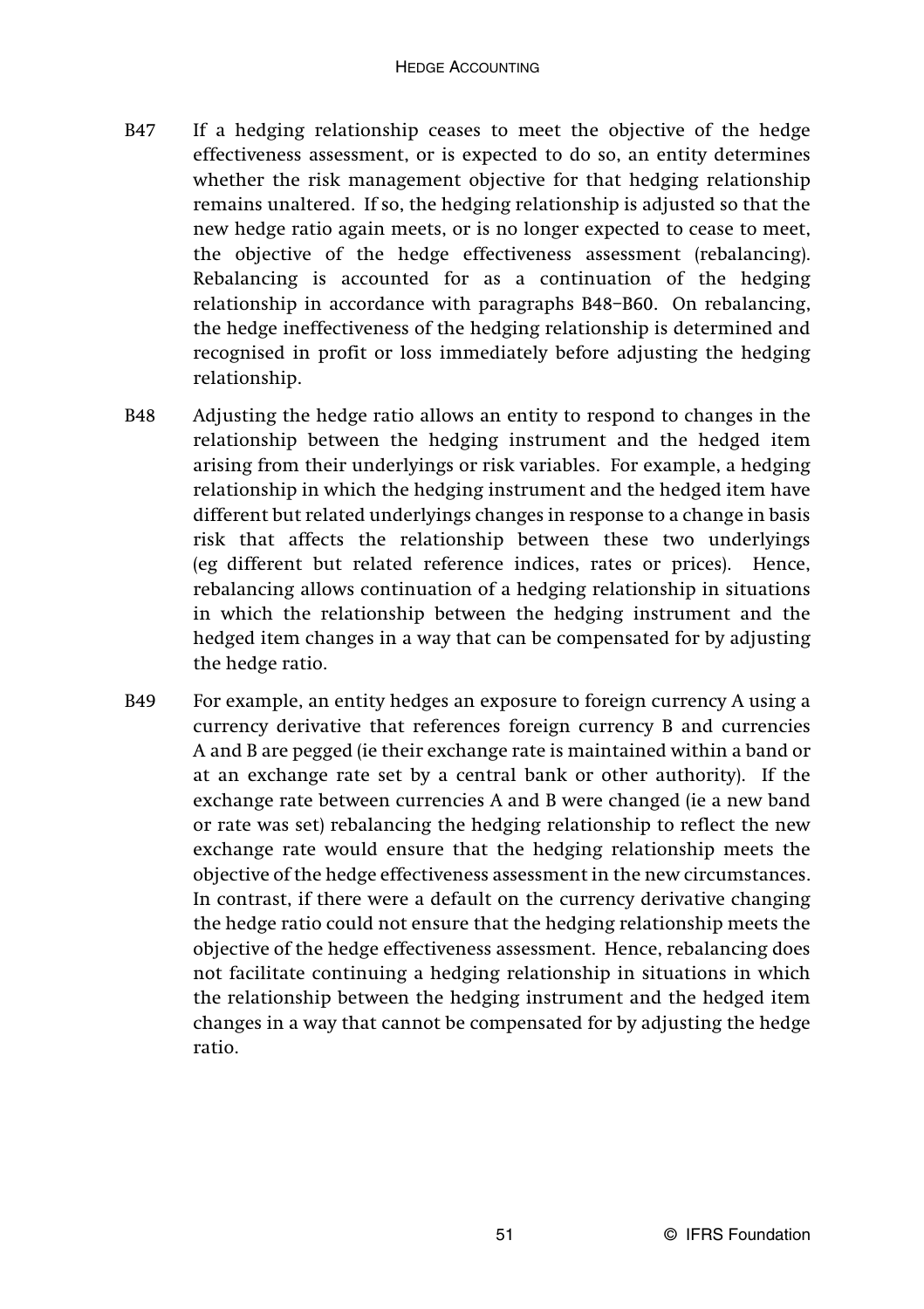- B47 If a hedging relationship ceases to meet the objective of the hedge effectiveness assessment, or is expected to do so, an entity determines whether the risk management objective for that hedging relationship remains unaltered. If so, the hedging relationship is adjusted so that the new hedge ratio again meets, or is no longer expected to cease to meet, the objective of the hedge effectiveness assessment (rebalancing). Rebalancing is accounted for as a continuation of the hedging relationship in accordance with paragraphs B48–B60. On rebalancing, the hedge ineffectiveness of the hedging relationship is determined and recognised in profit or loss immediately before adjusting the hedging relationship.
- B48 Adjusting the hedge ratio allows an entity to respond to changes in the relationship between the hedging instrument and the hedged item arising from their underlyings or risk variables. For example, a hedging relationship in which the hedging instrument and the hedged item have different but related underlyings changes in response to a change in basis risk that affects the relationship between these two underlyings (eg different but related reference indices, rates or prices). Hence, rebalancing allows continuation of a hedging relationship in situations in which the relationship between the hedging instrument and the hedged item changes in a way that can be compensated for by adjusting the hedge ratio.
- B49 For example, an entity hedges an exposure to foreign currency A using a currency derivative that references foreign currency B and currencies A and B are pegged (ie their exchange rate is maintained within a band or at an exchange rate set by a central bank or other authority). If the exchange rate between currencies A and B were changed (ie a new band or rate was set) rebalancing the hedging relationship to reflect the new exchange rate would ensure that the hedging relationship meets the objective of the hedge effectiveness assessment in the new circumstances. In contrast, if there were a default on the currency derivative changing the hedge ratio could not ensure that the hedging relationship meets the objective of the hedge effectiveness assessment. Hence, rebalancing does not facilitate continuing a hedging relationship in situations in which the relationship between the hedging instrument and the hedged item changes in a way that cannot be compensated for by adjusting the hedge ratio.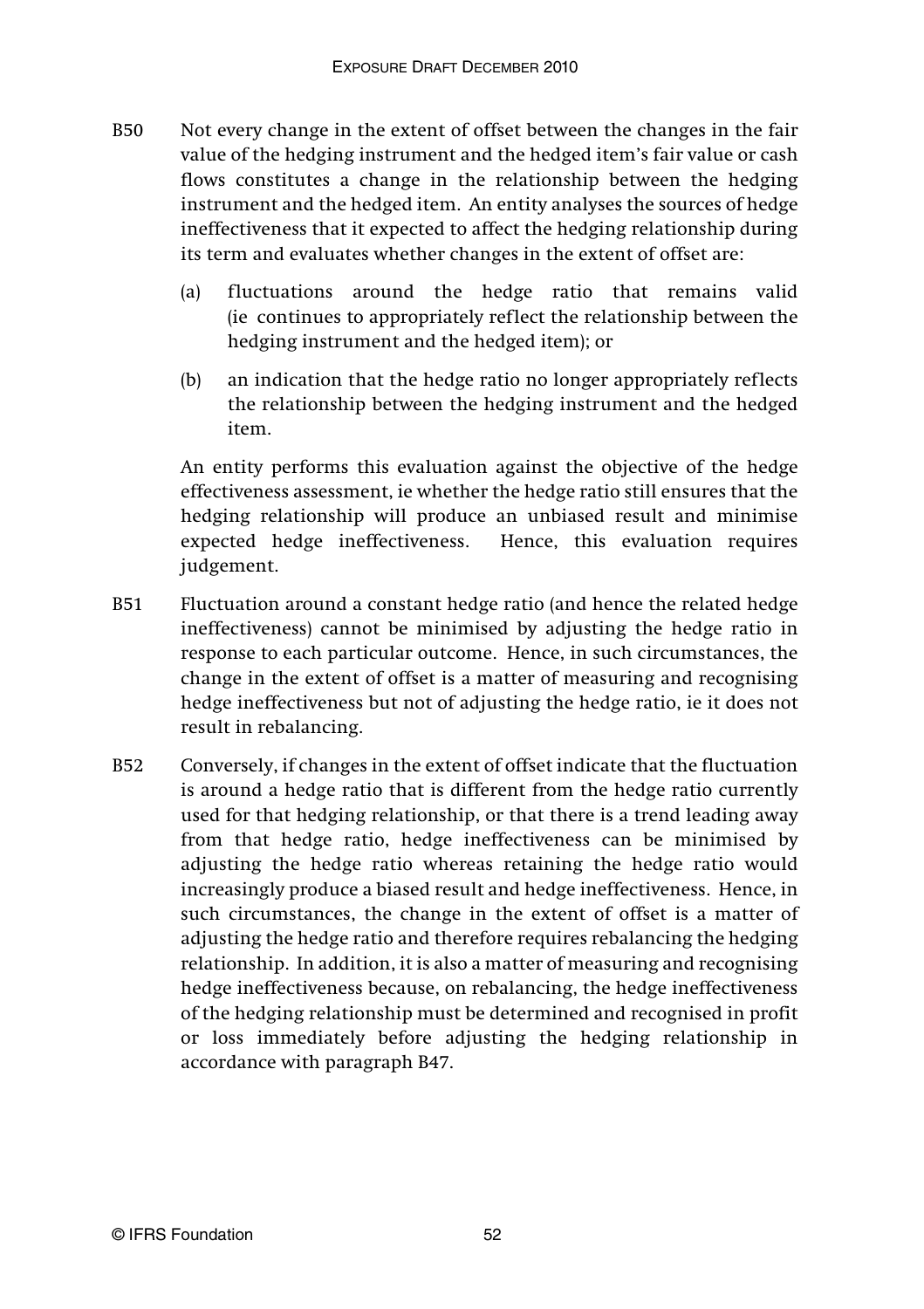- B50 Not every change in the extent of offset between the changes in the fair value of the hedging instrument and the hedged item's fair value or cash flows constitutes a change in the relationship between the hedging instrument and the hedged item. An entity analyses the sources of hedge ineffectiveness that it expected to affect the hedging relationship during its term and evaluates whether changes in the extent of offset are:
	- (a) fluctuations around the hedge ratio that remains valid (ie continues to appropriately reflect the relationship between the hedging instrument and the hedged item); or
	- (b) an indication that the hedge ratio no longer appropriately reflects the relationship between the hedging instrument and the hedged item.

An entity performs this evaluation against the objective of the hedge effectiveness assessment, ie whether the hedge ratio still ensures that the hedging relationship will produce an unbiased result and minimise expected hedge ineffectiveness. Hence, this evaluation requires judgement.

- B51 Fluctuation around a constant hedge ratio (and hence the related hedge ineffectiveness) cannot be minimised by adjusting the hedge ratio in response to each particular outcome. Hence, in such circumstances, the change in the extent of offset is a matter of measuring and recognising hedge ineffectiveness but not of adjusting the hedge ratio, ie it does not result in rebalancing.
- B52 Conversely, if changes in the extent of offset indicate that the fluctuation is around a hedge ratio that is different from the hedge ratio currently used for that hedging relationship, or that there is a trend leading away from that hedge ratio, hedge ineffectiveness can be minimised by adjusting the hedge ratio whereas retaining the hedge ratio would increasingly produce a biased result and hedge ineffectiveness. Hence, in such circumstances, the change in the extent of offset is a matter of adjusting the hedge ratio and therefore requires rebalancing the hedging relationship. In addition, it is also a matter of measuring and recognising hedge ineffectiveness because, on rebalancing, the hedge ineffectiveness of the hedging relationship must be determined and recognised in profit or loss immediately before adjusting the hedging relationship in accordance with paragraph B47.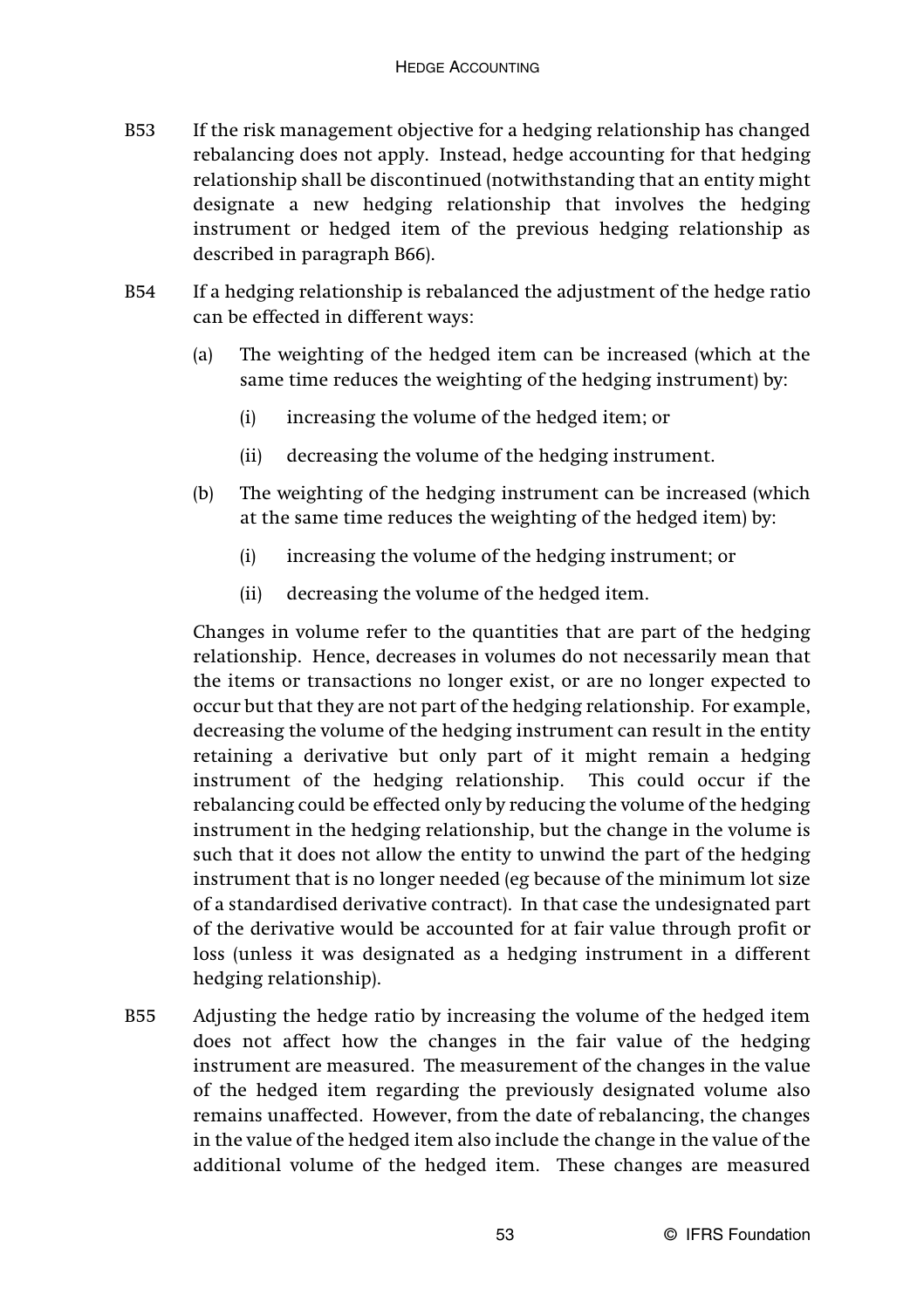- B53 If the risk management objective for a hedging relationship has changed rebalancing does not apply. Instead, hedge accounting for that hedging relationship shall be discontinued (notwithstanding that an entity might designate a new hedging relationship that involves the hedging instrument or hedged item of the previous hedging relationship as described in paragraph B66).
- B54 If a hedging relationship is rebalanced the adjustment of the hedge ratio can be effected in different ways:
	- (a) The weighting of the hedged item can be increased (which at the same time reduces the weighting of the hedging instrument) by:
		- (i) increasing the volume of the hedged item; or
		- (ii) decreasing the volume of the hedging instrument.
	- (b) The weighting of the hedging instrument can be increased (which at the same time reduces the weighting of the hedged item) by:
		- (i) increasing the volume of the hedging instrument; or
		- (ii) decreasing the volume of the hedged item.

Changes in volume refer to the quantities that are part of the hedging relationship. Hence, decreases in volumes do not necessarily mean that the items or transactions no longer exist, or are no longer expected to occur but that they are not part of the hedging relationship. For example, decreasing the volume of the hedging instrument can result in the entity retaining a derivative but only part of it might remain a hedging instrument of the hedging relationship. This could occur if the rebalancing could be effected only by reducing the volume of the hedging instrument in the hedging relationship, but the change in the volume is such that it does not allow the entity to unwind the part of the hedging instrument that is no longer needed (eg because of the minimum lot size of a standardised derivative contract). In that case the undesignated part of the derivative would be accounted for at fair value through profit or loss (unless it was designated as a hedging instrument in a different hedging relationship).

B55 Adjusting the hedge ratio by increasing the volume of the hedged item does not affect how the changes in the fair value of the hedging instrument are measured. The measurement of the changes in the value of the hedged item regarding the previously designated volume also remains unaffected. However, from the date of rebalancing, the changes in the value of the hedged item also include the change in the value of the additional volume of the hedged item. These changes are measured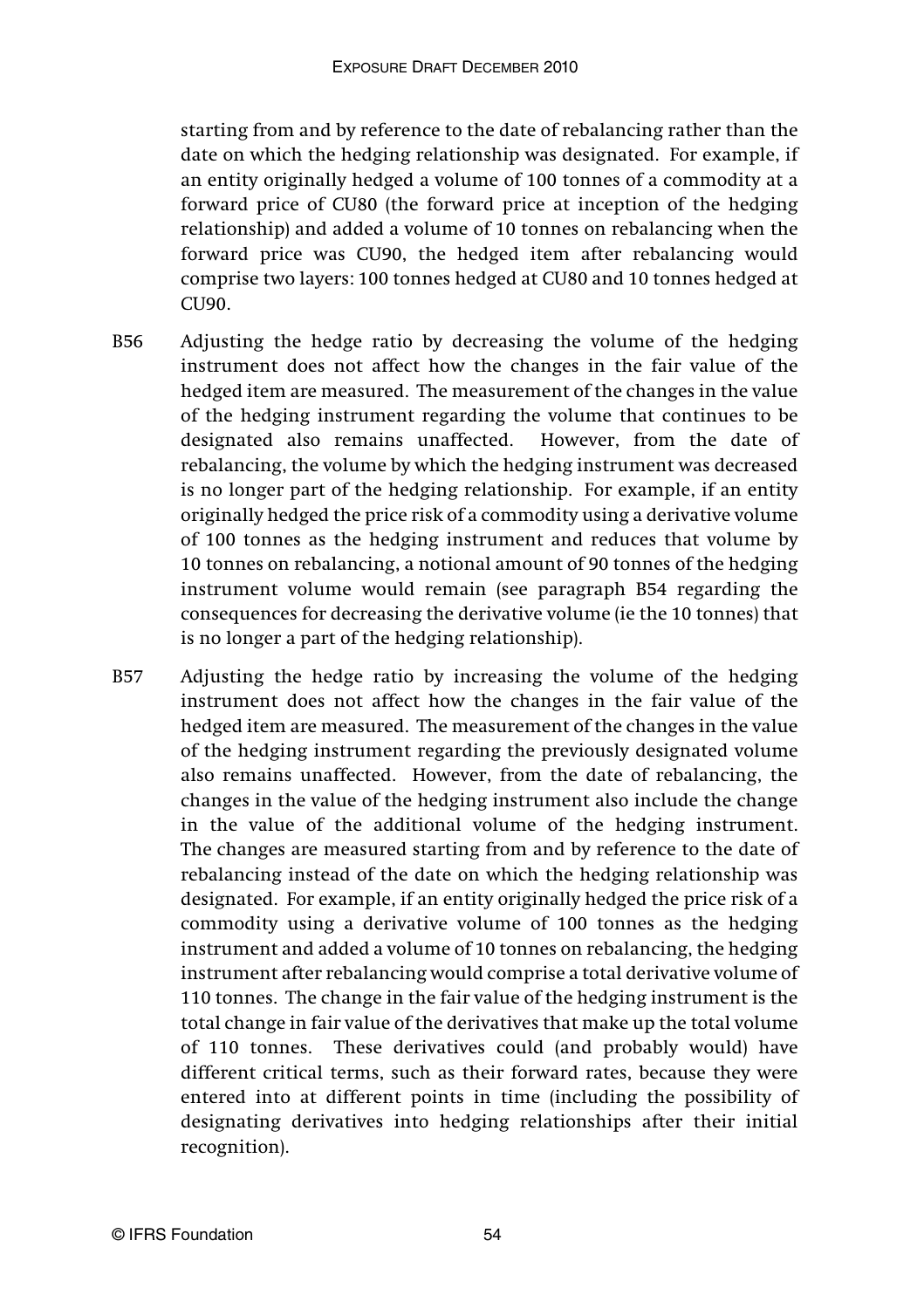starting from and by reference to the date of rebalancing rather than the date on which the hedging relationship was designated. For example, if an entity originally hedged a volume of 100 tonnes of a commodity at a forward price of CU80 (the forward price at inception of the hedging relationship) and added a volume of 10 tonnes on rebalancing when the forward price was CU90, the hedged item after rebalancing would comprise two layers: 100 tonnes hedged at CU80 and 10 tonnes hedged at  $C1190$ 

- B56 Adjusting the hedge ratio by decreasing the volume of the hedging instrument does not affect how the changes in the fair value of the hedged item are measured. The measurement of the changes in the value of the hedging instrument regarding the volume that continues to be designated also remains unaffected. However, from the date of rebalancing, the volume by which the hedging instrument was decreased is no longer part of the hedging relationship. For example, if an entity originally hedged the price risk of a commodity using a derivative volume of 100 tonnes as the hedging instrument and reduces that volume by 10 tonnes on rebalancing, a notional amount of 90 tonnes of the hedging instrument volume would remain (see paragraph B54 regarding the consequences for decreasing the derivative volume (ie the 10 tonnes) that is no longer a part of the hedging relationship).
- B57 Adjusting the hedge ratio by increasing the volume of the hedging instrument does not affect how the changes in the fair value of the hedged item are measured. The measurement of the changes in the value of the hedging instrument regarding the previously designated volume also remains unaffected. However, from the date of rebalancing, the changes in the value of the hedging instrument also include the change in the value of the additional volume of the hedging instrument. The changes are measured starting from and by reference to the date of rebalancing instead of the date on which the hedging relationship was designated. For example, if an entity originally hedged the price risk of a commodity using a derivative volume of 100 tonnes as the hedging instrument and added a volume of 10 tonnes on rebalancing, the hedging instrument after rebalancing would comprise a total derivative volume of 110 tonnes. The change in the fair value of the hedging instrument is the total change in fair value of the derivatives that make up the total volume of 110 tonnes. These derivatives could (and probably would) have different critical terms, such as their forward rates, because they were entered into at different points in time (including the possibility of designating derivatives into hedging relationships after their initial recognition).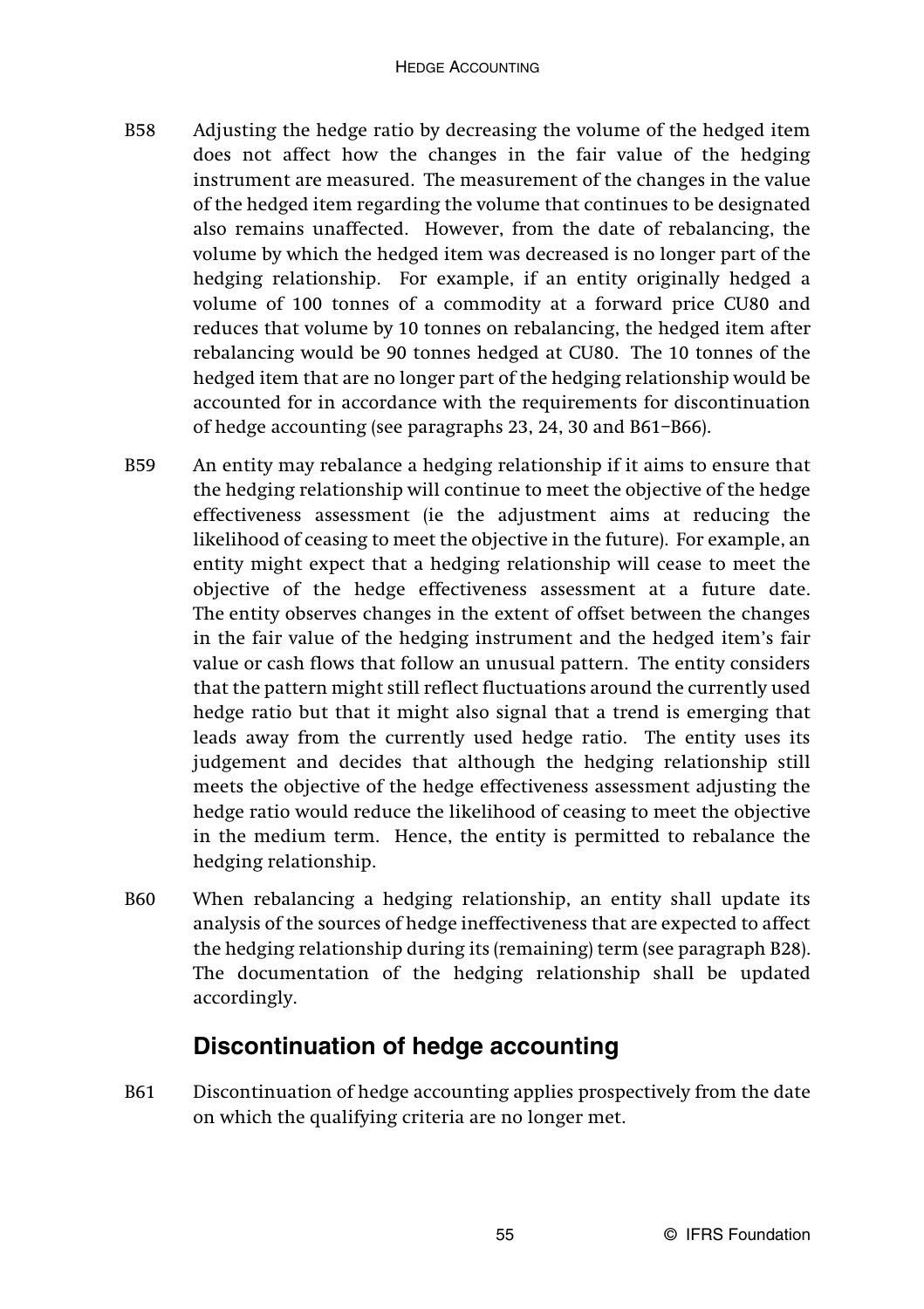- B58 Adjusting the hedge ratio by decreasing the volume of the hedged item does not affect how the changes in the fair value of the hedging instrument are measured. The measurement of the changes in the value of the hedged item regarding the volume that continues to be designated also remains unaffected. However, from the date of rebalancing, the volume by which the hedged item was decreased is no longer part of the hedging relationship. For example, if an entity originally hedged a volume of 100 tonnes of a commodity at a forward price CU80 and reduces that volume by 10 tonnes on rebalancing, the hedged item after rebalancing would be 90 tonnes hedged at CU80. The 10 tonnes of the hedged item that are no longer part of the hedging relationship would be accounted for in accordance with the requirements for discontinuation of hedge accounting (see paragraphs 23, 24, 30 and B61–B66).
- B59 An entity may rebalance a hedging relationship if it aims to ensure that the hedging relationship will continue to meet the objective of the hedge effectiveness assessment (ie the adjustment aims at reducing the likelihood of ceasing to meet the objective in the future). For example, an entity might expect that a hedging relationship will cease to meet the objective of the hedge effectiveness assessment at a future date. The entity observes changes in the extent of offset between the changes in the fair value of the hedging instrument and the hedged item's fair value or cash flows that follow an unusual pattern. The entity considers that the pattern might still reflect fluctuations around the currently used hedge ratio but that it might also signal that a trend is emerging that leads away from the currently used hedge ratio. The entity uses its judgement and decides that although the hedging relationship still meets the objective of the hedge effectiveness assessment adjusting the hedge ratio would reduce the likelihood of ceasing to meet the objective in the medium term. Hence, the entity is permitted to rebalance the hedging relationship.
- B60 When rebalancing a hedging relationship, an entity shall update its analysis of the sources of hedge ineffectiveness that are expected to affect the hedging relationship during its (remaining) term (see paragraph B28). The documentation of the hedging relationship shall be updated accordingly.

# **Discontinuation of hedge accounting**

B61 Discontinuation of hedge accounting applies prospectively from the date on which the qualifying criteria are no longer met.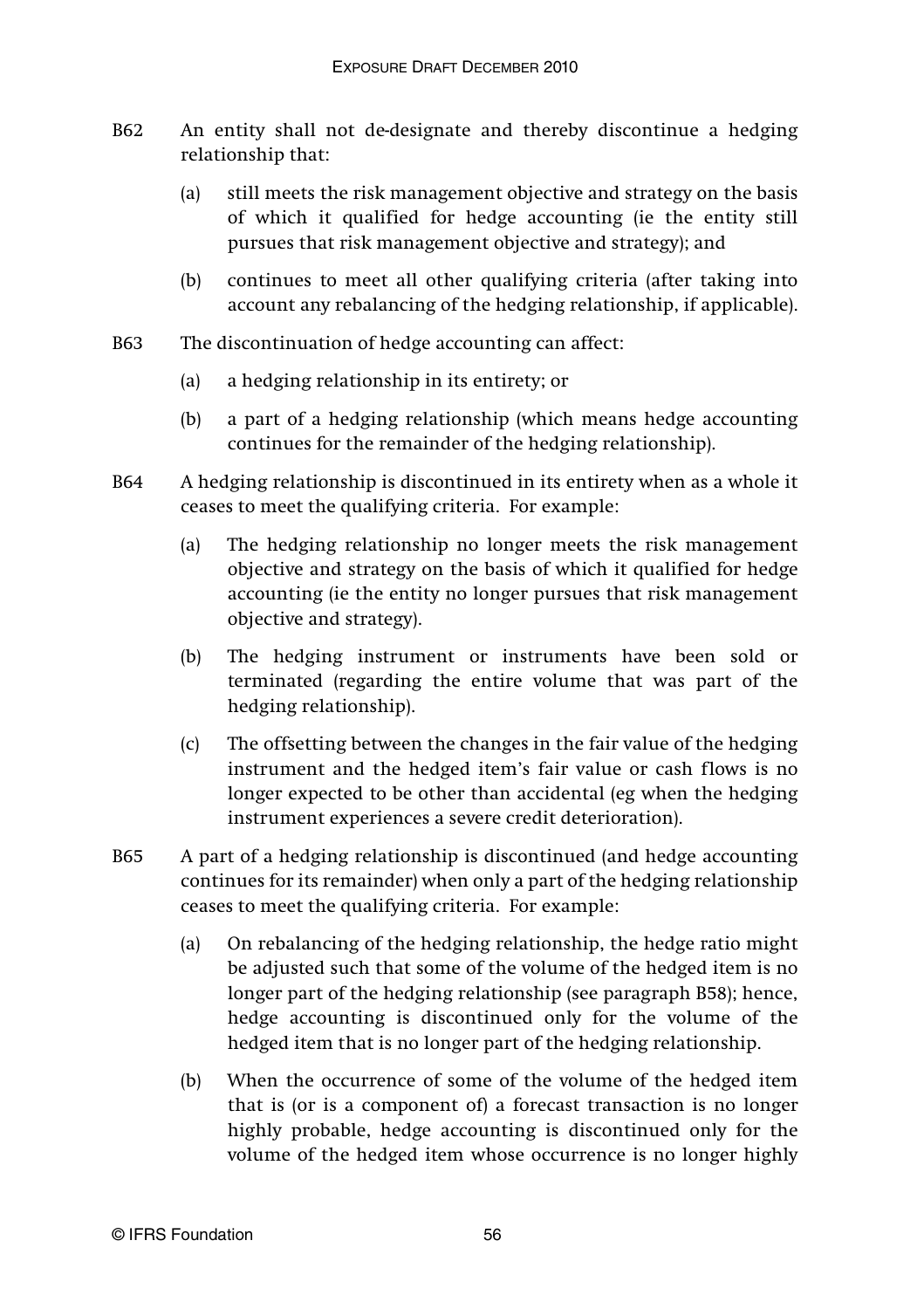- B62 An entity shall not de-designate and thereby discontinue a hedging relationship that:
	- (a) still meets the risk management objective and strategy on the basis of which it qualified for hedge accounting (ie the entity still pursues that risk management objective and strategy); and
	- (b) continues to meet all other qualifying criteria (after taking into account any rebalancing of the hedging relationship, if applicable).
- B63 The discontinuation of hedge accounting can affect:
	- (a) a hedging relationship in its entirety; or
	- (b) a part of a hedging relationship (which means hedge accounting continues for the remainder of the hedging relationship).
- B64 A hedging relationship is discontinued in its entirety when as a whole it ceases to meet the qualifying criteria. For example:
	- (a) The hedging relationship no longer meets the risk management objective and strategy on the basis of which it qualified for hedge accounting (ie the entity no longer pursues that risk management objective and strategy).
	- (b) The hedging instrument or instruments have been sold or terminated (regarding the entire volume that was part of the hedging relationship).
	- (c) The offsetting between the changes in the fair value of the hedging instrument and the hedged item's fair value or cash flows is no longer expected to be other than accidental (eg when the hedging instrument experiences a severe credit deterioration).
- B65 A part of a hedging relationship is discontinued (and hedge accounting continues for its remainder) when only a part of the hedging relationship ceases to meet the qualifying criteria. For example:
	- (a) On rebalancing of the hedging relationship, the hedge ratio might be adjusted such that some of the volume of the hedged item is no longer part of the hedging relationship (see paragraph B58); hence, hedge accounting is discontinued only for the volume of the hedged item that is no longer part of the hedging relationship.
	- (b) When the occurrence of some of the volume of the hedged item that is (or is a component of) a forecast transaction is no longer highly probable, hedge accounting is discontinued only for the volume of the hedged item whose occurrence is no longer highly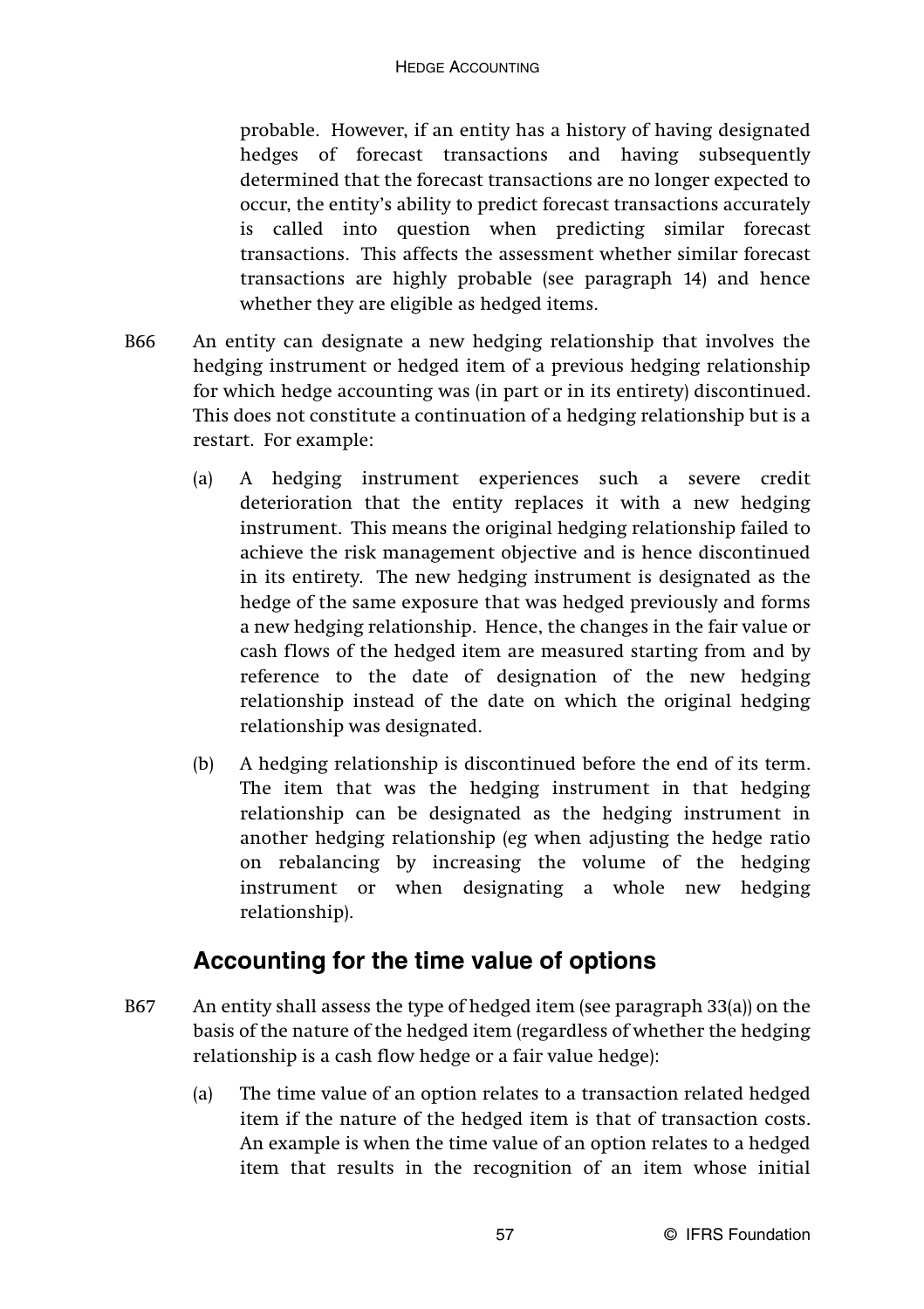probable. However, if an entity has a history of having designated hedges of forecast transactions and having subsequently determined that the forecast transactions are no longer expected to occur, the entity's ability to predict forecast transactions accurately is called into question when predicting similar forecast transactions. This affects the assessment whether similar forecast transactions are highly probable (see paragraph 14) and hence whether they are eligible as hedged items.

- B66 An entity can designate a new hedging relationship that involves the hedging instrument or hedged item of a previous hedging relationship for which hedge accounting was (in part or in its entirety) discontinued. This does not constitute a continuation of a hedging relationship but is a restart. For example:
	- (a) A hedging instrument experiences such a severe credit deterioration that the entity replaces it with a new hedging instrument. This means the original hedging relationship failed to achieve the risk management objective and is hence discontinued in its entirety. The new hedging instrument is designated as the hedge of the same exposure that was hedged previously and forms a new hedging relationship. Hence, the changes in the fair value or cash flows of the hedged item are measured starting from and by reference to the date of designation of the new hedging relationship instead of the date on which the original hedging relationship was designated.
	- (b) A hedging relationship is discontinued before the end of its term. The item that was the hedging instrument in that hedging relationship can be designated as the hedging instrument in another hedging relationship (eg when adjusting the hedge ratio on rebalancing by increasing the volume of the hedging instrument or when designating a whole new hedging relationship).

# **Accounting for the time value of options**

- B67 An entity shall assess the type of hedged item (see paragraph 33(a)) on the basis of the nature of the hedged item (regardless of whether the hedging relationship is a cash flow hedge or a fair value hedge):
	- (a) The time value of an option relates to a transaction related hedged item if the nature of the hedged item is that of transaction costs. An example is when the time value of an option relates to a hedged item that results in the recognition of an item whose initial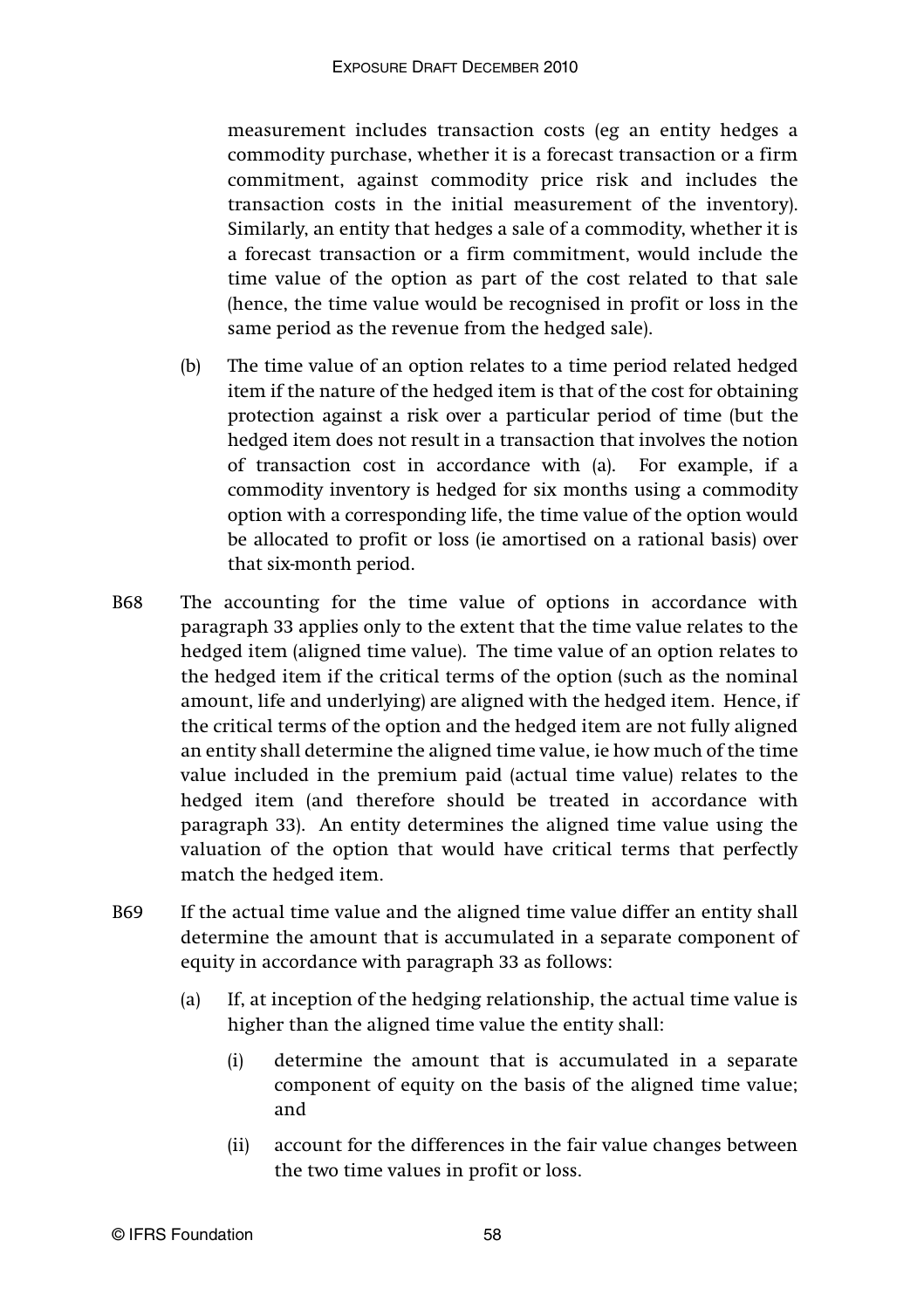measurement includes transaction costs (eg an entity hedges a commodity purchase, whether it is a forecast transaction or a firm commitment, against commodity price risk and includes the transaction costs in the initial measurement of the inventory). Similarly, an entity that hedges a sale of a commodity, whether it is a forecast transaction or a firm commitment, would include the time value of the option as part of the cost related to that sale (hence, the time value would be recognised in profit or loss in the same period as the revenue from the hedged sale).

- (b) The time value of an option relates to a time period related hedged item if the nature of the hedged item is that of the cost for obtaining protection against a risk over a particular period of time (but the hedged item does not result in a transaction that involves the notion of transaction cost in accordance with (a). For example, if a commodity inventory is hedged for six months using a commodity option with a corresponding life, the time value of the option would be allocated to profit or loss (ie amortised on a rational basis) over that six-month period.
- B68 The accounting for the time value of options in accordance with paragraph 33 applies only to the extent that the time value relates to the hedged item (aligned time value). The time value of an option relates to the hedged item if the critical terms of the option (such as the nominal amount, life and underlying) are aligned with the hedged item. Hence, if the critical terms of the option and the hedged item are not fully aligned an entity shall determine the aligned time value, ie how much of the time value included in the premium paid (actual time value) relates to the hedged item (and therefore should be treated in accordance with paragraph 33). An entity determines the aligned time value using the valuation of the option that would have critical terms that perfectly match the hedged item.
- B69 If the actual time value and the aligned time value differ an entity shall determine the amount that is accumulated in a separate component of equity in accordance with paragraph 33 as follows:
	- (a) If, at inception of the hedging relationship, the actual time value is higher than the aligned time value the entity shall:
		- (i) determine the amount that is accumulated in a separate component of equity on the basis of the aligned time value; and
		- (ii) account for the differences in the fair value changes between the two time values in profit or loss.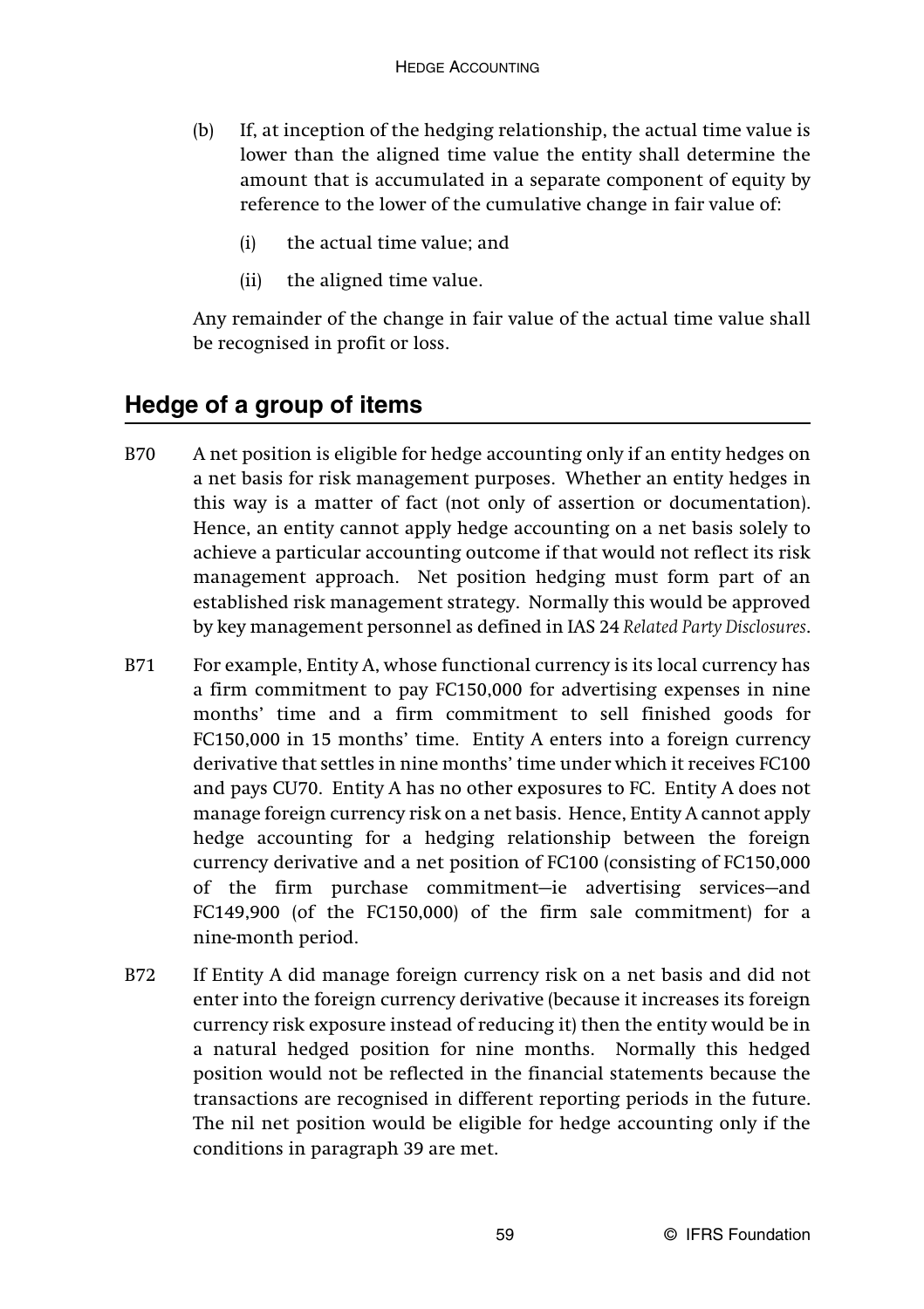- (b) If, at inception of the hedging relationship, the actual time value is lower than the aligned time value the entity shall determine the amount that is accumulated in a separate component of equity by reference to the lower of the cumulative change in fair value of:
	- (i) the actual time value; and
	- (ii) the aligned time value.

Any remainder of the change in fair value of the actual time value shall be recognised in profit or loss.

# **Hedge of a group of items**

- B70 A net position is eligible for hedge accounting only if an entity hedges on a net basis for risk management purposes. Whether an entity hedges in this way is a matter of fact (not only of assertion or documentation). Hence, an entity cannot apply hedge accounting on a net basis solely to achieve a particular accounting outcome if that would not reflect its risk management approach. Net position hedging must form part of an established risk management strategy. Normally this would be approved by key management personnel as defined in IAS 24 *Related Party Disclosures*.
- B71 For example, Entity A, whose functional currency is its local currency has a firm commitment to pay FC150,000 for advertising expenses in nine months' time and a firm commitment to sell finished goods for FC150,000 in 15 months' time. Entity A enters into a foreign currency derivative that settles in nine months' time under which it receives FC100 and pays CU70. Entity A has no other exposures to FC. Entity A does not manage foreign currency risk on a net basis. Hence, Entity A cannot apply hedge accounting for a hedging relationship between the foreign currency derivative and a net position of FC100 (consisting of FC150,000 of the firm purchase commitment—ie advertising services—and FC149,900 (of the FC150,000) of the firm sale commitment) for a nine-month period.
- B72 If Entity A did manage foreign currency risk on a net basis and did not enter into the foreign currency derivative (because it increases its foreign currency risk exposure instead of reducing it) then the entity would be in a natural hedged position for nine months. Normally this hedged position would not be reflected in the financial statements because the transactions are recognised in different reporting periods in the future. The nil net position would be eligible for hedge accounting only if the conditions in paragraph 39 are met.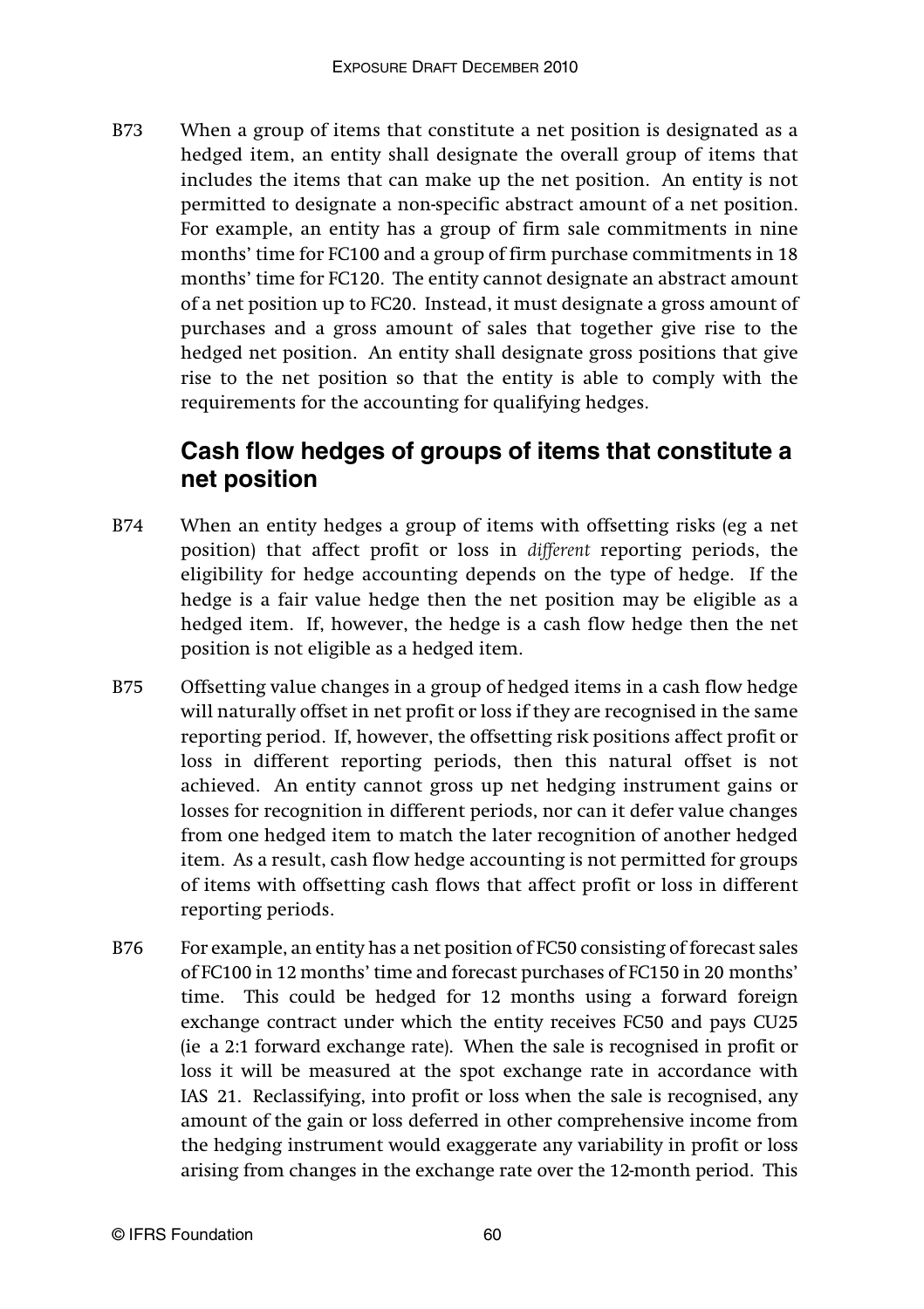B73 When a group of items that constitute a net position is designated as a hedged item, an entity shall designate the overall group of items that includes the items that can make up the net position. An entity is not permitted to designate a non-specific abstract amount of a net position. For example, an entity has a group of firm sale commitments in nine months' time for FC100 and a group of firm purchase commitments in 18 months' time for FC120. The entity cannot designate an abstract amount of a net position up to FC20. Instead, it must designate a gross amount of purchases and a gross amount of sales that together give rise to the hedged net position. An entity shall designate gross positions that give rise to the net position so that the entity is able to comply with the requirements for the accounting for qualifying hedges.

# **Cash flow hedges of groups of items that constitute a net position**

- B74 When an entity hedges a group of items with offsetting risks (eg a net position) that affect profit or loss in *different* reporting periods, the eligibility for hedge accounting depends on the type of hedge. If the hedge is a fair value hedge then the net position may be eligible as a hedged item. If, however, the hedge is a cash flow hedge then the net position is not eligible as a hedged item.
- B75 Offsetting value changes in a group of hedged items in a cash flow hedge will naturally offset in net profit or loss if they are recognised in the same reporting period. If, however, the offsetting risk positions affect profit or loss in different reporting periods, then this natural offset is not achieved. An entity cannot gross up net hedging instrument gains or losses for recognition in different periods, nor can it defer value changes from one hedged item to match the later recognition of another hedged item. As a result, cash flow hedge accounting is not permitted for groups of items with offsetting cash flows that affect profit or loss in different reporting periods.
- B76 For example, an entity has a net position of FC50 consisting of forecast sales of FC100 in 12 months' time and forecast purchases of FC150 in 20 months' time. This could be hedged for 12 months using a forward foreign exchange contract under which the entity receives FC50 and pays CU25 (ie a 2:1 forward exchange rate). When the sale is recognised in profit or loss it will be measured at the spot exchange rate in accordance with IAS 21. Reclassifying, into profit or loss when the sale is recognised, any amount of the gain or loss deferred in other comprehensive income from the hedging instrument would exaggerate any variability in profit or loss arising from changes in the exchange rate over the 12-month period. This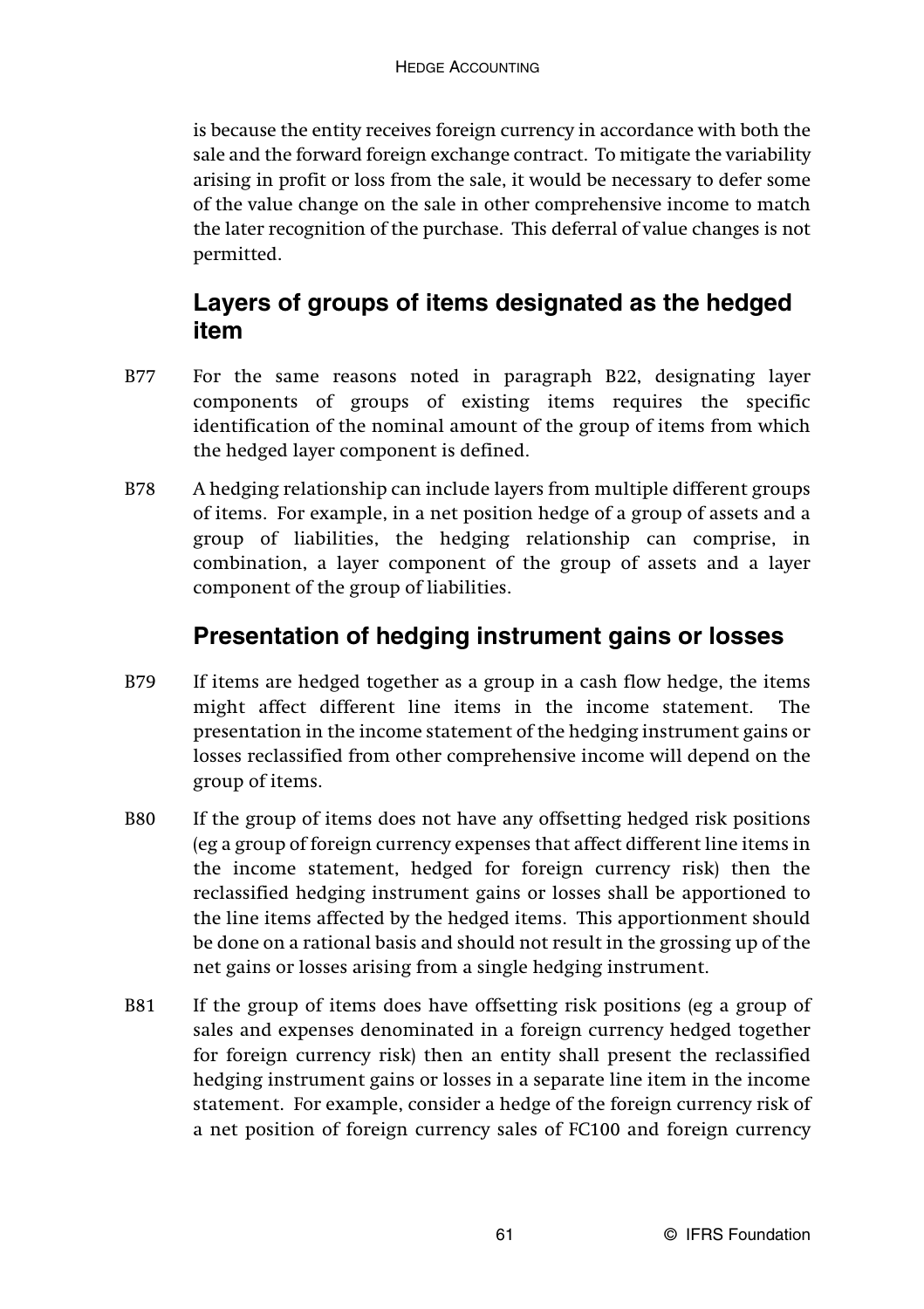is because the entity receives foreign currency in accordance with both the sale and the forward foreign exchange contract. To mitigate the variability arising in profit or loss from the sale, it would be necessary to defer some of the value change on the sale in other comprehensive income to match the later recognition of the purchase. This deferral of value changes is not permitted.

# **Layers of groups of items designated as the hedged item**

- B77 For the same reasons noted in paragraph B22, designating layer components of groups of existing items requires the specific identification of the nominal amount of the group of items from which the hedged layer component is defined.
- B78 A hedging relationship can include layers from multiple different groups of items. For example, in a net position hedge of a group of assets and a group of liabilities, the hedging relationship can comprise, in combination, a layer component of the group of assets and a layer component of the group of liabilities.

# **Presentation of hedging instrument gains or losses**

- B79 If items are hedged together as a group in a cash flow hedge, the items might affect different line items in the income statement. The presentation in the income statement of the hedging instrument gains or losses reclassified from other comprehensive income will depend on the group of items.
- B80 If the group of items does not have any offsetting hedged risk positions (eg a group of foreign currency expenses that affect different line items in the income statement, hedged for foreign currency risk) then the reclassified hedging instrument gains or losses shall be apportioned to the line items affected by the hedged items. This apportionment should be done on a rational basis and should not result in the grossing up of the net gains or losses arising from a single hedging instrument.
- B81 If the group of items does have offsetting risk positions (eg a group of sales and expenses denominated in a foreign currency hedged together for foreign currency risk) then an entity shall present the reclassified hedging instrument gains or losses in a separate line item in the income statement. For example, consider a hedge of the foreign currency risk of a net position of foreign currency sales of FC100 and foreign currency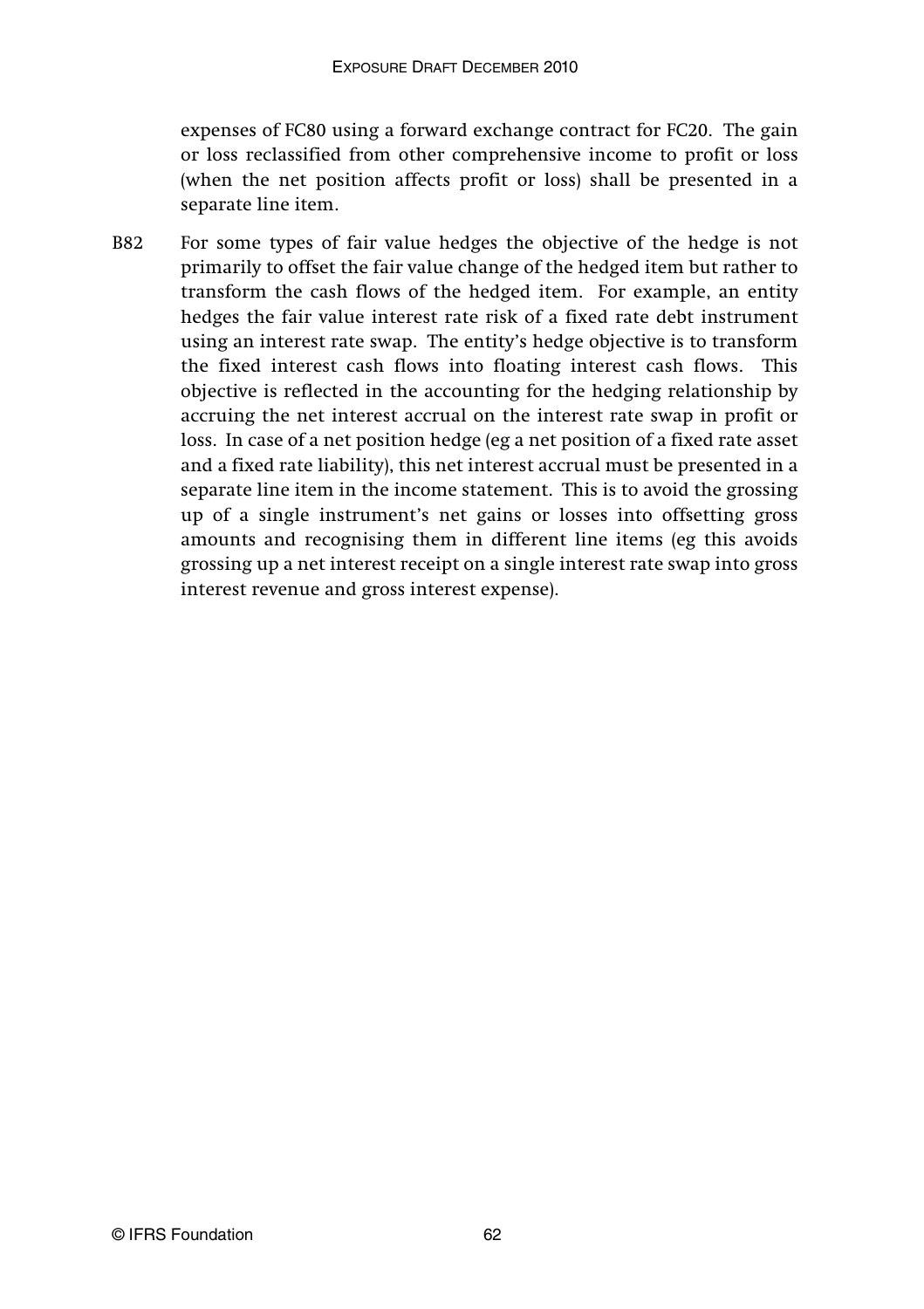expenses of FC80 using a forward exchange contract for FC20. The gain or loss reclassified from other comprehensive income to profit or loss (when the net position affects profit or loss) shall be presented in a separate line item.

B82 For some types of fair value hedges the objective of the hedge is not primarily to offset the fair value change of the hedged item but rather to transform the cash flows of the hedged item. For example, an entity hedges the fair value interest rate risk of a fixed rate debt instrument using an interest rate swap. The entity's hedge objective is to transform the fixed interest cash flows into floating interest cash flows. This objective is reflected in the accounting for the hedging relationship by accruing the net interest accrual on the interest rate swap in profit or loss. In case of a net position hedge (eg a net position of a fixed rate asset and a fixed rate liability), this net interest accrual must be presented in a separate line item in the income statement. This is to avoid the grossing up of a single instrument's net gains or losses into offsetting gross amounts and recognising them in different line items (eg this avoids grossing up a net interest receipt on a single interest rate swap into gross interest revenue and gross interest expense).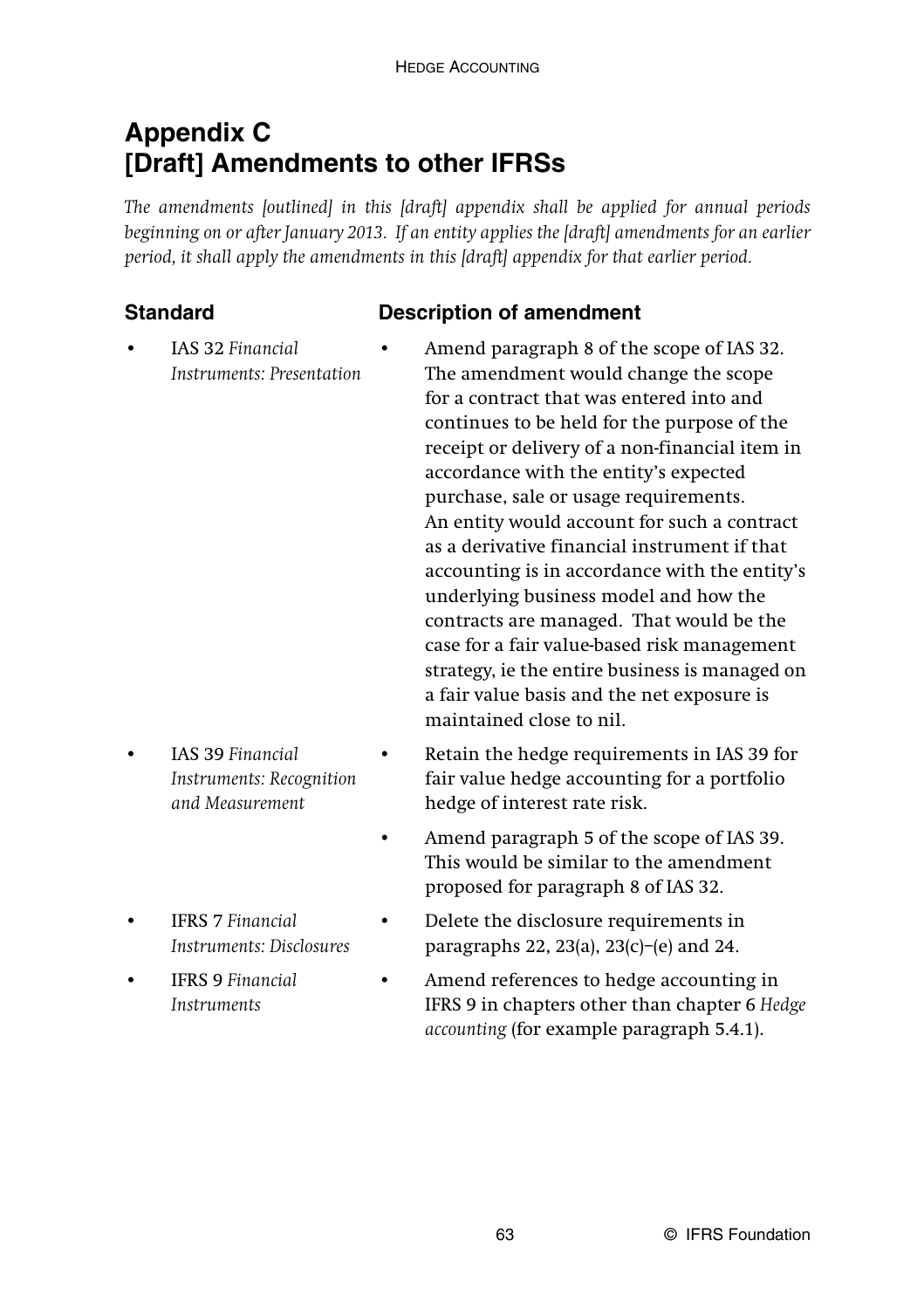# **Appendix C [Draft] Amendments to other IFRSs**

*The amendments [outlined] in this [draft] appendix shall be applied for annual periods beginning on or after January 2013. If an entity applies the [draft] amendments for an earlier period, it shall apply the amendments in this [draft] appendix for that earlier period.* 

• IAS 32 *Financial Instruments: Presentation*

#### **Standard Description of amendment**

- Amend paragraph 8 of the scope of IAS 32. The amendment would change the scope for a contract that was entered into and continues to be held for the purpose of the receipt or delivery of a non-financial item in accordance with the entity's expected purchase, sale or usage requirements. An entity would account for such a contract as a derivative financial instrument if that accounting is in accordance with the entity's underlying business model and how the contracts are managed. That would be the case for a fair value-based risk management strategy, ie the entire business is managed on a fair value basis and the net exposure is maintained close to nil.
- IAS 39 *Financial Instruments: Recognition and Measurement*
- IFRS 7 *Financial Instruments: Disclosures*
- IFRS 9 *Financial Instruments*
- Retain the hedge requirements in IAS 39 for fair value hedge accounting for a portfolio hedge of interest rate risk.
- Amend paragraph 5 of the scope of IAS 39. This would be similar to the amendment proposed for paragraph 8 of IAS 32.
- Delete the disclosure requirements in paragraphs 22, 23(a), 23(c)–(e) and 24.
	- Amend references to hedge accounting in IFRS 9 in chapters other than chapter 6 *Hedge accounting* (for example paragraph 5.4.1).